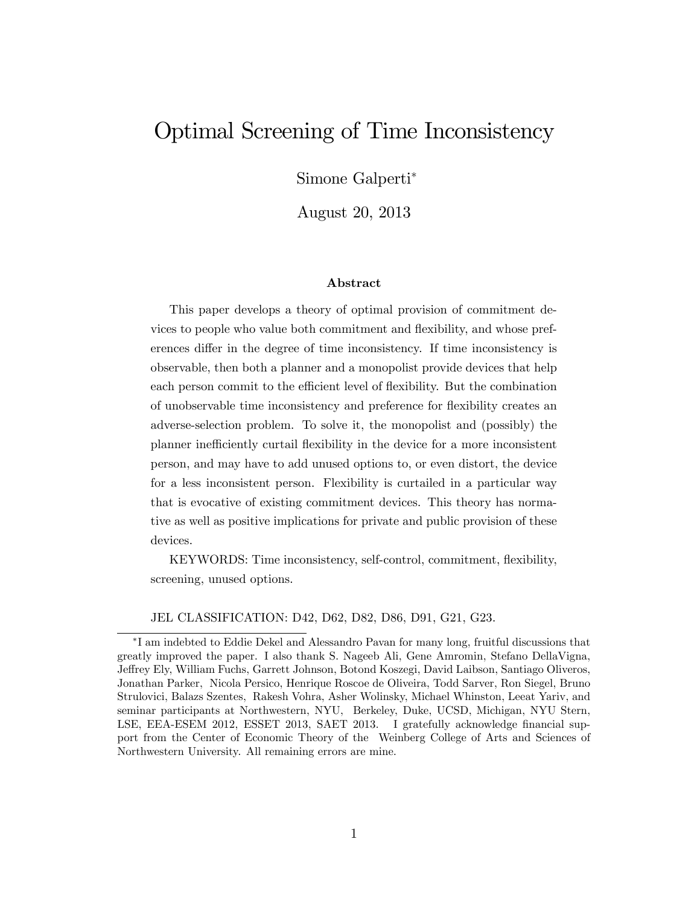# Optimal Screening of Time Inconsistency

Simone Galperti

August 20, 2013

#### Abstract

This paper develops a theory of optimal provision of commitment devices to people who value both commitment and áexibility, and whose preferences differ in the degree of time inconsistency. If time inconsistency is observable, then both a planner and a monopolist provide devices that help each person commit to the efficient level of flexibility. But the combination of unobservable time inconsistency and preference for áexibility creates an adverse-selection problem. To solve it, the monopolist and (possibly) the planner inefficiently curtail flexibility in the device for a more inconsistent person, and may have to add unused options to, or even distort, the device for a less inconsistent person. Flexibility is curtailed in a particular way that is evocative of existing commitment devices. This theory has normative as well as positive implications for private and public provision of these devices.

KEYWORDS: Time inconsistency, self-control, commitment, áexibility, screening, unused options.

JEL CLASSIFICATION: D42, D62, D82, D86, D91, G21, G23.

I am indebted to Eddie Dekel and Alessandro Pavan for many long, fruitful discussions that greatly improved the paper. I also thank S. Nageeb Ali, Gene Amromin, Stefano DellaVigna, Jeffrey Ely, William Fuchs, Garrett Johnson, Botond Koszegi, David Laibson, Santiago Oliveros, Jonathan Parker, Nicola Persico, Henrique Roscoe de Oliveira, Todd Sarver, Ron Siegel, Bruno Strulovici, Balazs Szentes, Rakesh Vohra, Asher Wolinsky, Michael Whinston, Leeat Yariv, and seminar participants at Northwestern, NYU, Berkeley, Duke, UCSD, Michigan, NYU Stern, LSE, EEA-ESEM 2012, ESSET 2013, SAET 2013. I gratefully acknowledge financial support from the Center of Economic Theory of the Weinberg College of Arts and Sciences of Northwestern University. All remaining errors are mine.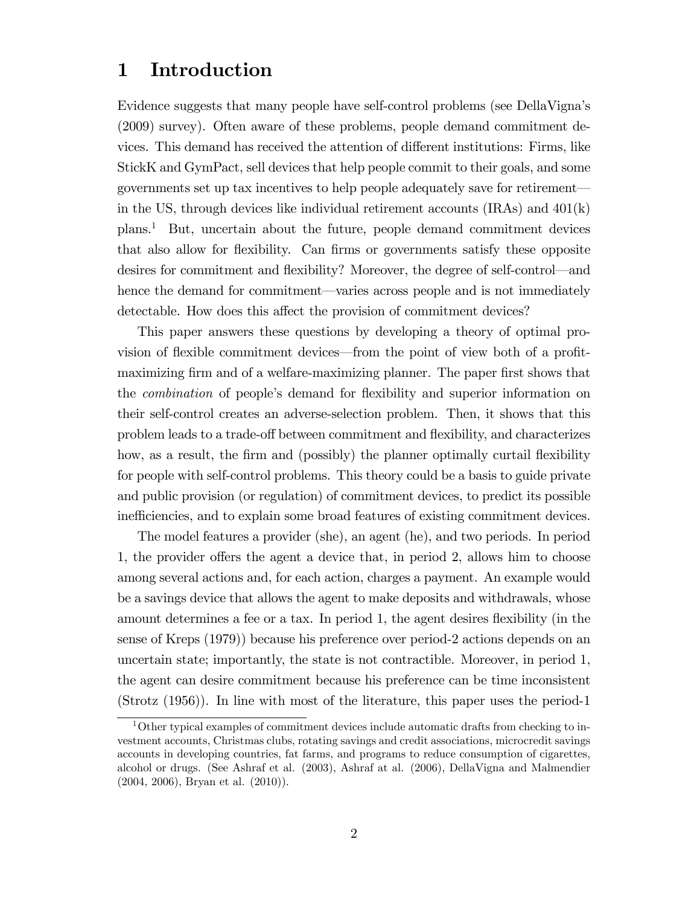## 1 Introduction

Evidence suggests that many people have self-control problems (see DellaVignaís (2009) survey). Often aware of these problems, people demand commitment devices. This demand has received the attention of different institutions: Firms, like StickK and GymPact, sell devices that help people commit to their goals, and some governments set up tax incentives to help people adequately save for retirement in the US, through devices like individual retirement accounts  $(IRAs)$  and  $401(k)$ plans.<sup>1</sup> But, uncertain about the future, people demand commitment devices that also allow for flexibility. Can firms or governments satisfy these opposite desires for commitment and flexibility? Moreover, the degree of self-control—and hence the demand for commitment—varies across people and is not immediately detectable. How does this affect the provision of commitment devices?

This paper answers these questions by developing a theory of optimal provision of flexible commitment devices—from the point of view both of a profitmaximizing firm and of a welfare-maximizing planner. The paper first shows that the *combination* of people's demand for flexibility and superior information on their self-control creates an adverse-selection problem. Then, it shows that this problem leads to a trade-off between commitment and flexibility, and characterizes how, as a result, the firm and (possibly) the planner optimally curtail flexibility for people with self-control problems. This theory could be a basis to guide private and public provision (or regulation) of commitment devices, to predict its possible inefficiencies, and to explain some broad features of existing commitment devices.

The model features a provider (she), an agent (he), and two periods. In period 1, the provider offers the agent a device that, in period 2, allows him to choose among several actions and, for each action, charges a payment. An example would be a savings device that allows the agent to make deposits and withdrawals, whose amount determines a fee or a tax. In period 1, the agent desires flexibility (in the sense of Kreps (1979)) because his preference over period-2 actions depends on an uncertain state; importantly, the state is not contractible. Moreover, in period 1, the agent can desire commitment because his preference can be time inconsistent (Strotz (1956)). In line with most of the literature, this paper uses the period-1

<sup>&</sup>lt;sup>1</sup>Other typical examples of commitment devices include automatic drafts from checking to investment accounts, Christmas clubs, rotating savings and credit associations, microcredit savings accounts in developing countries, fat farms, and programs to reduce consumption of cigarettes, alcohol or drugs. (See Ashraf et al. (2003), Ashraf at al. (2006), DellaVigna and Malmendier (2004, 2006), Bryan et al. (2010)).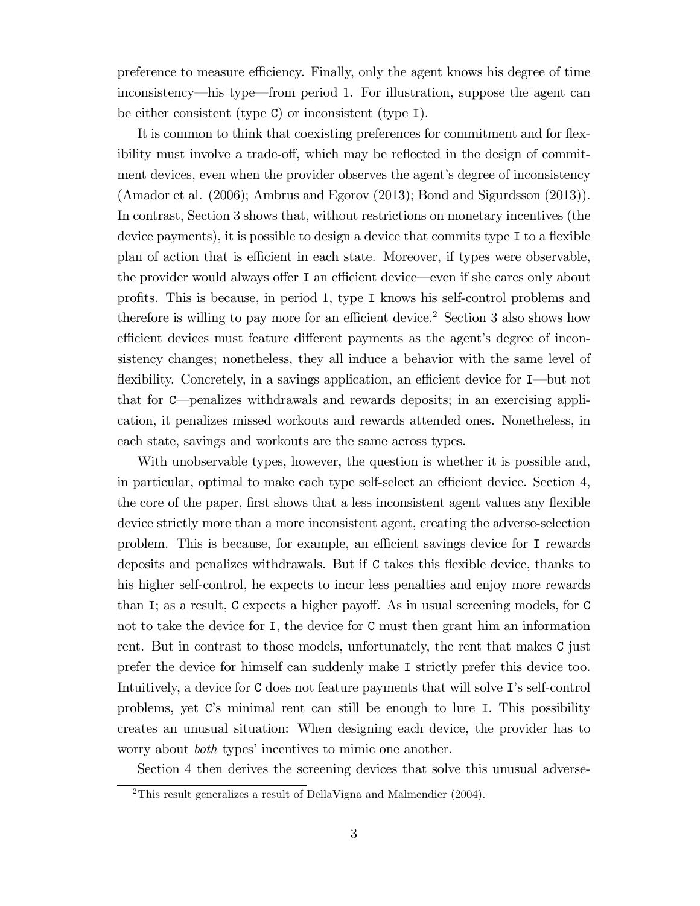preference to measure efficiency. Finally, only the agent knows his degree of time inconsistency—his type—from period 1. For illustration, suppose the agent can be either consistent (type C) or inconsistent (type I).

It is common to think that coexisting preferences for commitment and for flexibility must involve a trade-off, which may be reflected in the design of commitment devices, even when the provider observes the agent's degree of inconsistency (Amador et al. (2006); Ambrus and Egorov (2013); Bond and Sigurdsson (2013)). In contrast, Section 3 shows that, without restrictions on monetary incentives (the device payments), it is possible to design a device that commits type  $I$  to a flexible plan of action that is efficient in each state. Moreover, if types were observable, the provider would always offer  $I$  an efficient device—even if she cares only about proÖts. This is because, in period 1, type I knows his self-control problems and therefore is willing to pay more for an efficient device.<sup>2</sup> Section 3 also shows how efficient devices must feature different payments as the agent's degree of inconsistency changes; nonetheless, they all induce a behavior with the same level of flexibility. Concretely, in a savings application, an efficient device for I—but not that for C—penalizes withdrawals and rewards deposits; in an exercising application, it penalizes missed workouts and rewards attended ones. Nonetheless, in each state, savings and workouts are the same across types.

With unobservable types, however, the question is whether it is possible and, in particular, optimal to make each type self-select an efficient device. Section  $4$ , the core of the paper, first shows that a less inconsistent agent values any flexible device strictly more than a more inconsistent agent, creating the adverse-selection problem. This is because, for example, an efficient savings device for I rewards deposits and penalizes withdrawals. But if C takes this áexible device, thanks to his higher self-control, he expects to incur less penalties and enjoy more rewards than I; as a result, C expects a higher payoff. As in usual screening models, for  $C$ not to take the device for I, the device for C must then grant him an information rent. But in contrast to those models, unfortunately, the rent that makes C just prefer the device for himself can suddenly make I strictly prefer this device too. Intuitively, a device for C does not feature payments that will solve I's self-control problems, yet Cís minimal rent can still be enough to lure I. This possibility creates an unusual situation: When designing each device, the provider has to worry about *both* types' incentives to mimic one another.

Section 4 then derives the screening devices that solve this unusual adverse-

<sup>&</sup>lt;sup>2</sup>This result generalizes a result of DellaVigna and Malmendier  $(2004)$ .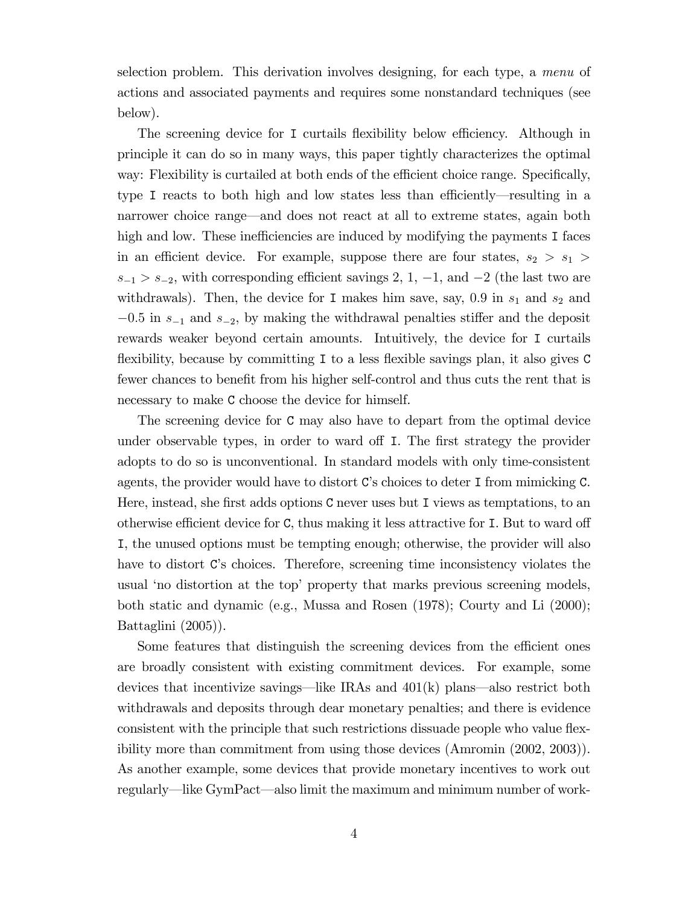selection problem. This derivation involves designing, for each type, a menu of actions and associated payments and requires some nonstandard techniques (see below).

The screening device for I curtails flexibility below efficiency. Although in principle it can do so in many ways, this paper tightly characterizes the optimal way: Flexibility is curtailed at both ends of the efficient choice range. Specifically, type I reacts to both high and low states less than efficiently—resulting in a narrower choice range—and does not react at all to extreme states, again both high and low. These inefficiencies are induced by modifying the payments I faces in an efficient device. For example, suppose there are four states,  $s_2 > s_1 >$  $s_{-1} > s_{-2}$ , with corresponding efficient savings 2, 1, -1, and -2 (the last two are withdrawals). Then, the device for I makes him save, say, 0.9 in  $s_1$  and  $s_2$  and  $-0.5$  in  $s_{-1}$  and  $s_{-2}$ , by making the withdrawal penalties stiffer and the deposit rewards weaker beyond certain amounts. Intuitively, the device for I curtails flexibility, because by committing  $I$  to a less flexible savings plan, it also gives  $C$ fewer chances to benefit from his higher self-control and thus cuts the rent that is necessary to make C choose the device for himself.

The screening device for C may also have to depart from the optimal device under observable types, in order to ward off I. The first strategy the provider adopts to do so is unconventional. In standard models with only time-consistent agents, the provider would have to distort C's choices to deter I from mimicking C. Here, instead, she first adds options C never uses but I views as temptations, to an otherwise efficient device for  $C$ , thus making it less attractive for  $I$ . But to ward off I, the unused options must be tempting enough; otherwise, the provider will also have to distort C's choices. Therefore, screening time inconsistency violates the usual 'no distortion at the top' property that marks previous screening models, both static and dynamic (e.g., Mussa and Rosen (1978); Courty and Li (2000); Battaglini (2005)).

Some features that distinguish the screening devices from the efficient ones are broadly consistent with existing commitment devices. For example, some devices that incentivize savings—like IRAs and  $401(k)$  plans—also restrict both withdrawals and deposits through dear monetary penalties; and there is evidence consistent with the principle that such restrictions dissuade people who value flexibility more than commitment from using those devices (Amromin (2002, 2003)). As another example, some devices that provide monetary incentives to work out regularly—like GymPact—also limit the maximum and minimum number of work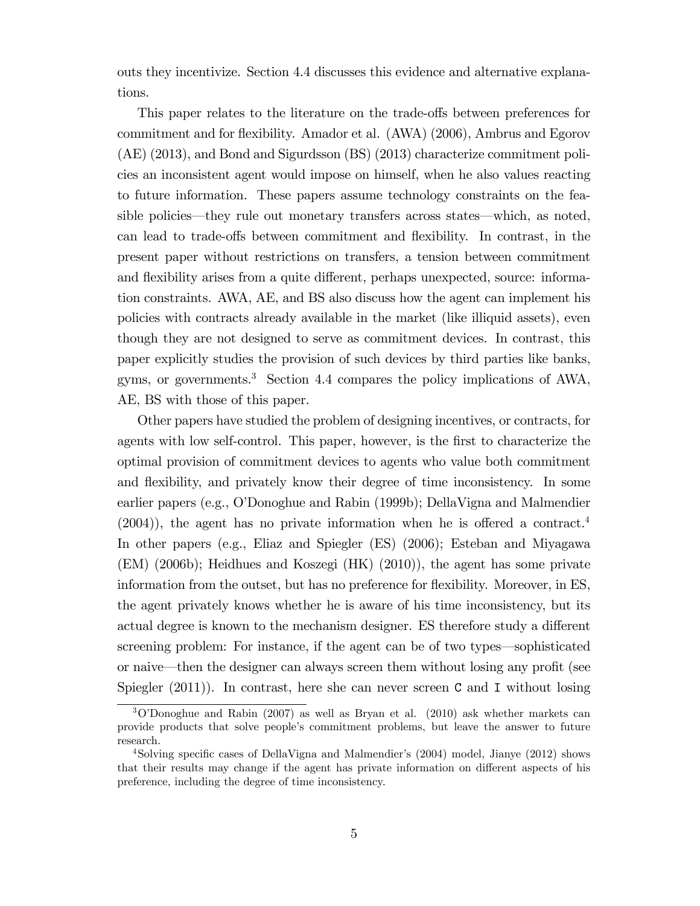outs they incentivize. Section 4.4 discusses this evidence and alternative explanations.

This paper relates to the literature on the trade-offs between preferences for commitment and for flexibility. Amador et al. (AWA) (2006), Ambrus and Egorov (AE) (2013), and Bond and Sigurdsson (BS) (2013) characterize commitment policies an inconsistent agent would impose on himself, when he also values reacting to future information. These papers assume technology constraints on the feasible policies—they rule out monetary transfers across states—which, as noted, can lead to trade-offs between commitment and flexibility. In contrast, in the present paper without restrictions on transfers, a tension between commitment and flexibility arises from a quite different, perhaps unexpected, source: information constraints. AWA, AE, and BS also discuss how the agent can implement his policies with contracts already available in the market (like illiquid assets), even though they are not designed to serve as commitment devices. In contrast, this paper explicitly studies the provision of such devices by third parties like banks, gyms, or governments.<sup>3</sup> Section 4.4 compares the policy implications of AWA, AE, BS with those of this paper.

Other papers have studied the problem of designing incentives, or contracts, for agents with low self-control. This paper, however, is the first to characterize the optimal provision of commitment devices to agents who value both commitment and flexibility, and privately know their degree of time inconsistency. In some earlier papers (e.g., OíDonoghue and Rabin (1999b); DellaVigna and Malmendier  $(2004)$ , the agent has no private information when he is offered a contract.<sup>4</sup> In other papers (e.g., Eliaz and Spiegler (ES) (2006); Esteban and Miyagawa (EM) (2006b); Heidhues and Koszegi (HK) (2010)), the agent has some private information from the outset, but has no preference for flexibility. Moreover, in ES, the agent privately knows whether he is aware of his time inconsistency, but its actual degree is known to the mechanism designer. ES therefore study a different screening problem: For instance, if the agent can be of two types—sophisticated or naive—then the designer can always screen them without losing any profit (see Spiegler  $(2011)$ ). In contrast, here she can never screen C and I without losing

 $3\text{O}$ Onoghue and Rabin (2007) as well as Bryan et al. (2010) ask whether markets can provide products that solve peopleís commitment problems, but leave the answer to future research.

<sup>&</sup>lt;sup>4</sup>Solving specific cases of DellaVigna and Malmendier's  $(2004)$  model, Jianye  $(2012)$  shows that their results may change if the agent has private information on different aspects of his preference, including the degree of time inconsistency.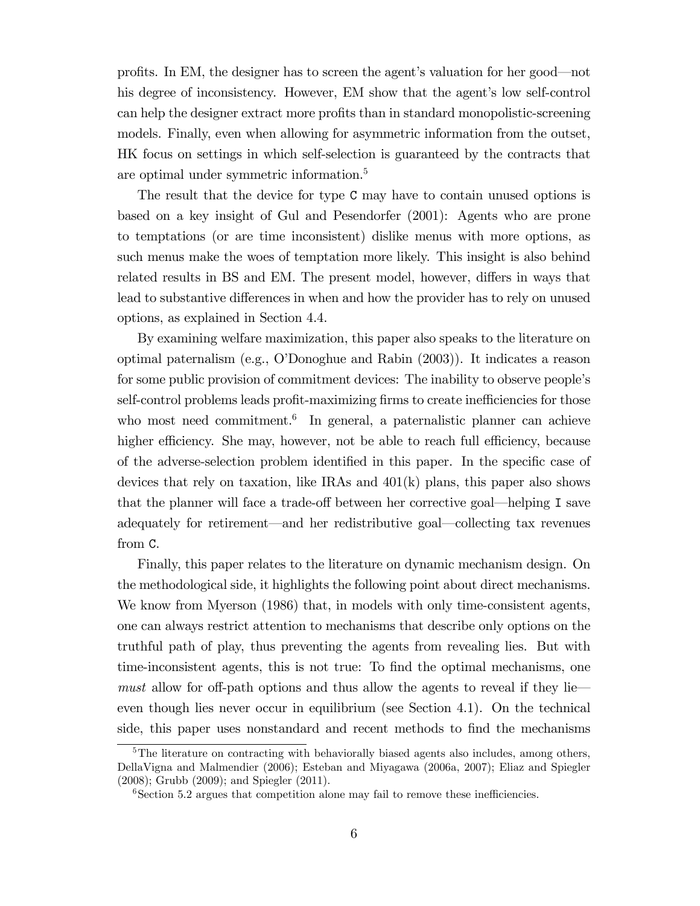profits. In EM, the designer has to screen the agent's valuation for her good—not his degree of inconsistency. However, EM show that the agent's low self-control can help the designer extract more profits than in standard monopolistic-screening models. Finally, even when allowing for asymmetric information from the outset, HK focus on settings in which self-selection is guaranteed by the contracts that are optimal under symmetric information.<sup>5</sup>

The result that the device for type C may have to contain unused options is based on a key insight of Gul and Pesendorfer (2001): Agents who are prone to temptations (or are time inconsistent) dislike menus with more options, as such menus make the woes of temptation more likely. This insight is also behind related results in BS and EM. The present model, however, differs in ways that lead to substantive differences in when and how the provider has to rely on unused options, as explained in Section 4.4.

By examining welfare maximization, this paper also speaks to the literature on optimal paternalism (e.g., OíDonoghue and Rabin (2003)). It indicates a reason for some public provision of commitment devices: The inability to observe people's self-control problems leads profit-maximizing firms to create inefficiencies for those who most need commitment.<sup>6</sup> In general, a paternalistic planner can achieve higher efficiency. She may, however, not be able to reach full efficiency, because of the adverse-selection problem identified in this paper. In the specific case of devices that rely on taxation, like IRAs and 401(k) plans, this paper also shows that the planner will face a trade-off between her corrective goal—helping I save adequately for retirement—and her redistributive goal—collecting tax revenues from C.

Finally, this paper relates to the literature on dynamic mechanism design. On the methodological side, it highlights the following point about direct mechanisms. We know from Myerson (1986) that, in models with only time-consistent agents, one can always restrict attention to mechanisms that describe only options on the truthful path of play, thus preventing the agents from revealing lies. But with time-inconsistent agents, this is not true: To find the optimal mechanisms, one must allow for off-path options and thus allow the agents to reveal if they lie even though lies never occur in equilibrium (see Section 4.1). On the technical side, this paper uses nonstandard and recent methods to find the mechanisms

<sup>&</sup>lt;sup>5</sup>The literature on contracting with behaviorally biased agents also includes, among others, DellaVigna and Malmendier (2006); Esteban and Miyagawa (2006a, 2007); Eliaz and Spiegler (2008); Grubb (2009); and Spiegler (2011).

 $6$ Section 5.2 argues that competition alone may fail to remove these inefficiencies.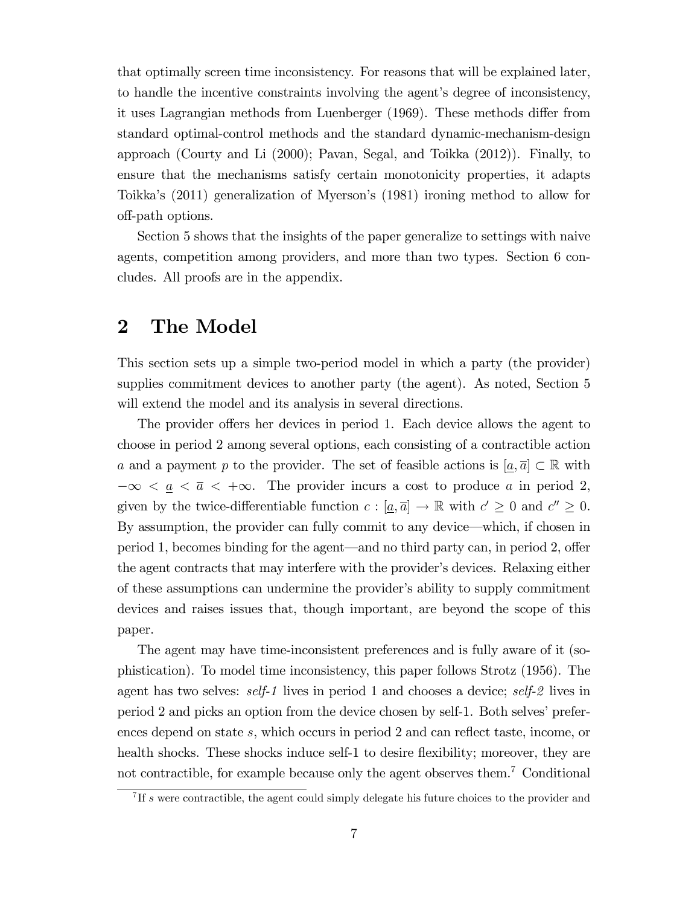that optimally screen time inconsistency. For reasons that will be explained later, to handle the incentive constraints involving the agent's degree of inconsistency, it uses Lagrangian methods from Luenberger (1969). These methods differ from standard optimal-control methods and the standard dynamic-mechanism-design approach (Courty and Li (2000); Pavan, Segal, and Toikka (2012)). Finally, to ensure that the mechanisms satisfy certain monotonicity properties, it adapts Toikka's (2011) generalization of Myerson's (1981) ironing method to allow for o§-path options.

Section 5 shows that the insights of the paper generalize to settings with naive agents, competition among providers, and more than two types. Section 6 concludes. All proofs are in the appendix.

### 2 The Model

This section sets up a simple two-period model in which a party (the provider) supplies commitment devices to another party (the agent). As noted, Section 5 will extend the model and its analysis in several directions.

The provider offers her devices in period 1. Each device allows the agent to choose in period 2 among several options, each consisting of a contractible action a and a payment p to the provider. The set of feasible actions is  $[a,\overline{a}] \subset \mathbb{R}$  with  $-\infty < \underline{a} < \overline{a} < +\infty$ . The provider incurs a cost to produce a in period 2, given by the twice-differentiable function  $c : [\underline{a}, \overline{a}] \to \mathbb{R}$  with  $c' \geq 0$  and  $c'' \geq 0$ . By assumption, the provider can fully commit to any device—which, if chosen in period 1, becomes binding for the agent—and no third party can, in period 2, offer the agent contracts that may interfere with the provider's devices. Relaxing either of these assumptions can undermine the providerís ability to supply commitment devices and raises issues that, though important, are beyond the scope of this paper.

The agent may have time-inconsistent preferences and is fully aware of it (sophistication). To model time inconsistency, this paper follows Strotz (1956). The agent has two selves: self-1 lives in period 1 and chooses a device; self-2 lives in period 2 and picks an option from the device chosen by self-1. Both selves' preferences depend on state  $s$ , which occurs in period 2 and can reflect taste, income, or health shocks. These shocks induce self-1 to desire flexibility; moreover, they are not contractible, for example because only the agent observes them.<sup>7</sup> Conditional

<sup>&</sup>lt;sup>7</sup>If s were contractible, the agent could simply delegate his future choices to the provider and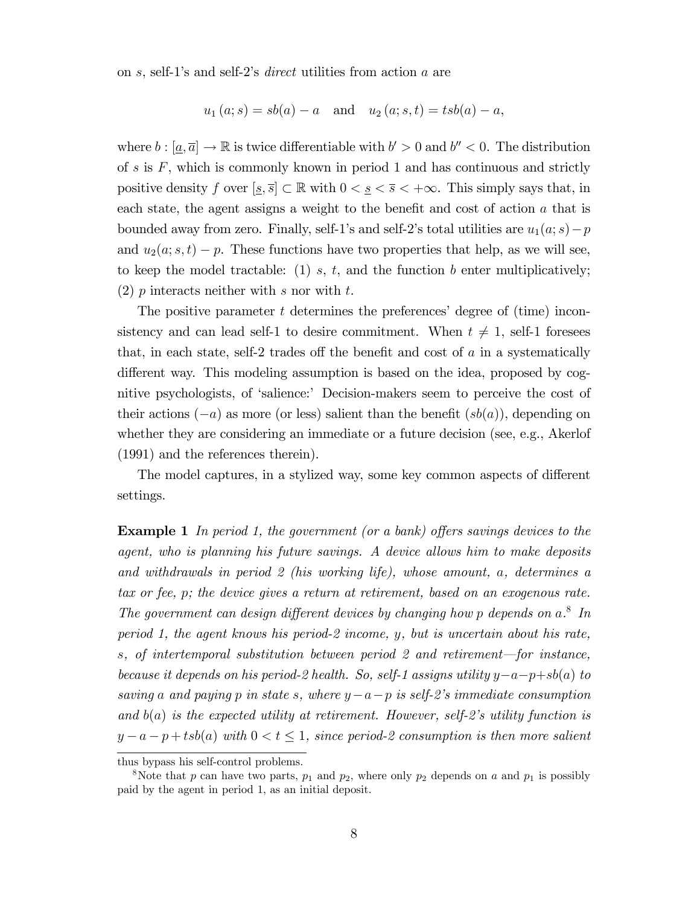on s, self-1's and self-2's *direct* utilities from action a are

$$
u_1(a; s) = sb(a) - a
$$
 and  $u_2(a; s, t) = tsb(a) - a$ ,

where  $b : [\underline{a}, \overline{a}] \to \mathbb{R}$  is twice differentiable with  $b' > 0$  and  $b'' < 0$ . The distribution of  $s$  is  $F$ , which is commonly known in period 1 and has continuous and strictly positive density f over  $[s, \overline{s}] \subset \mathbb{R}$  with  $0 < s < \overline{s} < +\infty$ . This simply says that, in each state, the agent assigns a weight to the benefit and cost of action  $a$  that is bounded away from zero. Finally, self-1's and self-2's total utilities are  $u_1(a; s)-p$ and  $u_2(a; s, t) - p$ . These functions have two properties that help, as we will see, to keep the model tractable: (1) s, t, and the function b enter multiplicatively; (2) p interacts neither with s nor with t.

The positive parameter  $t$  determines the preferences' degree of (time) inconsistency and can lead self-1 to desire commitment. When  $t \neq 1$ , self-1 foresees that, in each state, self-2 trades off the benefit and cost of  $a$  in a systematically different way. This modeling assumption is based on the idea, proposed by cognitive psychologists, of 'salience:' Decision-makers seem to perceive the cost of their actions  $(-a)$  as more (or less) salient than the benefit  $(sb(a))$ , depending on whether they are considering an immediate or a future decision (see, e.g., Akerlof (1991) and the references therein).

The model captures, in a stylized way, some key common aspects of different settings.

**Example 1** In period 1, the government (or a bank) offers savings devices to the agent, who is planning his future savings. A device allows him to make deposits and withdrawals in period 2 (his working life), whose amount, a, determines a tax or fee, p; the device gives a return at retirement, based on an exogenous rate. The government can design different devices by changing how p depends on  $a^8$ . In period 1, the agent knows his period-2 income, y, but is uncertain about his rate, s, of intertemporal substitution between period 2 and retirement—for instance, because it depends on his period-2 health. So, self-1 assigns utility  $y-a-p+sb(a)$  to saving a and paying p in state s, where  $y-a-p$  is self-2's immediate consumption and  $b(a)$  is the expected utility at retirement. However, self-2's utility function is  $y - a - p + t \cdot b(a)$  with  $0 < t \leq 1$ , since period-2 consumption is then more salient

thus bypass his self-control problems.

<sup>&</sup>lt;sup>8</sup>Note that p can have two parts,  $p_1$  and  $p_2$ , where only  $p_2$  depends on a and  $p_1$  is possibly paid by the agent in period 1, as an initial deposit.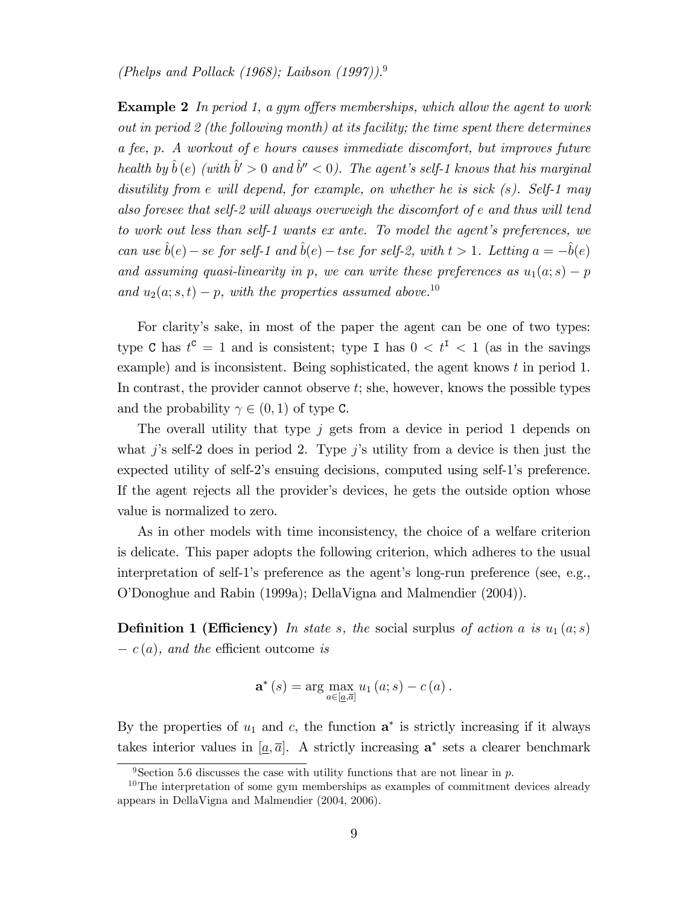(Phelps and Pollack (1968); Laibson (1997)).<sup>9</sup>

**Example 2** In period 1, a gym offers memberships, which allow the agent to work out in period 2 (the following month) at its facility; the time spent there determines a fee, p. A workout of e hours causes immediate discomfort, but improves future health by  $\hat{b}$  (e) (with  $\hat{b}' > 0$  and  $\hat{b}'' < 0$ ). The agent's self-1 knows that his marginal disutility from e will depend, for example, on whether he is sick  $(s)$ . Self-1 may also foresee that self-2 will always overweigh the discomfort of e and thus will tend to work out less than self-1 wants  $ex$  ante. To model the agent's preferences, we can use  $\hat{b}(e)$  – se for self-1 and  $\hat{b}(e)$  – tse for self-2, with  $t > 1$ . Letting  $a = -\hat{b}(e)$ and assuming quasi-linearity in p, we can write these preferences as  $u_1(a; s) - p$ and  $u_2(a; s, t) - p$ , with the properties assumed above.<sup>10</sup>

For clarity's sake, in most of the paper the agent can be one of two types: type C has  $t^c = 1$  and is consistent; type I has  $0 < t^I < 1$  (as in the savings example) and is inconsistent. Being sophisticated, the agent knows t in period 1. In contrast, the provider cannot observe  $t$ ; she, however, knows the possible types and the probability  $\gamma \in (0, 1)$  of type C.

The overall utility that type  $j$  gets from a device in period 1 depends on what j's self-2 does in period 2. Type j's utility from a device is then just the expected utility of self-2's ensuing decisions, computed using self-1's preference. If the agent rejects all the provider's devices, he gets the outside option whose value is normalized to zero.

As in other models with time inconsistency, the choice of a welfare criterion is delicate. This paper adopts the following criterion, which adheres to the usual interpretation of self-1's preference as the agent's long-run preference (see, e.g., OíDonoghue and Rabin (1999a); DellaVigna and Malmendier (2004)).

**Definition 1 (Efficiency)** In state s, the social surplus of action a is  $u_1(a; s)$  $-c(a)$ , and the efficient outcome is

$$
\mathbf{a}^*(s) = \arg\max_{a \in [\underline{a}, \overline{a}]} u_1(a; s) - c(a).
$$

By the properties of  $u_1$  and c, the function  $\mathbf{a}^*$  is strictly increasing if it always takes interior values in  $[\underline{a}, \overline{a}]$ . A strictly increasing  $\mathbf{a}^*$  sets a clearer benchmark

<sup>&</sup>lt;sup>9</sup>Section 5.6 discusses the case with utility functions that are not linear in p.

<sup>&</sup>lt;sup>10</sup>The interpretation of some gym memberships as examples of commitment devices already appears in DellaVigna and Malmendier (2004, 2006).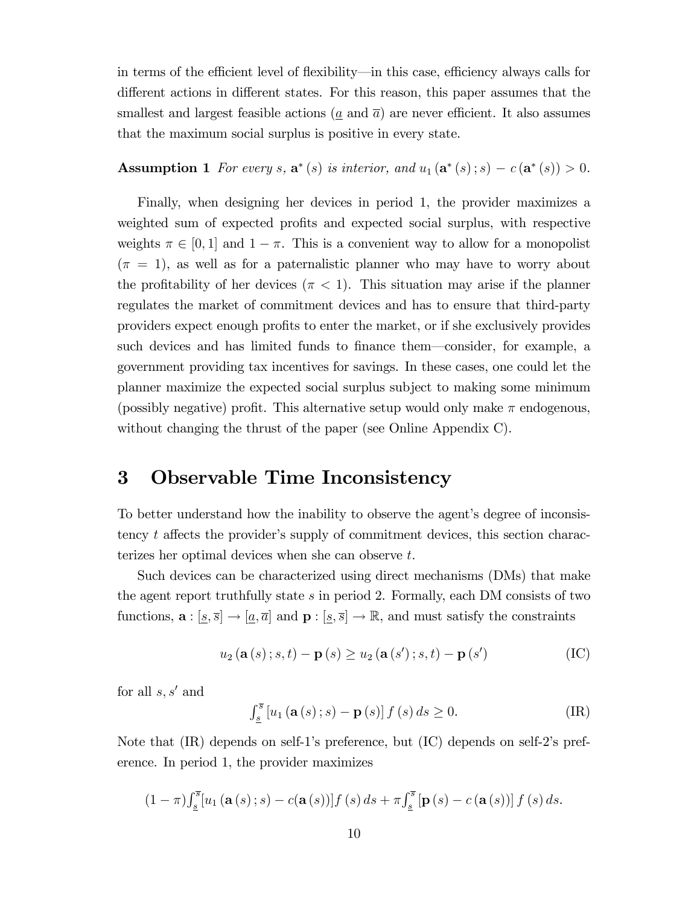in terms of the efficient level of flexibility—in this case, efficiency always calls for different actions in different states. For this reason, this paper assumes that the smallest and largest feasible actions ( $\alpha$  and  $\overline{a}$ ) are never efficient. It also assumes that the maximum social surplus is positive in every state.

**Assumption 1** For every s,  $\mathbf{a}^*(s)$  is interior, and  $u_1(\mathbf{a}^*(s); s) - c(\mathbf{a}^*(s)) > 0$ .

Finally, when designing her devices in period 1, the provider maximizes a weighted sum of expected profits and expected social surplus, with respective weights  $\pi \in [0, 1]$  and  $1 - \pi$ . This is a convenient way to allow for a monopolist  $(\pi = 1)$ , as well as for a paternalistic planner who may have to worry about the profitability of her devices  $(\pi < 1)$ . This situation may arise if the planner regulates the market of commitment devices and has to ensure that third-party providers expect enough profits to enter the market, or if she exclusively provides such devices and has limited funds to finance them—consider, for example, a government providing tax incentives for savings. In these cases, one could let the planner maximize the expected social surplus subject to making some minimum (possibly negative) profit. This alternative setup would only make  $\pi$  endogenous, without changing the thrust of the paper (see Online Appendix C).

### 3 Observable Time Inconsistency

To better understand how the inability to observe the agent's degree of inconsistency  $t$  affects the provider's supply of commitment devices, this section characterizes her optimal devices when she can observe t.

Such devices can be characterized using direct mechanisms (DMs) that make the agent report truthfully state s in period 2. Formally, each DM consists of two functions,  $\mathbf{a} : [s, \overline{s}] \to [a, \overline{a}]$  and  $\mathbf{p} : [s, \overline{s}] \to \mathbb{R}$ , and must satisfy the constraints

$$
u_2(\mathbf{a}(s); s, t) - \mathbf{p}(s) \ge u_2(\mathbf{a}(s'); s, t) - \mathbf{p}(s')
$$
 (IC)

for all  $s, s'$  and

$$
\int_{\underline{s}}^{\overline{s}} \left[ u_1 \left( \mathbf{a}(s) \, ; s \right) - \mathbf{p}(s) \right] f \left( s \right) ds \ge 0. \tag{IR}
$$

Note that (IR) depends on self-1's preference, but (IC) depends on self-2's preference. In period 1, the provider maximizes

$$
(1-\pi)\int_{\underline{s}}^{\overline{s}}\left[u_1\left(\mathbf{a}\left(s\right);s\right)-c(\mathbf{a}\left(s\right))\right]f\left(s\right)ds+\pi\int_{\underline{s}}^{\overline{s}}\left[\mathbf{p}\left(s\right)-c\left(\mathbf{a}\left(s\right)\right)\right]f\left(s\right)ds.
$$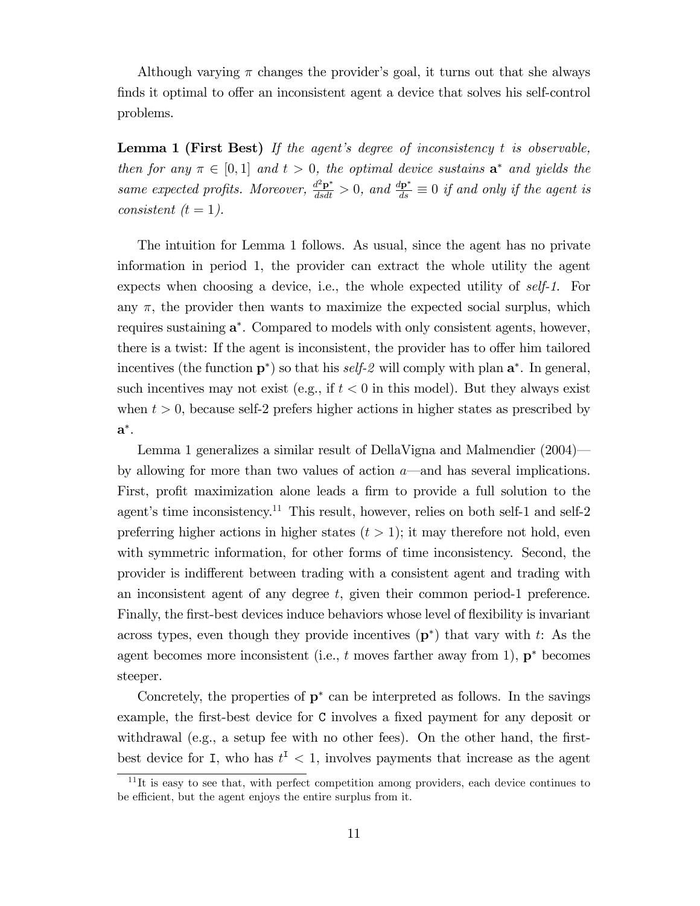Although varying  $\pi$  changes the provider's goal, it turns out that she always finds it optimal to offer an inconsistent agent a device that solves his self-control problems.

**Lemma 1 (First Best)** If the agent's degree of inconsistency  $t$  is observable, then for any  $\pi \in [0,1]$  and  $t > 0$ , the optimal device sustains  $\mathbf{a}^*$  and yields the same expected profits. Moreover,  $\frac{d^2 \mathbf{p}^*}{dsdt} > 0$ , and  $\frac{d\mathbf{p}^*}{ds} \equiv 0$  if and only if the agent is consistent  $(t = 1)$ .

The intuition for Lemma 1 follows. As usual, since the agent has no private information in period 1, the provider can extract the whole utility the agent expects when choosing a device, i.e., the whole expected utility of self-1. For any  $\pi$ , the provider then wants to maximize the expected social surplus, which requires sustaining  $a^*$ . Compared to models with only consistent agents, however, there is a twist: If the agent is inconsistent, the provider has to offer him tailored incentives (the function  $p^*$ ) so that his *self-2* will comply with plan  $a^*$ . In general, such incentives may not exist (e.g., if  $t < 0$  in this model). But they always exist when  $t > 0$ , because self-2 prefers higher actions in higher states as prescribed by  $\mathbf{a}^*.$ 

Lemma 1 generalizes a similar result of DellaVigna and Malmendier  $(2004)$ by allowing for more than two values of action  $a$ —and has several implications. First, profit maximization alone leads a firm to provide a full solution to the agent's time inconsistency.<sup>11</sup> This result, however, relies on both self-1 and self-2 preferring higher actions in higher states  $(t > 1)$ ; it may therefore not hold, even with symmetric information, for other forms of time inconsistency. Second, the provider is indifferent between trading with a consistent agent and trading with an inconsistent agent of any degree t, given their common period-1 preference. Finally, the first-best devices induce behaviors whose level of flexibility is invariant across types, even though they provide incentives  $(p^*)$  that vary with t: As the agent becomes more inconsistent (i.e.,  $t$  moves farther away from 1),  $\mathbf{p}^*$  becomes steeper.

Concretely, the properties of  $p^*$  can be interpreted as follows. In the savings example, the first-best device for C involves a fixed payment for any deposit or withdrawal (e.g., a setup fee with no other fees). On the other hand, the firstbest device for I, who has  $t^I < 1$ , involves payments that increase as the agent

 $11$ It is easy to see that, with perfect competition among providers, each device continues to be efficient, but the agent enjoys the entire surplus from it.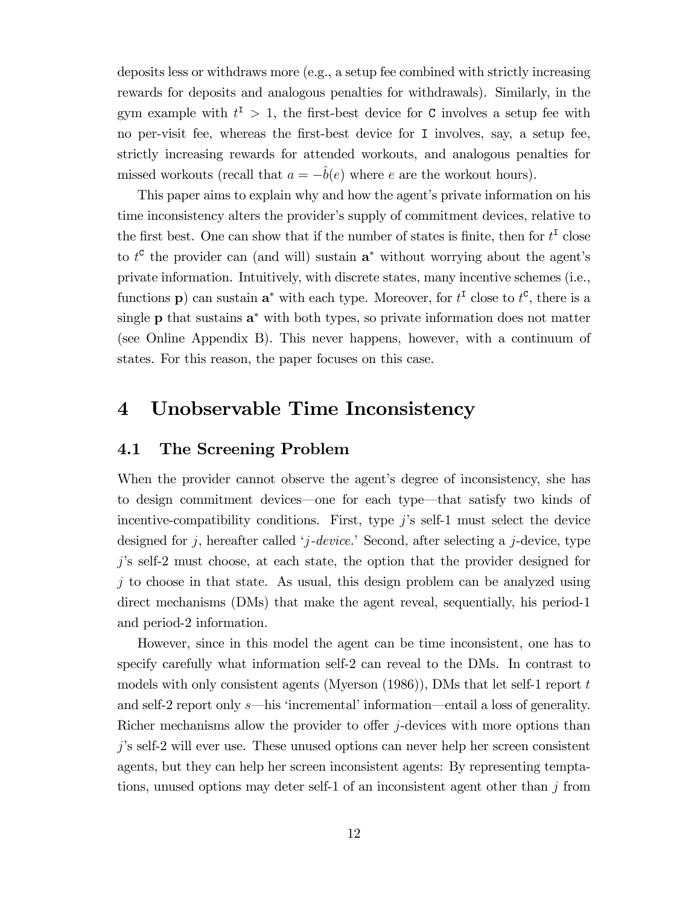deposits less or withdraws more (e.g., a setup fee combined with strictly increasing rewards for deposits and analogous penalties for withdrawals). Similarly, in the gym example with  $t^{\text{I}} > 1$ , the first-best device for C involves a setup fee with no per-visit fee, whereas the first-best device for I involves, say, a setup fee, strictly increasing rewards for attended workouts, and analogous penalties for missed workouts (recall that  $a = -\hat{b}(e)$  where e are the workout hours).

This paper aims to explain why and how the agent's private information on his time inconsistency alters the provider's supply of commitment devices, relative to the first best. One can show that if the number of states is finite, then for  $t<sup>I</sup>$  close to  $t^c$  the provider can (and will) sustain  $a^*$  without worrying about the agent's private information. Intuitively, with discrete states, many incentive schemes (i.e., functions **p**) can sustain  $\mathbf{a}^*$  with each type. Moreover, for  $t^{\mathsf{T}}$  close to  $t^{\mathsf{C}}$ , there is a single  $\bf{p}$  that sustains  $\bf{a}^*$  with both types, so private information does not matter (see Online Appendix B). This never happens, however, with a continuum of states. For this reason, the paper focuses on this case.

### 4 Unobservable Time Inconsistency

### 4.1 The Screening Problem

When the provider cannot observe the agent's degree of inconsistency, she has to design commitment devices—one for each type—that satisfy two kinds of incentive-compatibility conditions. First, type  $j$ 's self-1 must select the device designed for j, hereafter called 'j-device.' Second, after selecting a j-device, type  $j$ 's self-2 must choose, at each state, the option that the provider designed for  $j$  to choose in that state. As usual, this design problem can be analyzed using direct mechanisms (DMs) that make the agent reveal, sequentially, his period-1 and period-2 information.

However, since in this model the agent can be time inconsistent, one has to specify carefully what information self-2 can reveal to the DMs. In contrast to models with only consistent agents (Myerson (1986)), DMs that let self-1 report t and self-2 report only s—his 'incremental' information—entail a loss of generality. Richer mechanisms allow the provider to offer  $j$ -devices with more options than jís self-2 will ever use. These unused options can never help her screen consistent agents, but they can help her screen inconsistent agents: By representing temptations, unused options may deter self-1 of an inconsistent agent other than j from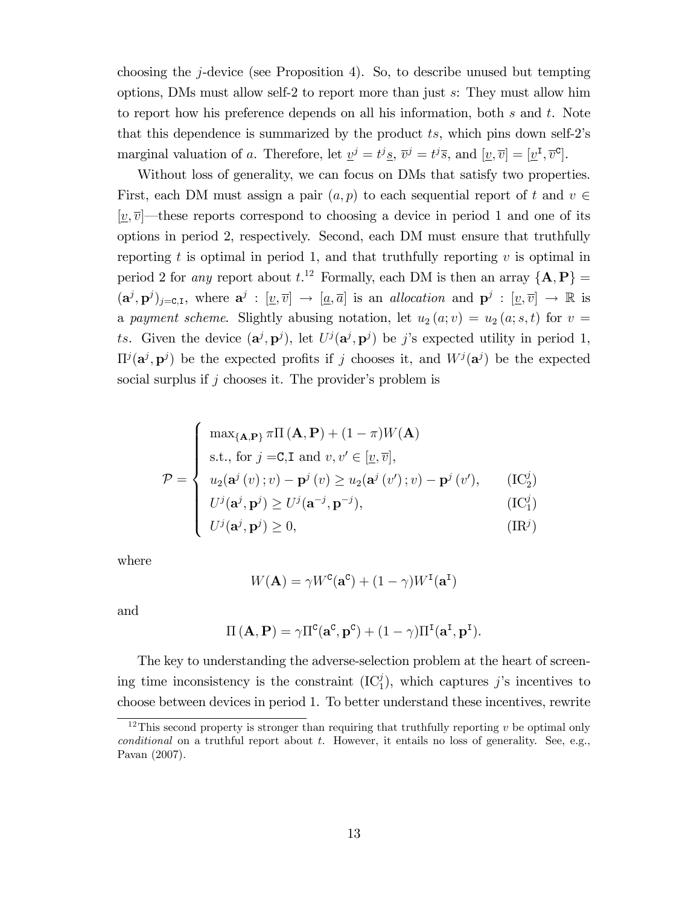choosing the j-device (see Proposition 4). So, to describe unused but tempting options, DMs must allow self-2 to report more than just s: They must allow him to report how his preference depends on all his information, both  $s$  and  $t$ . Note that this dependence is summarized by the product  $ts$ , which pins down self-2's marginal valuation of a. Therefore, let  $\underline{v}^j = t^j \underline{s}$ ,  $\overline{v}^j = t^j \overline{s}$ , and  $[\underline{v}, \overline{v}] = [\underline{v}^{\text{I}}, \overline{v}^{\text{c}}]$ .

Without loss of generality, we can focus on DMs that satisfy two properties. First, each DM must assign a pair  $(a, p)$  to each sequential report of t and  $v \in$  $[v,\overline{v}]$  these reports correspond to choosing a device in period 1 and one of its options in period 2, respectively. Second, each DM must ensure that truthfully reporting t is optimal in period 1, and that truthfully reporting  $v$  is optimal in period 2 for *any* report about  $t.^{12}$  Formally, each DM is then an array  ${A, P}$  =  $(a^j, p^j)_{j=0,1}$ , where  $a^j : [\underline{v}, \overline{v}] \to [\underline{a}, \overline{a}]$  is an *allocation* and  $p^j : [\underline{v}, \overline{v}] \to \mathbb{R}$  is a payment scheme. Slightly abusing notation, let  $u_2(a; v) = u_2(a; s, t)$  for  $v =$ ts. Given the device  $(\mathbf{a}^j, \mathbf{p}^j)$ , let  $U^j(\mathbf{a}^j, \mathbf{p}^j)$  be j's expected utility in period 1,  $\Pi^{j}(\mathbf{a}^{j}, \mathbf{p}^{j})$  be the expected profits if j chooses it, and  $W^{j}(\mathbf{a}^{j})$  be the expected social surplus if  $j$  chooses it. The provider's problem is

$$
\mathcal{P} = \begin{cases}\n\max_{\{\mathbf{A}, \mathbf{P}\}} \pi \Pi\left(\mathbf{A}, \mathbf{P}\right) + (1 - \pi)W(\mathbf{A}) \\
\text{s.t., for } j = \text{C, I and } v, v' \in [\underline{v}, \overline{v}], \\
u_2(\mathbf{a}^j(v); v) - \mathbf{p}^j(v) \ge u_2(\mathbf{a}^j(v'); v) - \mathbf{p}^j(v'), \qquad (\text{IC}_2^j) \\
U^j(\mathbf{a}^j, \mathbf{p}^j) \ge U^j(\mathbf{a}^{-j}, \mathbf{p}^{-j}), & (\text{IC}_1^j) \\
U^j(\mathbf{a}^j, \mathbf{p}^j) \ge 0, & (\text{IR}^j)\n\end{cases}
$$

where

$$
W(\mathbf{A}) = \gamma W^{\mathbf{C}}(\mathbf{a}^{\mathbf{C}}) + (1 - \gamma)W^{\mathbf{I}}(\mathbf{a}^{\mathbf{I}})
$$

and

$$
\Pi\left(\mathbf{A},\mathbf{P}\right)=\gamma\Pi^c(\mathbf{a}^c,\mathbf{p}^c)+(1-\gamma)\Pi^{\text{I}}(\mathbf{a}^{\text{I}},\mathbf{p}^{\text{I}}).
$$

The key to understanding the adverse-selection problem at the heart of screening time inconsistency is the constraint  $(IC_1^j)$ , which captures j's incentives to choose between devices in period 1. To better understand these incentives, rewrite

<sup>&</sup>lt;sup>12</sup>This second property is stronger than requiring that truthfully reporting  $v$  be optimal only conditional on a truthful report about  $t$ . However, it entails no loss of generality. See, e.g., Pavan (2007).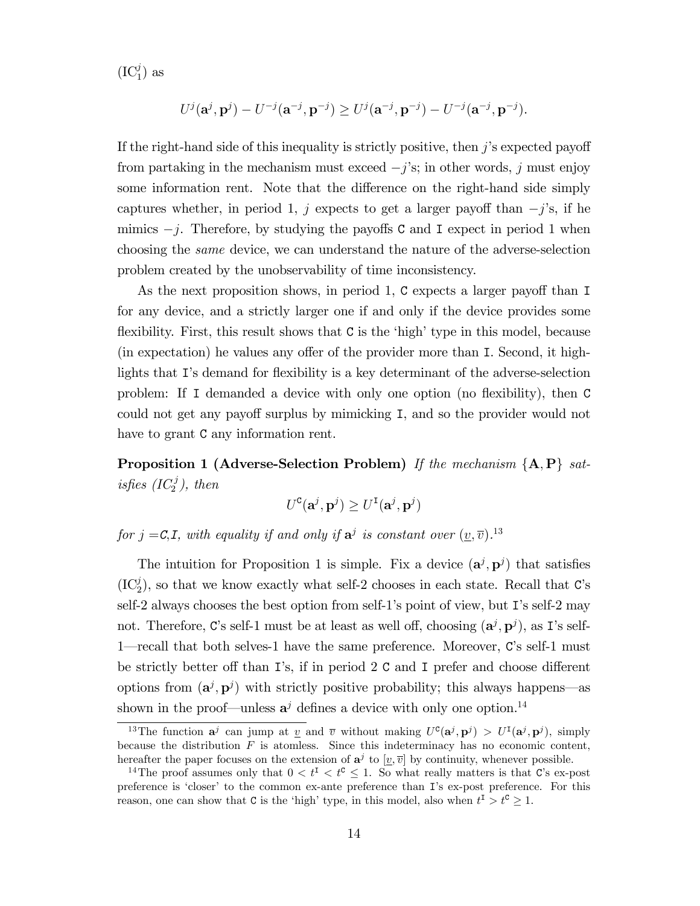$(IC_1^j)$  as

$$
U^j(\mathbf{a}^j, \mathbf{p}^j) - U^{-j}(\mathbf{a}^{-j}, \mathbf{p}^{-j}) \ge U^j(\mathbf{a}^{-j}, \mathbf{p}^{-j}) - U^{-j}(\mathbf{a}^{-j}, \mathbf{p}^{-j}).
$$

If the right-hand side of this inequality is strictly positive, then  $j$ 's expected payoff from partaking in the mechanism must exceed  $-j$ 's; in other words, j must enjoy some information rent. Note that the difference on the right-hand side simply captures whether, in period 1, j expects to get a larger payoff than  $-j$ 's, if he mimics  $-j$ . Therefore, by studying the payoffs C and I expect in period 1 when choosing the same device, we can understand the nature of the adverse-selection problem created by the unobservability of time inconsistency.

As the next proposition shows, in period 1,  $C$  expects a larger payoff than I for any device, and a strictly larger one if and only if the device provides some flexibility. First, this result shows that  $C$  is the 'high' type in this model, because  $(in$  expectation) he values any offer of the provider more than I. Second, it highlights that I's demand for flexibility is a key determinant of the adverse-selection problem: If I demanded a device with only one option (no áexibility), then C could not get any payoff surplus by mimicking I, and so the provider would not have to grant  $C$  any information rent.

**Proposition 1 (Adverse-Selection Problem)** If the mechanism  $\{A, P\}$  satisfies  $(IC_2^j)$ , then

$$
U^{\text{C}}(\mathbf{a}^j, \mathbf{p}^j) \ge U^{\text{I}}(\mathbf{a}^j, \mathbf{p}^j)
$$

for  $j = C, I$ , with equality if and only if  $a^j$  is constant over  $(\underline{v}, \overline{v})$ .<sup>13</sup>

The intuition for Proposition 1 is simple. Fix a device  $(\mathbf{a}^j, \mathbf{p}^j)$  that satisfies  $(IC_2^j)$ , so that we know exactly what self-2 chooses in each state. Recall that C's self-2 always chooses the best option from self-1's point of view, but  $\mathbb{I}$ 's self-2 may not. Therefore, C's self-1 must be at least as well off, choosing  $(\mathbf{a}^j, \mathbf{p}^j)$ , as I's self-1—recall that both selves-1 have the same preference. Moreover, C's self-1 must be strictly better off than I's, if in period 2 C and I prefer and choose different options from  $(\mathbf{a}^j, \mathbf{p}^j)$  with strictly positive probability; this always happens—as shown in the proof—unless  $a^j$  defines a device with only one option.<sup>14</sup>

<sup>&</sup>lt;sup>13</sup>The function  $a^j$  can jump at <u>v</u> and  $\overline{v}$  without making  $U^c(a^j, p^j) > U^I(a^j, p^j)$ , simply because the distribution  $F$  is atomless. Since this indeterminacy has no economic content, hereafter the paper focuses on the extension of  $a^j$  to  $[\underline{v}, \overline{v}]$  by continuity, whenever possible.

<sup>&</sup>lt;sup>14</sup>The proof assumes only that  $0 < t^{\mathsf{T}} < t^{\mathsf{C}} \leq 1$ . So what really matters is that C's ex-post preference is 'closer' to the common ex-ante preference than I's ex-post preference. For this reason, one can show that  $C$  is the 'high' type, in this model, also when  $t^I > t^C \geq 1$ .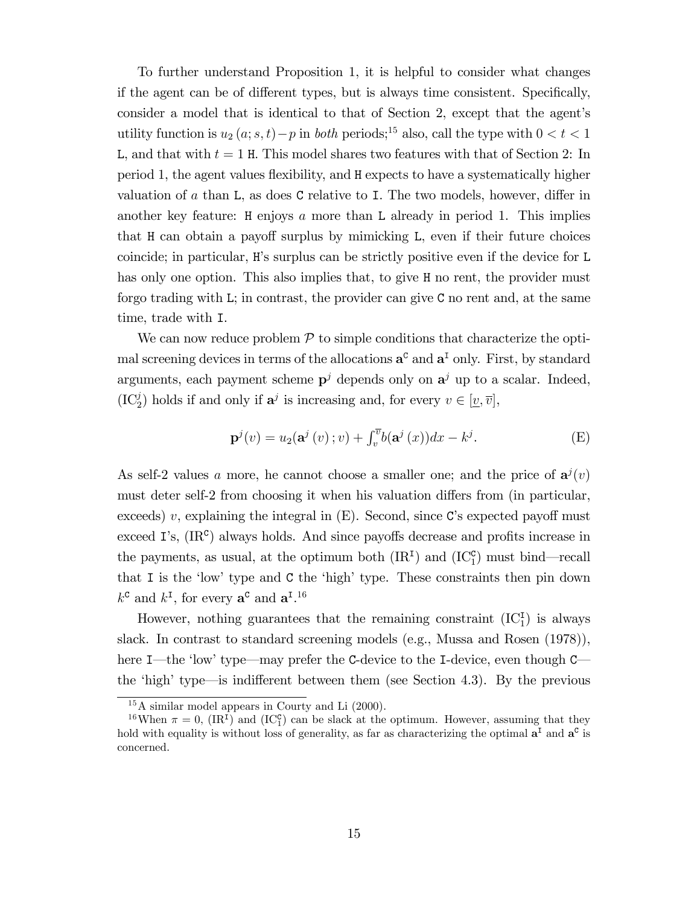To further understand Proposition 1, it is helpful to consider what changes if the agent can be of different types, but is always time consistent. Specifically, consider a model that is identical to that of Section 2, except that the agent's utility function is  $u_2(a; s, t)-p$  in *both* periods;<sup>15</sup> also, call the type with  $0 < t < 1$ L, and that with  $t = 1$  H. This model shares two features with that of Section 2: In period 1, the agent values áexibility, and H expects to have a systematically higher valuation of  $\alpha$  than L, as does C relative to I. The two models, however, differ in another key feature:  $H$  enjoys  $\alpha$  more than L already in period 1. This implies that H can obtain a payoff surplus by mimicking L, even if their future choices coincide; in particular, Hís surplus can be strictly positive even if the device for L has only one option. This also implies that, to give H no rent, the provider must forgo trading with L; in contrast, the provider can give C no rent and, at the same time, trade with I.

We can now reduce problem  $P$  to simple conditions that characterize the optimal screening devices in terms of the allocations  $a^c$  and  $a^I$  only. First, by standard arguments, each payment scheme  $p^j$  depends only on  $a^j$  up to a scalar. Indeed,  $(IC_2^j)$  holds if and only if  $\mathbf{a}^j$  is increasing and, for every  $v \in [\underline{v}, \overline{v}]$ ,

$$
\mathbf{p}^{j}(v) = u_{2}(\mathbf{a}^{j}(v); v) + \int_{v}^{\overline{v}} b(\mathbf{a}^{j}(x)) dx - k^{j}.
$$
 (E)

As self-2 values a more, he cannot choose a smaller one; and the price of  $a^{j}(v)$ must deter self-2 from choosing it when his valuation differs from (in particular, exceeds) v, explaining the integral in  $(E)$ . Second, since C's expected payoff must exceed  $\mathbf{I}$ 's,  $(\mathbf{IR}^c)$  always holds. And since payoffs decrease and profits increase in the payments, as usual, at the optimum both  $(IR<sup>I</sup>)$  and  $(IC<sub>1</sub><sup>c</sup>)$  must bind—recall that I is the 'low' type and  $C$  the 'high' type. These constraints then pin down  $k^{\mathsf{C}}$  and  $k^{\mathsf{I}}$ , for every  $\mathbf{a}^{\mathsf{C}}$  and  $\mathbf{a}^{\mathsf{I}}$ .<sup>16</sup>

However, nothing guarantees that the remaining constraint  $(IC<sub>1</sub><sup>T</sup>)$  is always slack. In contrast to standard screening models (e.g., Mussa and Rosen (1978)), here I—the 'low' type—may prefer the C-device to the I-device, even though  $C$  the 'high' type—is indifferent between them (see Section 4.3). By the previous

 $15A$  similar model appears in Courty and Li  $(2000)$ .

<sup>&</sup>lt;sup>16</sup>When  $\pi = 0$ , (IR<sup>I</sup>) and (IC<sup>c</sup><sub>1</sub>) can be slack at the optimum. However, assuming that they hold with equality is without loss of generality, as far as characterizing the optimal  $a^I$  and  $a^C$  is concerned.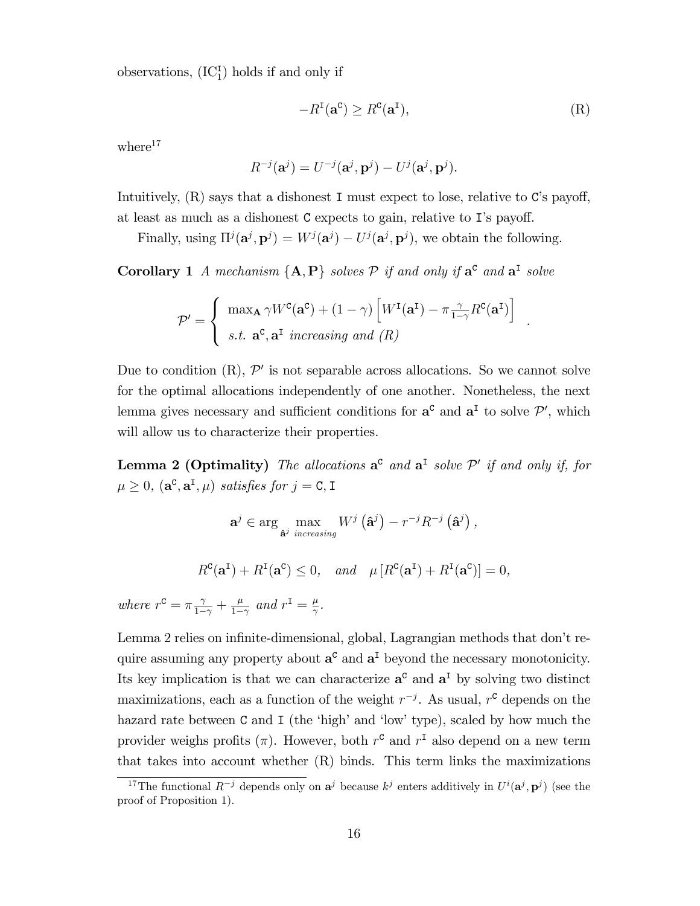observations,  $(IC<sub>1</sub><sup>T</sup>)$  holds if and only if

$$
-R^{\mathbf{I}}(\mathbf{a}^{\mathbf{C}}) \ge R^{\mathbf{C}}(\mathbf{a}^{\mathbf{I}}),\tag{R}
$$

.

where $17$ 

$$
R^{-j}(\mathbf{a}^j) = U^{-j}(\mathbf{a}^j, \mathbf{p}^j) - U^j(\mathbf{a}^j, \mathbf{p}^j).
$$

Intuitively,  $(R)$  says that a dishonest I must expect to lose, relative to C's payoff, at least as much as a dishonest  $C$  expects to gain, relative to I's payoff.

Finally, using  $\Pi^{j}(\mathbf{a}^{j}, \mathbf{p}^{j}) = W^{j}(\mathbf{a}^{j}) - U^{j}(\mathbf{a}^{j}, \mathbf{p}^{j})$ , we obtain the following.

**Corollary 1** A mechanism  $\{A, P\}$  solves  $P$  if and only if  $a^c$  and  $a^I$  solve

$$
\mathcal{P}' = \begin{cases} \max_{\mathbf{A}} \gamma W^{c}(\mathbf{a}^{c}) + (1 - \gamma) \left[ W^{I}(\mathbf{a}^{I}) - \pi \frac{\gamma}{1 - \gamma} R^{c}(\mathbf{a}^{I}) \right] \\ s.t. \mathbf{a}^{c}, \mathbf{a}^{I} \text{ increasing and } (R) \end{cases}
$$

Due to condition  $(R)$ ,  $\mathcal{P}'$  is not separable across allocations. So we cannot solve for the optimal allocations independently of one another. Nonetheless, the next lemma gives necessary and sufficient conditions for  $a^c$  and  $a^I$  to solve  $\mathcal{P}'$ , which will allow us to characterize their properties.

**Lemma 2 (Optimality)** The allocations  $a^c$  and  $a^I$  solve  $\mathcal{P}'$  if and only if, for  $\mu \geq 0$ ,  $(\mathbf{a}^{\mathbf{c}}, \mathbf{a}^{\mathbf{I}}, \mu)$  satisfies for  $j = \mathbf{C}, \mathbf{I}$ 

> $\mathbf{a}^j \in \arg\max_{\mathbf{\hat{a}}^j \text{ increasing}}$  $W^j\left(\hat{\mathbf{a}}^j\right) - r^{-j}R^{-j}\left(\hat{\mathbf{a}}^j\right)$ ,

 $R^{\mathbf{C}}(\mathbf{a}^{\mathbf{I}}) + R^{\mathbf{I}}(\mathbf{a}^{\mathbf{C}}) \leq 0$ , and  $\mu [R^{\mathbf{C}}(\mathbf{a}^{\mathbf{I}}) + R^{\mathbf{I}}(\mathbf{a}^{\mathbf{C}})] = 0$ ,

where  $r^c = \pi \frac{\gamma}{1-\gamma} + \frac{\mu}{1-\gamma}$  $\frac{\mu}{1-\gamma}$  and  $r^{\text{I}} = \frac{\mu}{\gamma}$  $\frac{\mu}{\gamma}.$ 

Lemma 2 relies on infinite-dimensional, global, Lagrangian methods that don't require assuming any property about  $a^c$  and  $a^I$  beyond the necessary monotonicity. Its key implication is that we can characterize  $a^c$  and  $a^I$  by solving two distinct maximizations, each as a function of the weight  $r^{-j}$ . As usual,  $r^{c}$  depends on the hazard rate between  $C$  and  $I$  (the 'high' and 'low' type), scaled by how much the provider weighs profits  $(\pi)$ . However, both  $r^c$  and  $r^I$  also depend on a new term that takes into account whether (R) binds. This term links the maximizations

<sup>&</sup>lt;sup>17</sup>The functional  $R^{-j}$  depends only on  $a^j$  because  $k^j$  enters additively in  $U^i(a^j, p^j)$  (see the proof of Proposition 1).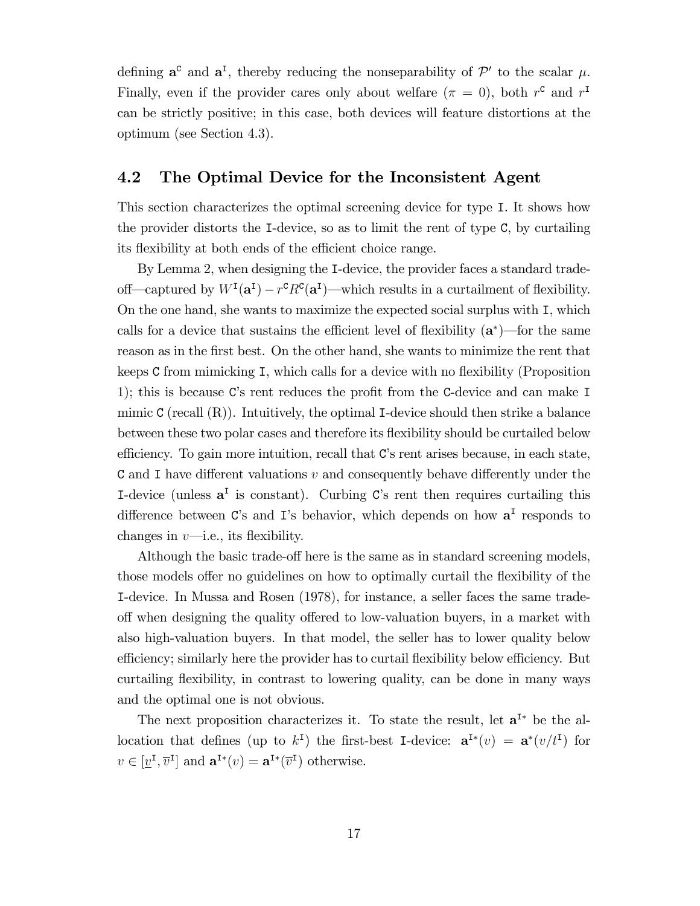defining  $a^c$  and  $a^I$ , thereby reducing the nonseparability of  $\mathcal{P}'$  to the scalar  $\mu$ . Finally, even if the provider cares only about welfare  $(\pi = 0)$ , both  $r^c$  and  $r^I$ can be strictly positive; in this case, both devices will feature distortions at the optimum (see Section 4.3).

### 4.2 The Optimal Device for the Inconsistent Agent

This section characterizes the optimal screening device for type I. It shows how the provider distorts the I-device, so as to limit the rent of type C, by curtailing its flexibility at both ends of the efficient choice range.

By Lemma 2, when designing the I-device, the provider faces a standard tradeoff—captured by  $W^I(\mathbf{a}^I) - r^c R^c(\mathbf{a}^I)$ —which results in a curtailment of flexibility. On the one hand, she wants to maximize the expected social surplus with I, which calls for a device that sustains the efficient level of flexibility  $(a^*)$ —for the same reason as in the first best. On the other hand, she wants to minimize the rent that keeps  $C$  from mimicking  $I$ , which calls for a device with no flexibility (Proposition 1); this is because C's rent reduces the profit from the C-device and can make  $I$ mimic  $C$  (recall  $(R)$ ). Intuitively, the optimal I-device should then strike a balance between these two polar cases and therefore its flexibility should be curtailed below efficiency. To gain more intuition, recall that  $C$ 's rent arises because, in each state, C and I have different valuations  $v$  and consequently behave differently under the I-device (unless  $a^I$  is constant). Curbing C's rent then requires curtailing this difference between C's and I's behavior, which depends on how  $a<sup>I</sup>$  responds to changes in  $v$ —i.e., its flexibility.

Although the basic trade-off here is the same as in standard screening models, those models offer no guidelines on how to optimally curtail the flexibility of the I-device. In Mussa and Rosen (1978), for instance, a seller faces the same tradeoff when designing the quality offered to low-valuation buyers, in a market with also high-valuation buyers. In that model, the seller has to lower quality below efficiency; similarly here the provider has to curtail flexibility below efficiency. But curtailing flexibility, in contrast to lowering quality, can be done in many ways and the optimal one is not obvious.

The next proposition characterizes it. To state the result, let  $a<sup>I*</sup>$  be the allocation that defines (up to  $k^I$ ) the first-best I-device:  $\mathbf{a}^{I*}(v) = \mathbf{a}^{*}(v/t^I)$  for  $v \in [\underline{v}^{\mathsf{I}}, \overline{v}^{\mathsf{I}}]$  and  $\mathbf{a}^{\mathsf{I}*}(v) = \mathbf{a}^{\mathsf{I}*}(\overline{v}^{\mathsf{I}})$  otherwise.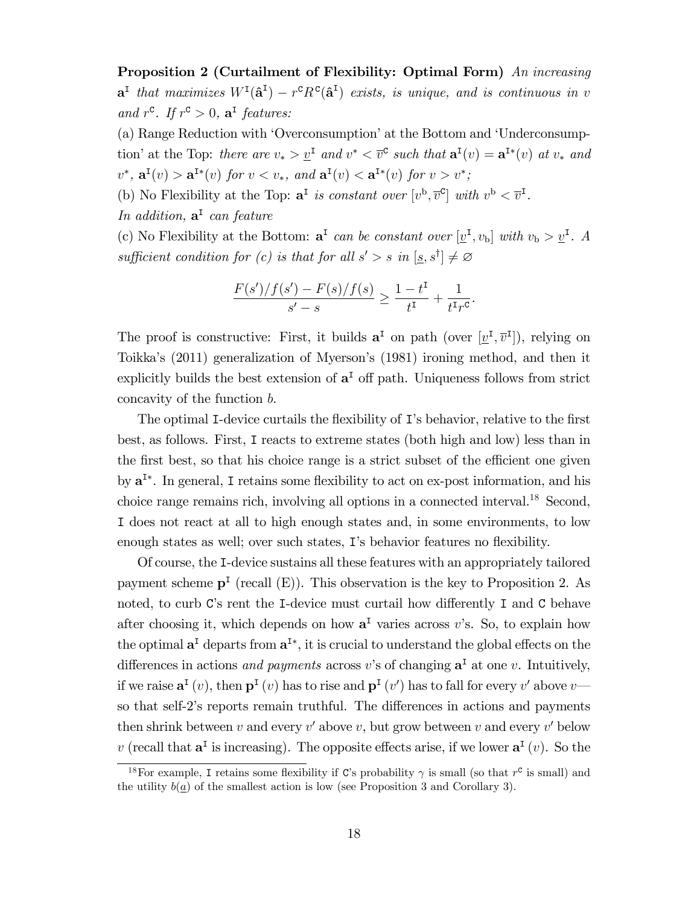Proposition 2 (Curtailment of Flexibility: Optimal Form) An increasing  $\mathbf{a}^{\mathsf{I}}$  that maximizes  $W^{\mathsf{I}}(\mathbf{\hat{a}}^{\mathsf{I}}) - r^{\mathsf{C}} R^{\mathsf{C}}(\mathbf{\hat{a}}^{\mathsf{I}})$  exists, is unique, and is continuous in v and  $r^c$ . If  $r^c > 0$ ,  $\mathbf{a}^{\text{I}}$  features:

(a) Range Reduction with 'Overconsumption' at the Bottom and 'Underconsumption' at the Top: there are  $v_* > \underline{v}^{\text{I}}$  and  $v^* < \overline{v}^{\text{C}}$  such that  $\mathbf{a}^{\text{I}}(v) = \mathbf{a}^{\text{I}*}(v)$  at  $v_*$  and  $v^*$ ,  $\mathbf{a}^{\mathsf{I}}(v) > \mathbf{a}^{\mathsf{I}*}(v)$  for  $v < v_*$ , and  $\mathbf{a}^{\mathsf{I}}(v) < \mathbf{a}^{\mathsf{I}*}(v)$  for  $v > v^*$ ;

(b) No Flexibility at the Top:  $\mathbf{a}^{\mathsf{I}}$  is constant over  $[v^{\mathsf{b}}, \overline{v}^{\mathsf{c}}]$  with  $v^{\mathsf{b}} < \overline{v}^{\mathsf{I}}$ .

In addition,  $\mathbf{a}^{\mathsf{T}}$  can feature

(c) No Flexibility at the Bottom:  $\mathbf{a}^{\text{I}}$  can be constant over  $[\underline{v}^{\text{I}}, v_{\text{b}}]$  with  $v_{\text{b}} > \underline{v}^{\text{I}}$ . A sufficient condition for (c) is that for all  $s' > s$  in  $[s, s^{\dagger}] \neq \emptyset$ 

$$
\frac{F(s')/f(s') - F(s)/f(s)}{s' - s} \ge \frac{1 - t^{I}}{t^{I}} + \frac{1}{t^{I}r^{C}}
$$

.

The proof is constructive: First, it builds  $\mathbf{a}^{\text{I}}$  on path (over  $[\underline{v}^{\text{I}}, \overline{v}^{\text{I}}]$ ), relying on Toikka's (2011) generalization of Myerson's (1981) ironing method, and then it explicitly builds the best extension of  $a<sup>T</sup>$  off path. Uniqueness follows from strict concavity of the function b.

The optimal I-device curtails the flexibility of I's behavior, relative to the first best, as follows. First, I reacts to extreme states (both high and low) less than in the first best, so that his choice range is a strict subset of the efficient one given by  $a<sup>I*</sup>$ . In general, I retains some flexibility to act on ex-post information, and his choice range remains rich, involving all options in a connected interval.<sup>18</sup> Second, I does not react at all to high enough states and, in some environments, to low enough states as well; over such states, I's behavior features no flexibility.

Of course, the I-device sustains all these features with an appropriately tailored payment scheme  $p<sup>T</sup>$  (recall  $(E)$ ). This observation is the key to Proposition 2. As noted, to curb  $C$ 's rent the I-device must curtail how differently I and C behave after choosing it, which depends on how  $a<sup>I</sup>$  varies across v's. So, to explain how the optimal  $a^I$  departs from  $a^{I*}$ , it is crucial to understand the global effects on the differences in actions *and payments* across v's of changing  $a<sup>T</sup>$  at one v. Intuitively, if we raise  $\mathbf{a}^{\text{I}}(v)$ , then  $\mathbf{p}^{\text{I}}(v)$  has to rise and  $\mathbf{p}^{\text{I}}(v')$  has to fall for every  $v'$  above  $v$  so that self-2's reports remain truthful. The differences in actions and payments then shrink between  $v$  and every  $v'$  above  $v$ , but grow between  $v$  and every  $v'$  below v (recall that  $a^I$  is increasing). The opposite effects arise, if we lower  $a^I(v)$ . So the

<sup>&</sup>lt;sup>18</sup>For example, I retains some flexibility if C's probability  $\gamma$  is small (so that  $r^c$  is small) and the utility  $b(a)$  of the smallest action is low (see Proposition 3 and Corollary 3).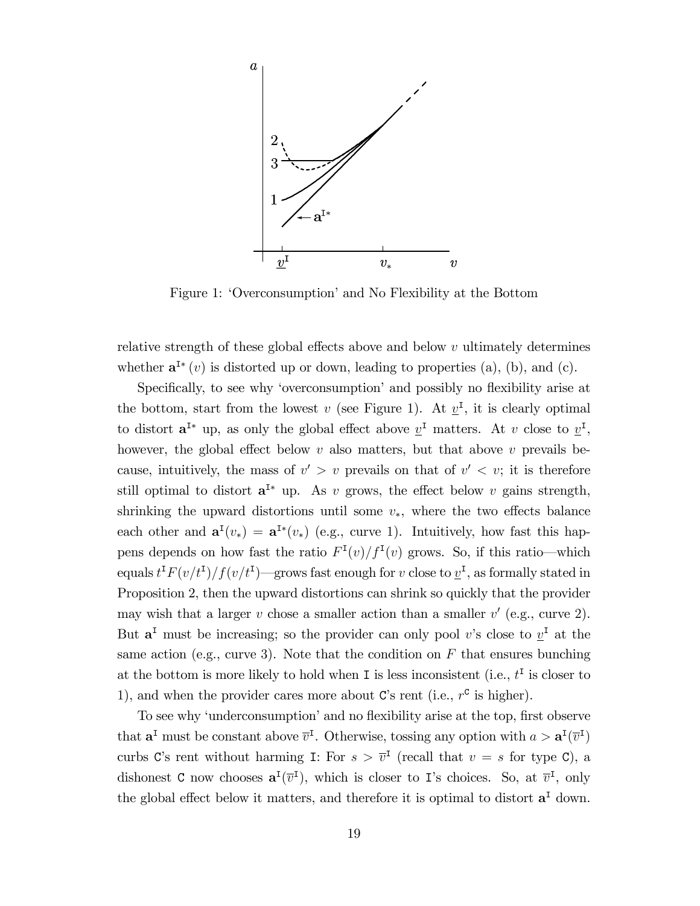

Figure 1: 'Overconsumption' and No Flexibility at the Bottom

relative strength of these global effects above and below  $v$  ultimately determines whether  $\mathbf{a}^{I*}(v)$  is distorted up or down, leading to properties (a), (b), and (c).

Specifically, to see why 'overconsumption' and possibly no flexibility arise at the bottom, start from the lowest v (see Figure 1). At  $\underline{v}^{\text{I}}$ , it is clearly optimal to distort  $\mathbf{a}^{\mathsf{I}*}$  up, as only the global effect above  $\underline{v}^{\mathsf{I}}$  matters. At v close to  $\underline{v}^{\mathsf{I}},$ however, the global effect below  $v$  also matters, but that above  $v$  prevails because, intuitively, the mass of  $v' > v$  prevails on that of  $v' < v$ ; it is therefore still optimal to distort  $a^{I*}$  up. As v grows, the effect below v gains strength, shrinking the upward distortions until some  $v_*$ , where the two effects balance each other and  $\mathbf{a}^{\mathsf{T}}(v_*) = \mathbf{a}^{\mathsf{T}*}(v_*)$  (e.g., curve 1). Intuitively, how fast this happens depends on how fast the ratio  $F<sup>I</sup>(v)/f<sup>I</sup>(v)$  grows. So, if this ratio—which equals  $t^I F(v/t^I)/f(v/t^I)$ —grows fast enough for v close to  $\underline{v}^I$ , as formally stated in Proposition 2, then the upward distortions can shrink so quickly that the provider may wish that a larger  $v$  chose a smaller action than a smaller  $v'$  (e.g., curve 2). But  $a<sup>I</sup>$  must be increasing; so the provider can only pool v's close to  $v<sup>I</sup>$  at the same action (e.g., curve 3). Note that the condition on  $F$  that ensures bunching at the bottom is more likely to hold when I is less inconsistent (i.e.,  $t<sup>I</sup>$  is closer to 1), and when the provider cares more about  $\mathbf{C}'$ s rent (i.e.,  $r^{\mathbf{C}}$  is higher).

To see why 'underconsumption' and no flexibility arise at the top, first observe that  $\mathbf{a}^{\text{I}}$  must be constant above  $\bar{v}^{\text{I}}$ . Otherwise, tossing any option with  $a > \mathbf{a}^{\text{I}}(\bar{v}^{\text{I}})$ curbs C's rent without harming I: For  $s > \bar{v}^{\text{I}}$  (recall that  $v = s$  for type C), a dishonest C now chooses  $\mathbf{a}^{\text{I}}(\overline{v}^{\text{I}})$ , which is closer to I's choices. So, at  $\overline{v}^{\text{I}}$ , only the global effect below it matters, and therefore it is optimal to distort  $a<sup>T</sup>$  down.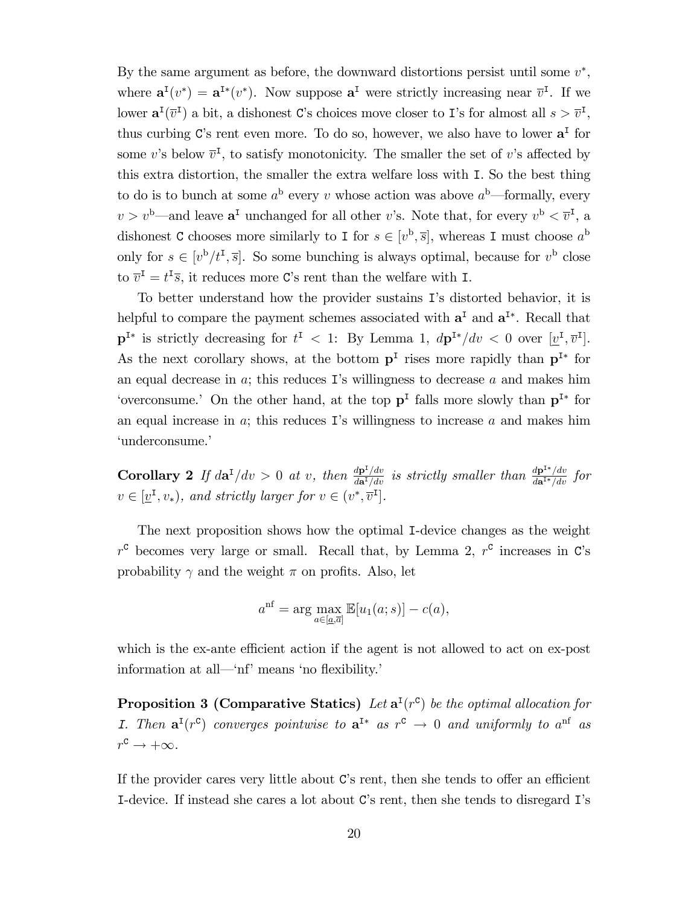By the same argument as before, the downward distortions persist until some  $v^*$ , where  $\mathbf{a}^{\mathrm{I}}(v^*) = \mathbf{a}^{\mathrm{I}*}(v^*)$ . Now suppose  $\mathbf{a}^{\mathrm{I}}$  were strictly increasing near  $\overline{v}^{\mathrm{I}}$ . If we lower  $\mathbf{a}^{\mathsf{I}}(\overline{v}^{\mathsf{I}})$  a bit, a dishonest C's choices move closer to I's for almost all  $s > \overline{v}^{\mathsf{I}}$ , thus curbing  $C$ 's rent even more. To do so, however, we also have to lower  $a<sup>T</sup>$  for some v's below  $\overline{v}^{\text{I}}$ , to satisfy monotonicity. The smaller the set of v's affected by this extra distortion, the smaller the extra welfare loss with I. So the best thing to do is to bunch at some  $a^{\rm b}$  every v whose action was above  $a^{\rm b}$ —formally, every  $v > v<sup>b</sup>$ —and leave  $a<sup>I</sup>$  unchanged for all other v's. Note that, for every  $v<sup>b</sup> < \overline{v}<sup>I</sup>$ , a dishonest C chooses more similarly to I for  $s \in [v^{\mathrm{b}}, \overline{s}]$ , whereas I must choose  $a^{\mathrm{b}}$ only for  $s \in [v^b/t^I, \overline{s}]$ . So some bunching is always optimal, because for  $v^b$  close to  $\overline{v}^{\mathbf{I}} = t^{\mathbf{I}}\overline{s}$ , it reduces more C's rent than the welfare with I.

To better understand how the provider sustains Iís distorted behavior, it is helpful to compare the payment schemes associated with  $a<sup>I</sup>$  and  $a<sup>I*</sup>$ . Recall that  $\mathbf{p}^{\mathbf{I}^*}$  is strictly decreasing for  $t^{\mathbf{I}} < 1$ : By Lemma 1,  $d\mathbf{p}^{\mathbf{I}^*}/dv < 0$  over  $[\underline{v}^{\mathbf{I}}, \overline{v}^{\mathbf{I}}]$ . As the next corollary shows, at the bottom  $p<sup>I</sup>$  rises more rapidly than  $p<sup>I*</sup>$  for an equal decrease in  $a$ ; this reduces I's willingness to decrease  $a$  and makes him 'overconsume.' On the other hand, at the top  $p<sup>I</sup>$  falls more slowly than  $p<sup>I*</sup>$  for an equal increase in  $a$ ; this reduces I's willingness to increase  $a$  and makes him 'underconsume.'

**Corollary 2** If  $d\mathbf{a}^{\text{T}}/dv > 0$  at v, then  $\frac{d\mathbf{p}^{\text{T}}/dv}{d\mathbf{a}^{\text{T}}/dv}$  is strictly smaller than  $\frac{d\mathbf{p}^{\text{T*}}/dv}{d\mathbf{a}^{\text{T*}}/dv}$  for  $v \in [\underline{v}^{\text{I}}, v_*)$ , and strictly larger for  $v \in (v^*, \overline{v}^{\text{I}}]$ .

The next proposition shows how the optimal I-device changes as the weight  $r^c$  becomes very large or small. Recall that, by Lemma 2,  $r^c$  increases in C's probability  $\gamma$  and the weight  $\pi$  on profits. Also, let

$$
a^{\text{nf}} = \arg\max_{a \in [a,\overline{a}]} \mathbb{E}[u_1(a;s)] - c(a),
$$

which is the ex-ante efficient action if the agent is not allowed to act on ex-post information at all—'nf' means 'no flexibility.'

**Proposition 3 (Comparative Statics)** Let  $\mathbf{a}^{\text{I}}(r^{\text{c}})$  be the optimal allocation for I. Then  $\mathbf{a}^{\mathrm{T}}(r^{\mathrm{c}})$  converges pointwise to  $\mathbf{a}^{\mathrm{T}*}$  as  $r^{\mathrm{c}} \to 0$  and uniformly to  $a^{\mathrm{n}\mathrm{f}}$  as  $r^{\text{c}} \to +\infty.$ 

If the provider cares very little about  $C$ 's rent, then she tends to offer an efficient I-device. If instead she cares a lot about C's rent, then she tends to disregard I's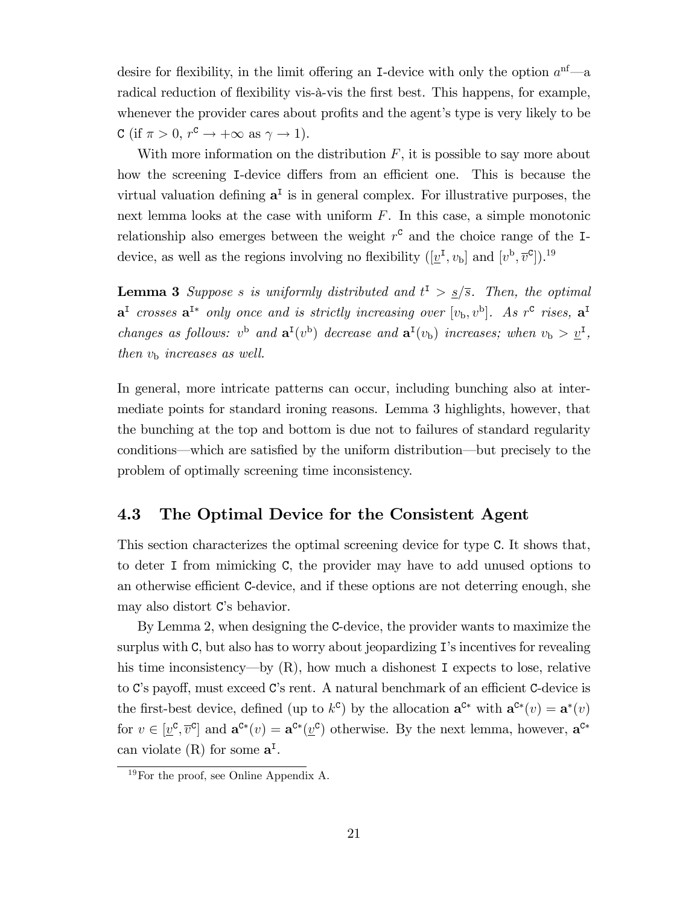desire for flexibility, in the limit offering an I-device with only the option  $a^{nf}$ —a radical reduction of flexibility vis-à-vis the first best. This happens, for example, whenever the provider cares about profits and the agent's type is very likely to be C (if  $\pi > 0$ ,  $r^c \to +\infty$  as  $\gamma \to 1$ ).

With more information on the distribution  $F$ , it is possible to say more about how the screening I-device differs from an efficient one. This is because the virtual valuation defining  $a<sup>T</sup>$  is in general complex. For illustrative purposes, the next lemma looks at the case with uniform  $F$ . In this case, a simple monotonic relationship also emerges between the weight  $r^c$  and the choice range of the Idevice, as well as the regions involving no flexibility  $([\underline{v}^{\mathrm{I}}, v_{\mathrm{b}}]$  and  $[v^{\mathrm{b}}, \overline{v}^{\mathrm{c}}]$ .<sup>19</sup>

**Lemma 3** Suppose s is uniformly distributed and  $t^{\text{I}} > \frac{s}{s}$ . Then, the optimal  $\mathbf{a}^{\text{I}}$  crosses  $\mathbf{a}^{\text{I}*}$  only once and is strictly increasing over  $[v_{\text{b}}, v^{\text{b}}]$ . As  $r^{\text{c}}$  rises,  $\mathbf{a}^{\text{I}}$ changes as follows:  $v^b$  and  $\mathbf{a}^I(v^b)$  decrease and  $\mathbf{a}^I(v_b)$  increases; when  $v_b > \underline{v}^I$ , then  $v_{\rm b}$  increases as well.

In general, more intricate patterns can occur, including bunching also at intermediate points for standard ironing reasons. Lemma 3 highlights, however, that the bunching at the top and bottom is due not to failures of standard regularity conditions—which are satisfied by the uniform distribution—but precisely to the problem of optimally screening time inconsistency.

### 4.3 The Optimal Device for the Consistent Agent

This section characterizes the optimal screening device for type C. It shows that, to deter I from mimicking C, the provider may have to add unused options to an otherwise efficient C-device, and if these options are not deterring enough, she may also distort C's behavior.

By Lemma 2, when designing the C-device, the provider wants to maximize the surplus with  $C$ , but also has to worry about jeopardizing  $I$ 's incentives for revealing his time inconsistency—by  $(R)$ , how much a dishonest I expects to lose, relative to C's payoff, must exceed C's rent. A natural benchmark of an efficient C-device is the first-best device, defined (up to  $k^c$ ) by the allocation  $\mathbf{a}^{c*}$  with  $\mathbf{a}^{c*}(v) = \mathbf{a}^*(v)$ for  $v \in [\underline{v}^c, \overline{v}^c]$  and  $\mathbf{a}^{c*}(v) = \mathbf{a}^{c*}(\underline{v}^c)$  otherwise. By the next lemma, however,  $\mathbf{a}^{c*}$ can violate  $(R)$  for some  $a<sup>I</sup>$ .

 $19\,\text{For the proof, see Online Appendix A.}$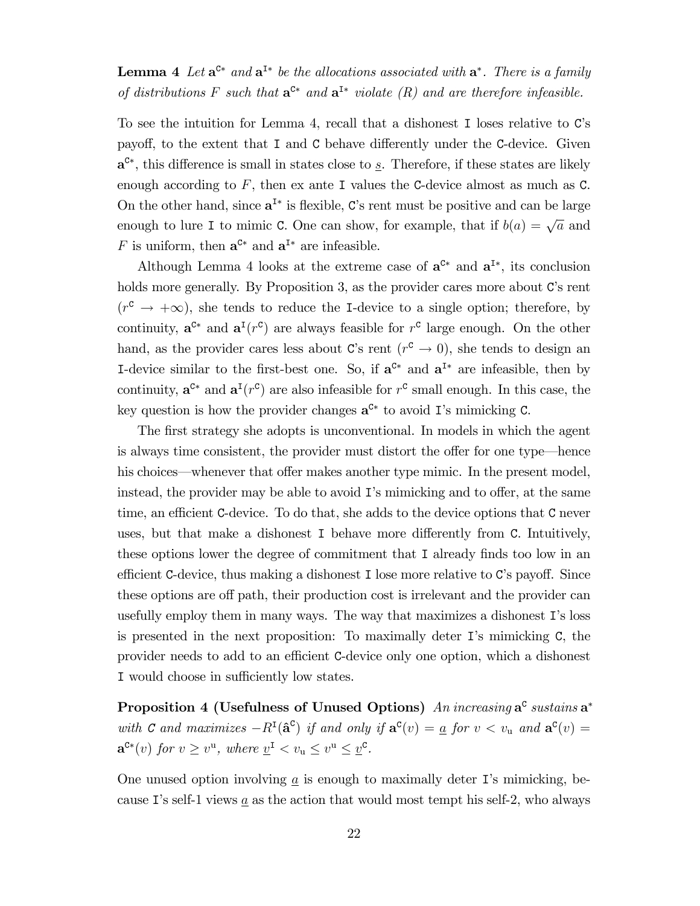### **Lemma 4** Let  $\mathbf{a}^{\mathsf{C}*}$  and  $\mathbf{a}^{\mathsf{I}*}$  be the allocations associated with  $\mathbf{a}^*$ . There is a family of distributions F such that  $\mathbf{a}^{c*}$  and  $\mathbf{a}^{I*}$  violate  $(R)$  and are therefore infeasible.

To see the intuition for Lemma 4, recall that a dishonest I loses relative to C's payoff, to the extent that  $I$  and  $C$  behave differently under the C-device. Given  $a^{c*}$ , this difference is small in states close to  $s$ . Therefore, if these states are likely enough according to  $F$ , then ex ante I values the C-device almost as much as C. On the other hand, since  $a^{I*}$  is flexible, C's rent must be positive and can be large enough to lure I to mimic C. One can show, for example, that if  $b(a) = \sqrt{a}$  and F is uniform, then  $a^{c*}$  and  $a^{I*}$  are infeasible.

Although Lemma 4 looks at the extreme case of  $a^{C*}$  and  $a^{I*}$ , its conclusion holds more generally. By Proposition 3, as the provider cares more about  $C$ 's rent  $(r^c \rightarrow +\infty)$ , she tends to reduce the I-device to a single option; therefore, by continuity,  $\mathbf{a}^{\mathcal{C}*}$  and  $\mathbf{a}^{\mathcal{I}}(r^{\mathcal{C}})$  are always feasible for  $r^{\mathcal{C}}$  large enough. On the other hand, as the provider cares less about C's rent  $(r^c \to 0)$ , she tends to design an I-device similar to the first-best one. So, if  $a^{C*}$  and  $a^{I*}$  are infeasible, then by continuity,  $\mathbf{a}^{\mathcal{C}*}$  and  $\mathbf{a}^{\mathcal{I}}(r^{\mathcal{C}})$  are also infeasible for  $r^{\mathcal{C}}$  small enough. In this case, the key question is how the provider changes  $a^{c*}$  to avoid I's mimicking C.

The first strategy she adopts is unconventional. In models in which the agent is always time consistent, the provider must distort the offer for one type—hence his choices—whenever that offer makes another type mimic. In the present model, instead, the provider may be able to avoid  $\mathbf{I}'s$  mimicking and to offer, at the same time, an efficient C-device. To do that, she adds to the device options that C never uses, but that make a dishonest I behave more differently from C. Intuitively, these options lower the degree of commitment that I already finds too low in an efficient C-device, thus making a dishonest I lose more relative to C's payoff. Since these options are off path, their production cost is irrelevant and the provider can usefully employ them in many ways. The way that maximizes a dishonest I's loss is presented in the next proposition: To maximally deter Iís mimicking C, the provider needs to add to an efficient C-device only one option, which a dishonest I would choose in sufficiently low states.

**Proposition 4 (Usefulness of Unused Options)** An increasing  $a^c$  sustains  $a^*$ with C and maximizes  $-R^{I}(\hat{a}^{C})$  if and only if  $a^{C}(v) = a$  for  $v < v_{u}$  and  $a^{C}(v) = a$  $\mathbf{a}^{\mathbf{C}*}(v)$  for  $v \geq v^{\mathbf{u}}, \text{ where } \underline{v}^{\mathbf{I}} < v_{\mathbf{u}} \leq v^{\mathbf{u}} \leq \underline{v}^{\mathbf{C}}.$ 

One unused option involving  $\underline{a}$  is enough to maximally deter I's mimicking, because I's self-1 views  $\underline{a}$  as the action that would most tempt his self-2, who always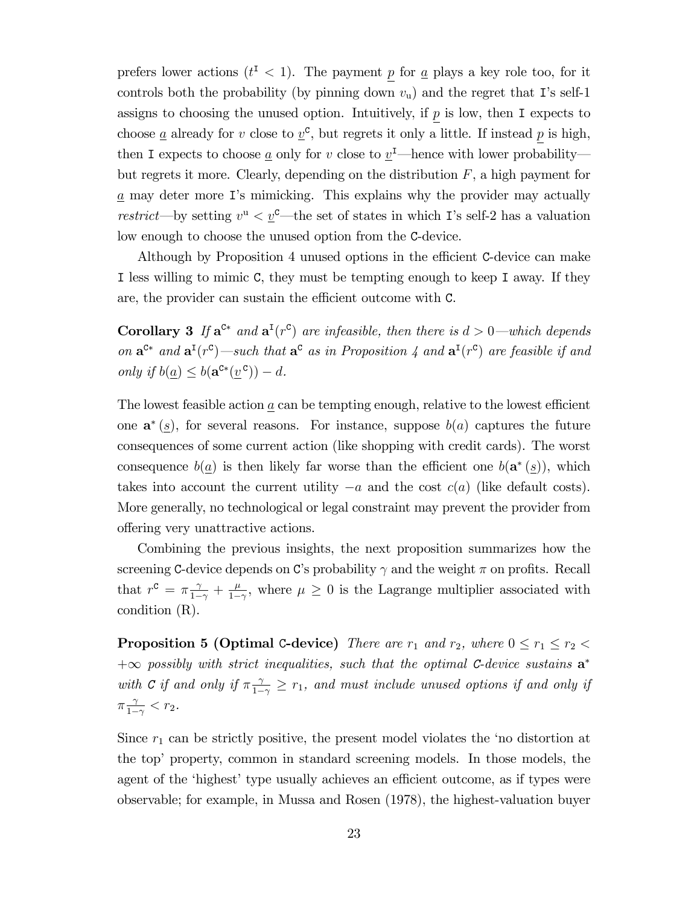prefers lower actions  $(t^{\text{I}} < 1)$ . The payment p for <u>a</u> plays a key role too, for it controls both the probability (by pinning down  $v_u$ ) and the regret that I's self-1 assigns to choosing the unused option. Intuitively, if  $p$  is low, then I expects to choose <u>a</u> already for v close to  $\underline{v}^c$ , but regrets it only a little. If instead p is high, then I expects to choose  $\underline{a}$  only for v close to  $\underline{v}^{\mathrm{I}}$ —hence with lower probability but regrets it more. Clearly, depending on the distribution  $F$ , a high payment for a may deter more Iís mimicking. This explains why the provider may actually restrict—by setting  $v^{\mathrm{u}} < \underline{v}^{\mathrm{c}}$ —the set of states in which I's self-2 has a valuation low enough to choose the unused option from the C-device.

Although by Proposition 4 unused options in the efficient C-device can make I less willing to mimic C, they must be tempting enough to keep I away. If they are, the provider can sustain the efficient outcome with  $C$ .

**Corollary 3** If  $\mathbf{a}^{\mathsf{c}*}$  and  $\mathbf{a}^{\mathsf{T}}(r^{\mathsf{c}})$  are infeasible, then there is  $d > 0$ —which depends on  $\mathbf{a}^{\mathsf{C}*}$  and  $\mathbf{a}^{\mathsf{T}}(r^{\mathsf{C}})$  —such that  $\mathbf{a}^{\mathsf{C}}$  as in Proposition 4 and  $\mathbf{a}^{\mathsf{T}}(r^{\mathsf{C}})$  are feasible if and only if  $b(\underline{a}) \leq b(\mathbf{a}^{c*}(\underline{v}^c)) - d$ .

The lowest feasible action  $a$  can be tempting enough, relative to the lowest efficient one  $\mathbf{a}^*(s)$ , for several reasons. For instance, suppose  $b(a)$  captures the future consequences of some current action (like shopping with credit cards). The worst consequence  $b(\underline{a})$  is then likely far worse than the efficient one  $b(\mathbf{a}^*(\underline{s}))$ , which takes into account the current utility  $-a$  and the cost  $c(a)$  (like default costs). More generally, no technological or legal constraint may prevent the provider from offering very unattractive actions.

Combining the previous insights, the next proposition summarizes how the screening C-device depends on C's probability  $\gamma$  and the weight  $\pi$  on profits. Recall that  $r^c = \pi \frac{\gamma}{1-\gamma} + \frac{\mu}{1-\gamma}$  $\frac{\mu}{1-\gamma}$ , where  $\mu \geq 0$  is the Lagrange multiplier associated with condition (R).

**Proposition 5 (Optimal C-device)** There are  $r_1$  and  $r_2$ , where  $0 \le r_1 \le r_2$  $+\infty$  possibly with strict inequalities, such that the optimal C-device sustains  $\mathbf{a}^*$ with C if and only if  $\pi \frac{\gamma}{1-\gamma} \geq r_1$ , and must include unused options if and only if  $\pi \frac{\gamma}{1 - \gamma}$  $\frac{\gamma}{1-\gamma} < r_2$ .

Since  $r_1$  can be strictly positive, the present model violates the 'no distortion at the topí property, common in standard screening models. In those models, the agent of the 'highest' type usually achieves an efficient outcome, as if types were observable; for example, in Mussa and Rosen (1978), the highest-valuation buyer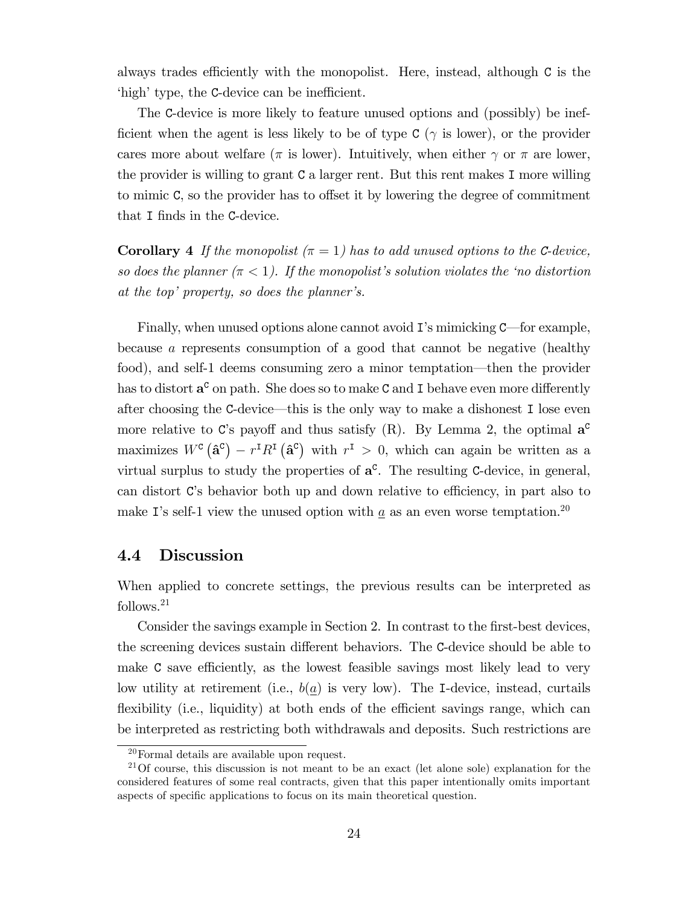always trades efficiently with the monopolist. Here, instead, although  $C$  is the 'high' type, the C-device can be inefficient.

The C-device is more likely to feature unused options and (possibly) be inefficient when the agent is less likely to be of type  $C(\gamma)$  is lower), or the provider cares more about welfare ( $\pi$  is lower). Intuitively, when either  $\gamma$  or  $\pi$  are lower, the provider is willing to grant C a larger rent. But this rent makes I more willing to mimic  $\mathsf{C}$ , so the provider has to offset it by lowering the degree of commitment that I finds in the C-device.

**Corollary 4** If the monopolist  $(\pi = 1)$  has to add unused options to the C-device, so does the planner  $(\pi < 1)$ . If the monopolist's solution violates the 'no distortion at the top' property, so does the planner's.

Finally, when unused options alone cannot avoid  $\mathbf{I}'$ 's mimicking  $\mathbf{C}$ —for example, because a represents consumption of a good that cannot be negative (healthy food), and self-1 deems consuming zero a minor temptation—then the provider has to distort  $\mathbf{a}^{\text{c}}$  on path. She does so to make  $\text{c}$  and I behave even more differently after choosing the  $C$ -device—this is the only way to make a dishonest I lose even more relative to C's payoff and thus satisfy  $(R)$ . By Lemma 2, the optimal  $a^c$ maximizes  $W^c(\hat{\mathbf{a}}^c) - r^{\mathsf{T}} R^{\mathsf{T}}(\hat{\mathbf{a}}^c)$  with  $r^{\mathsf{T}} > 0$ , which can again be written as a virtual surplus to study the properties of  $a^c$ . The resulting C-device, in general, can distort C's behavior both up and down relative to efficiency, in part also to make I's self-1 view the unused option with  $\underline{a}$  as an even worse temptation.<sup>20</sup>

### 4.4 Discussion

When applied to concrete settings, the previous results can be interpreted as follows.<sup>21</sup>

Consider the savings example in Section 2. In contrast to the first-best devices, the screening devices sustain different behaviors. The C-device should be able to make C save efficiently, as the lowest feasible savings most likely lead to very low utility at retirement (i.e.,  $b(a)$  is very low). The I-device, instead, curtails flexibility (i.e., liquidity) at both ends of the efficient savings range, which can be interpreted as restricting both withdrawals and deposits. Such restrictions are

<sup>20</sup>Formal details are available upon request.

 $21$ Of course, this discussion is not meant to be an exact (let alone sole) explanation for the considered features of some real contracts, given that this paper intentionally omits important aspects of specific applications to focus on its main theoretical question.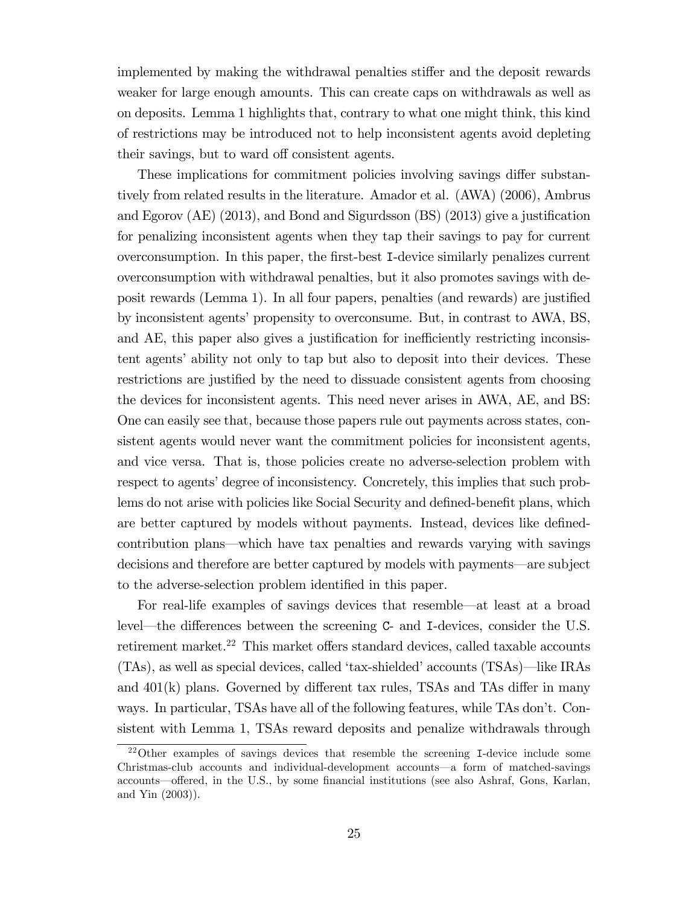implemented by making the withdrawal penalties stiffer and the deposit rewards weaker for large enough amounts. This can create caps on withdrawals as well as on deposits. Lemma 1 highlights that, contrary to what one might think, this kind of restrictions may be introduced not to help inconsistent agents avoid depleting their savings, but to ward off consistent agents.

These implications for commitment policies involving savings differ substantively from related results in the literature. Amador et al. (AWA) (2006), Ambrus and Egorov (AE) (2013), and Bond and Sigurdsson  $(BS)$  (2013) give a justification for penalizing inconsistent agents when they tap their savings to pay for current overconsumption. In this paper, the Örst-best I-device similarly penalizes current overconsumption with withdrawal penalties, but it also promotes savings with deposit rewards (Lemma 1). In all four papers, penalties (and rewards) are justified by inconsistent agents' propensity to overconsume. But, in contrast to AWA, BS, and AE, this paper also gives a justification for inefficiently restricting inconsistent agentsíability not only to tap but also to deposit into their devices. These restrictions are justified by the need to dissuade consistent agents from choosing the devices for inconsistent agents. This need never arises in AWA, AE, and BS: One can easily see that, because those papers rule out payments across states, consistent agents would never want the commitment policies for inconsistent agents, and vice versa. That is, those policies create no adverse-selection problem with respect to agents' degree of inconsistency. Concretely, this implies that such problems do not arise with policies like Social Security and defined-benefit plans, which are better captured by models without payments. Instead, devices like definedcontribution plans—which have tax penalties and rewards varying with savings decisions and therefore are better captured by models with payments—are subject to the adverse-selection problem identified in this paper.

For real-life examples of savings devices that resemble—at least at a broad level—the differences between the screening C- and I-devices, consider the U.S. retirement market.<sup>22</sup> This market offers standard devices, called taxable accounts  $(TAs)$ , as well as special devices, called 'tax-shielded' accounts  $(TSAs)$ —like IRAs and  $401(k)$  plans. Governed by different tax rules, TSAs and TAs differ in many ways. In particular, TSAs have all of the following features, while TAs don't. Consistent with Lemma 1, TSAs reward deposits and penalize withdrawals through

<sup>22</sup>Other examples of savings devices that resemble the screening I-device include some Christmas-club accounts and individual-development accounts—a form of matched-savings accounts—offered, in the U.S., by some financial institutions (see also Ashraf, Gons, Karlan, and Yin (2003)).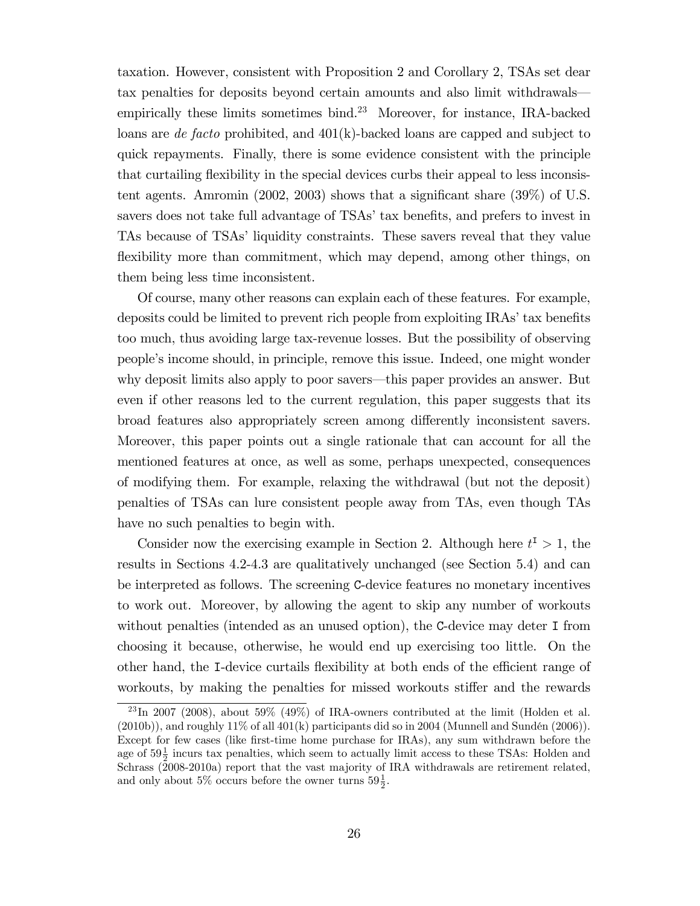taxation. However, consistent with Proposition 2 and Corollary 2, TSAs set dear tax penalties for deposits beyond certain amounts and also limit withdrawals empirically these limits sometimes bind.<sup>23</sup> Moreover, for instance, IRA-backed loans are de facto prohibited, and  $401(k)$ -backed loans are capped and subject to quick repayments. Finally, there is some evidence consistent with the principle that curtailing flexibility in the special devices curbs their appeal to less inconsistent agents. Amromin (2002, 2003) shows that a significant share  $(39\%)$  of U.S. savers does not take full advantage of TSAs' tax benefits, and prefers to invest in TAs because of TSAs' liquidity constraints. These savers reveal that they value flexibility more than commitment, which may depend, among other things, on them being less time inconsistent.

Of course, many other reasons can explain each of these features. For example, deposits could be limited to prevent rich people from exploiting IRAs' tax benefits too much, thus avoiding large tax-revenue losses. But the possibility of observing peopleís income should, in principle, remove this issue. Indeed, one might wonder why deposit limits also apply to poor savers—this paper provides an answer. But even if other reasons led to the current regulation, this paper suggests that its broad features also appropriately screen among differently inconsistent savers. Moreover, this paper points out a single rationale that can account for all the mentioned features at once, as well as some, perhaps unexpected, consequences of modifying them. For example, relaxing the withdrawal (but not the deposit) penalties of TSAs can lure consistent people away from TAs, even though TAs have no such penalties to begin with.

Consider now the exercising example in Section 2. Although here  $t^I > 1$ , the results in Sections 4.2-4.3 are qualitatively unchanged (see Section 5.4) and can be interpreted as follows. The screening C-device features no monetary incentives to work out. Moreover, by allowing the agent to skip any number of workouts without penalties (intended as an unused option), the C-device may deter I from choosing it because, otherwise, he would end up exercising too little. On the other hand, the I-device curtails flexibility at both ends of the efficient range of workouts, by making the penalties for missed workouts stiffer and the rewards

 $^{23}$ In 2007 (2008), about 59% (49%) of IRA-owners contributed at the limit (Holden et al.  $(2010b)$ , and roughly  $11\%$  of all  $401(k)$  participants did so in 2004 (Munnell and Sundén  $(2006)$ ). Except for few cases (like first-time home purchase for IRAs), any sum withdrawn before the age of  $59\frac{1}{2}$  incurs tax penalties, which seem to actually limit access to these TSAs: Holden and Schrass (2008-2010a) report that the vast majority of IRA withdrawals are retirement related, and only about 5% occurs before the owner turns  $59\frac{1}{2}$ .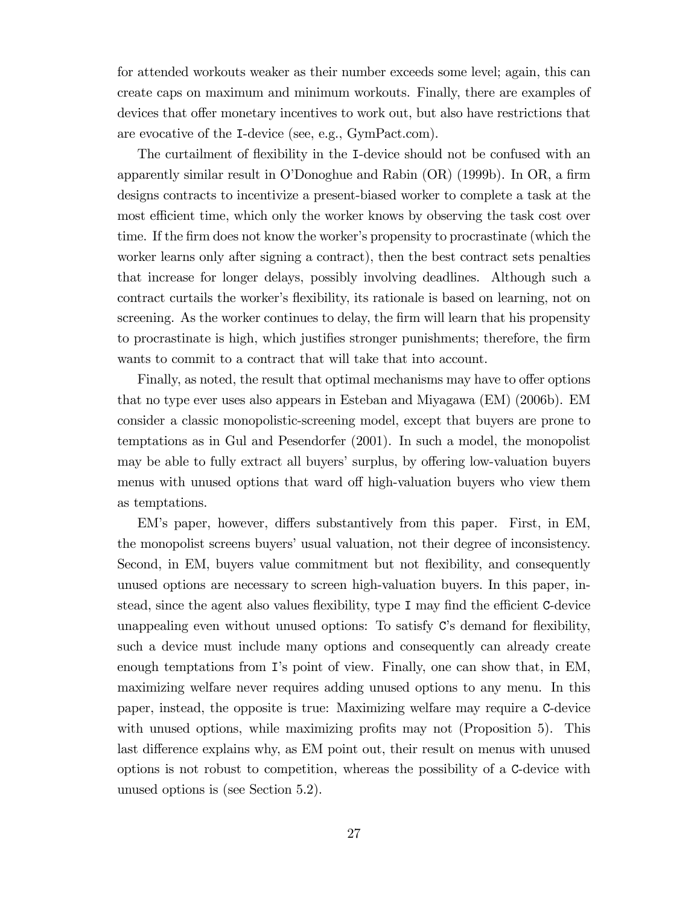for attended workouts weaker as their number exceeds some level; again, this can create caps on maximum and minimum workouts. Finally, there are examples of devices that offer monetary incentives to work out, but also have restrictions that are evocative of the I-device (see, e.g., GymPact.com).

The curtailment of flexibility in the I-device should not be confused with an apparently similar result in O'Donoghue and Rabin  $(OR)$  (1999b). In OR, a firm designs contracts to incentivize a present-biased worker to complete a task at the most efficient time, which only the worker knows by observing the task cost over time. If the firm does not know the worker's propensity to procrastinate (which the worker learns only after signing a contract), then the best contract sets penalties that increase for longer delays, possibly involving deadlines. Although such a contract curtails the worker's flexibility, its rationale is based on learning, not on screening. As the worker continues to delay, the firm will learn that his propensity to procrastinate is high, which justifies stronger punishments; therefore, the firm wants to commit to a contract that will take that into account.

Finally, as noted, the result that optimal mechanisms may have to offer options that no type ever uses also appears in Esteban and Miyagawa (EM) (2006b). EM consider a classic monopolistic-screening model, except that buyers are prone to temptations as in Gul and Pesendorfer (2001). In such a model, the monopolist may be able to fully extract all buyers' surplus, by offering low-valuation buyers menus with unused options that ward off high-valuation buyers who view them as temptations.

EM's paper, however, differs substantively from this paper. First, in EM, the monopolist screens buyers' usual valuation, not their degree of inconsistency. Second, in EM, buyers value commitment but not flexibility, and consequently unused options are necessary to screen high-valuation buyers. In this paper, instead, since the agent also values flexibility, type I may find the efficient C-device unappealing even without unused options: To satisfy  $C$ 's demand for flexibility, such a device must include many options and consequently can already create enough temptations from I's point of view. Finally, one can show that, in EM, maximizing welfare never requires adding unused options to any menu. In this paper, instead, the opposite is true: Maximizing welfare may require a C-device with unused options, while maximizing profits may not (Proposition  $5$ ). This last difference explains why, as EM point out, their result on menus with unused options is not robust to competition, whereas the possibility of a C-device with unused options is (see Section 5.2).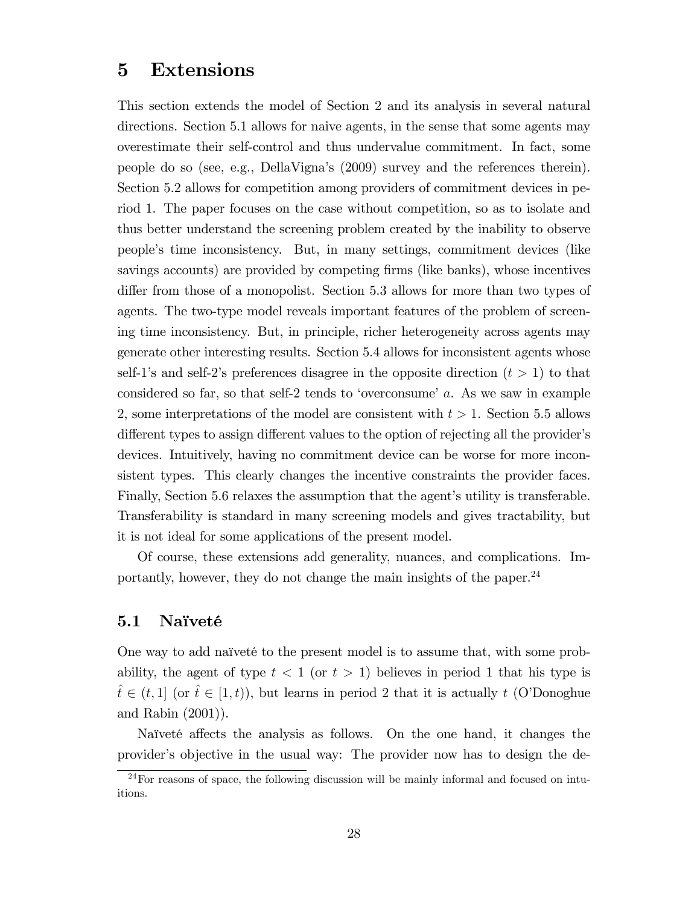### 5 Extensions

This section extends the model of Section 2 and its analysis in several natural directions. Section 5.1 allows for naive agents, in the sense that some agents may overestimate their self-control and thus undervalue commitment. In fact, some people do so (see, e.g., DellaVignaís (2009) survey and the references therein). Section 5.2 allows for competition among providers of commitment devices in period 1. The paper focuses on the case without competition, so as to isolate and thus better understand the screening problem created by the inability to observe peopleís time inconsistency. But, in many settings, commitment devices (like savings accounts) are provided by competing firms (like banks), whose incentives differ from those of a monopolist. Section 5.3 allows for more than two types of agents. The two-type model reveals important features of the problem of screening time inconsistency. But, in principle, richer heterogeneity across agents may generate other interesting results. Section 5.4 allows for inconsistent agents whose self-1's and self-2's preferences disagree in the opposite direction  $(t > 1)$  to that considered so far, so that self-2 tends to 'overconsume'  $a$ . As we saw in example 2, some interpretations of the model are consistent with  $t > 1$ . Section 5.5 allows different types to assign different values to the option of rejecting all the provider's devices. Intuitively, having no commitment device can be worse for more inconsistent types. This clearly changes the incentive constraints the provider faces. Finally, Section 5.6 relaxes the assumption that the agent's utility is transferable. Transferability is standard in many screening models and gives tractability, but it is not ideal for some applications of the present model.

Of course, these extensions add generality, nuances, and complications. Importantly, however, they do not change the main insights of the paper.<sup>24</sup>

#### 5.1 Naïveté

One way to add naïveté to the present model is to assume that, with some probability, the agent of type  $t < 1$  (or  $t > 1$ ) believes in period 1 that his type is  $t \in (t, 1]$  (or  $t \in [1, t)$ ), but learns in period 2 that it is actually t (O'Donoghue and Rabin (2001)).

Naïveté affects the analysis as follows. On the one hand, it changes the providerís objective in the usual way: The provider now has to design the de-

 $^{24}$ For reasons of space, the following discussion will be mainly informal and focused on intuitions.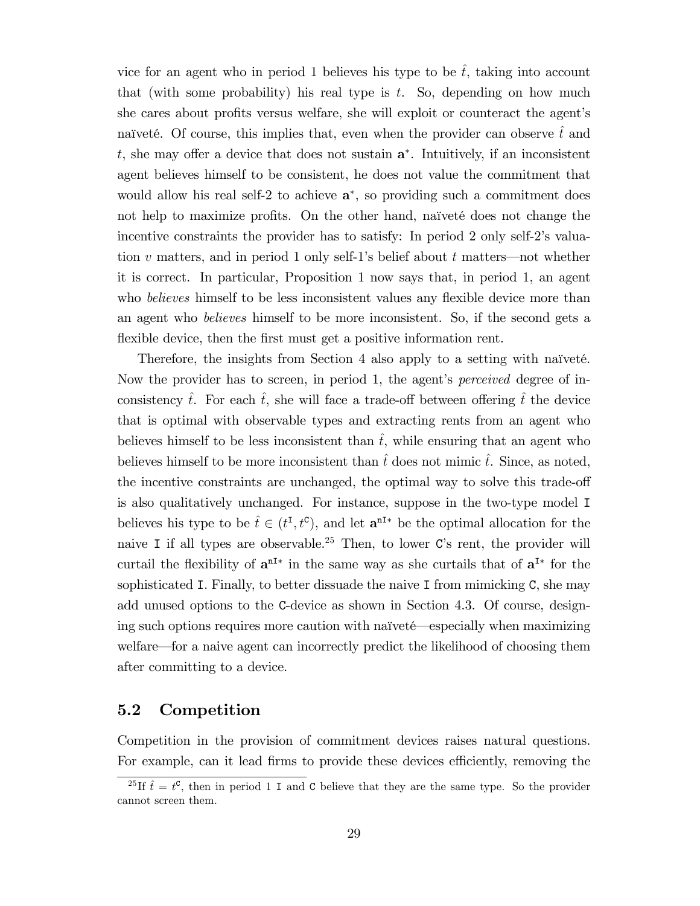vice for an agent who in period 1 believes his type to be  $\hat{t}$ , taking into account that (with some probability) his real type is  $t$ . So, depending on how much she cares about profits versus welfare, she will exploit or counteract the agent's naïveté. Of course, this implies that, even when the provider can observe t and  $t$ , she may offer a device that does not sustain  $a^*$ . Intuitively, if an inconsistent agent believes himself to be consistent, he does not value the commitment that would allow his real self-2 to achieve  $a^*$ , so providing such a commitment does not help to maximize profits. On the other hand, naïveté does not change the incentive constraints the provider has to satisfy: In period 2 only self-2's valuation v matters, and in period 1 only self-1's belief about t matters—not whether it is correct. In particular, Proposition 1 now says that, in period 1, an agent who *believes* himself to be less inconsistent values any flexible device more than an agent who believes himself to be more inconsistent. So, if the second gets a flexible device, then the first must get a positive information rent.

Therefore, the insights from Section 4 also apply to a setting with naïveté. Now the provider has to screen, in period 1, the agent's *perceived* degree of inconsistency  $\hat{t}$ . For each  $\hat{t}$ , she will face a trade-off between offering  $\hat{t}$  the device that is optimal with observable types and extracting rents from an agent who believes himself to be less inconsistent than  $\hat{t}$ , while ensuring that an agent who believes himself to be more inconsistent than  $\hat{t}$  does not mimic  $\hat{t}$ . Since, as noted, the incentive constraints are unchanged, the optimal way to solve this trade-off is also qualitatively unchanged. For instance, suppose in the two-type model I believes his type to be  $\hat{t} \in (t^{\text{I}}, t^{\text{c}})$ , and let  $\mathbf{a}^{\text{nI}*}$  be the optimal allocation for the naive I if all types are observable.<sup>25</sup> Then, to lower  $C$ 's rent, the provider will curtail the flexibility of  $a^{nI*}$  in the same way as she curtails that of  $a^{I*}$  for the sophisticated I. Finally, to better dissuade the naive I from mimicking C, she may add unused options to the C-device as shown in Section 4.3. Of course, designing such options requires more caution with naïveté—especially when maximizing welfare—for a naive agent can incorrectly predict the likelihood of choosing them after committing to a device.

### 5.2 Competition

Competition in the provision of commitment devices raises natural questions. For example, can it lead firms to provide these devices efficiently, removing the

<sup>&</sup>lt;sup>25</sup>If  $\hat{t} = t^{\mathsf{C}}$ , then in period 1 I and C believe that they are the same type. So the provider cannot screen them.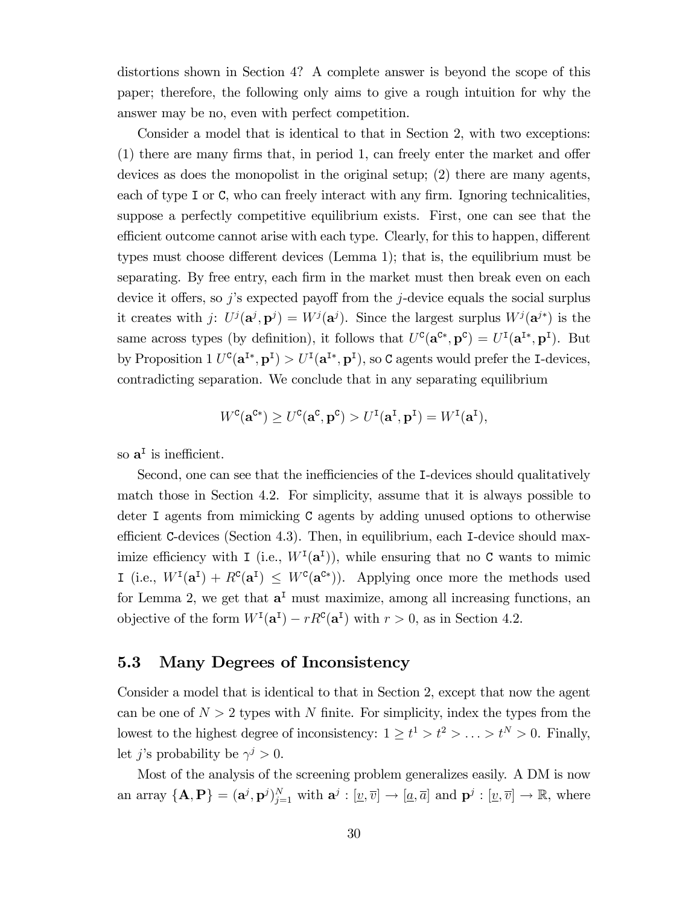distortions shown in Section 4? A complete answer is beyond the scope of this paper; therefore, the following only aims to give a rough intuition for why the answer may be no, even with perfect competition.

Consider a model that is identical to that in Section 2, with two exceptions:  $(1)$  there are many firms that, in period 1, can freely enter the market and offer devices as does the monopolist in the original setup; (2) there are many agents, each of type I or  $C$ , who can freely interact with any firm. Ignoring technicalities, suppose a perfectly competitive equilibrium exists. First, one can see that the efficient outcome cannot arise with each type. Clearly, for this to happen, different types must choose different devices (Lemma 1); that is, the equilibrium must be separating. By free entry, each firm in the market must then break even on each device it offers, so j's expected payoff from the j-device equals the social surplus it creates with j:  $U^j(\mathbf{a}^j, \mathbf{p}^j) = W^j(\mathbf{a}^j)$ . Since the largest surplus  $W^j(\mathbf{a}^{j*})$  is the same across types (by definition), it follows that  $U^{\mathbf{C}}(\mathbf{a}^{\mathbf{C}*}, \mathbf{p}^{\mathbf{C}}) = U^{\mathbf{I}}(\mathbf{a}^{\mathbf{I}*}, \mathbf{p}^{\mathbf{I}})$ . But by Proposition  $1 U^c(\mathbf{a}^{I*}, \mathbf{p}^I) > U^I(\mathbf{a}^{I*}, \mathbf{p}^I)$ , so C agents would prefer the I-devices, contradicting separation. We conclude that in any separating equilibrium

$$
W^{\mathbf{C}}(\mathbf{a}^{\mathbf{C}*}) \ge U^{\mathbf{C}}(\mathbf{a}^{\mathbf{C}}, \mathbf{p}^{\mathbf{C}}) > U^{\mathbf{I}}(\mathbf{a}^{\mathbf{I}}, \mathbf{p}^{\mathbf{I}}) = W^{\mathbf{I}}(\mathbf{a}^{\mathbf{I}}),
$$

so  $a^I$  is inefficient.

Second, one can see that the inefficiencies of the I-devices should qualitatively match those in Section 4.2. For simplicity, assume that it is always possible to deter I agents from mimicking C agents by adding unused options to otherwise efficient C-devices (Section 4.3). Then, in equilibrium, each I-device should maximize efficiency with I (i.e.,  $W^I(\mathbf{a}^I)$ ), while ensuring that no C wants to mimic I (i.e.,  $W^I(\mathbf{a}^I) + R^c(\mathbf{a}^I) \leq W^c(\mathbf{a}^{c*})$ ). Applying once more the methods used for Lemma 2, we get that  $a<sup>T</sup>$  must maximize, among all increasing functions, an objective of the form  $W^I(\mathbf{a}^I) - rR^c(\mathbf{a}^I)$  with  $r > 0$ , as in Section 4.2.

#### 5.3 Many Degrees of Inconsistency

Consider a model that is identical to that in Section 2, except that now the agent can be one of  $N > 2$  types with N finite. For simplicity, index the types from the lowest to the highest degree of inconsistency:  $1 \ge t^1 > t^2 > \ldots > t^N > 0$ . Finally, let *j*'s probability be  $\gamma^j > 0$ .

Most of the analysis of the screening problem generalizes easily. A DM is now an array  $\{\mathbf{A}, \mathbf{P}\} = (\mathbf{a}^j, \mathbf{p}^j)_{j=1}^N$  with  $\mathbf{a}^j : [\underline{v}, \overline{v}] \to [\underline{a}, \overline{a}]$  and  $\mathbf{p}^j : [\underline{v}, \overline{v}] \to \mathbb{R}$ , where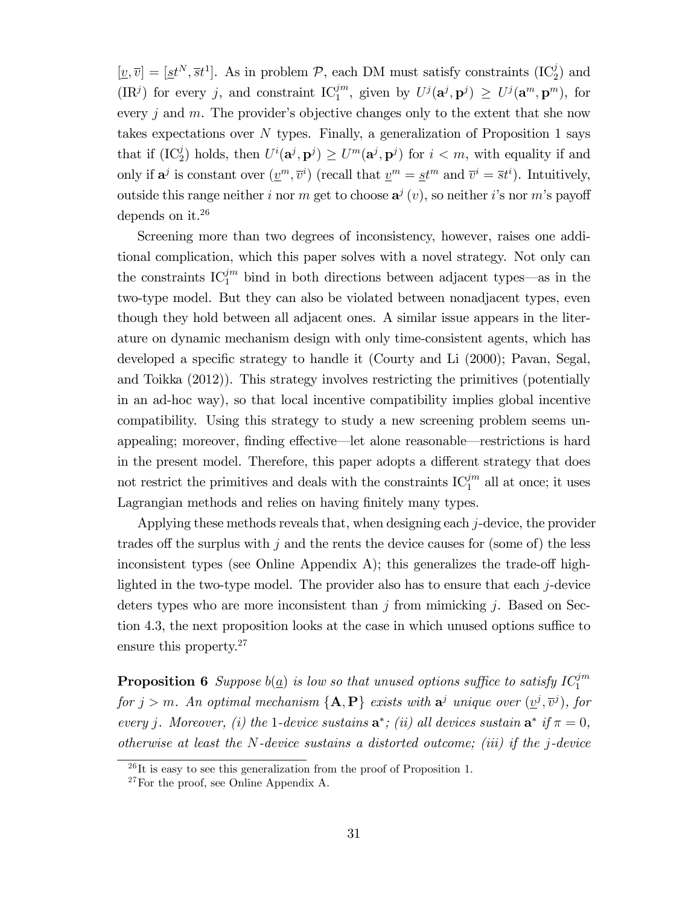$[\underline{v}, \overline{v}] = [\underline{st}^N, \overline{st}^1]$ . As in problem  $P$ , each DM must satisfy constraints  $(IC_2^j)$  and  $(\text{IR}^j)$  for every j, and constraint  $\text{IC}_1^{jm}$ , given by  $U^j(\mathbf{a}^j, \mathbf{p}^j) \ge U^j(\mathbf{a}^m, \mathbf{p}^m)$ , for every  $j$  and  $m$ . The provider's objective changes only to the extent that she now takes expectations over N types. Finally, a generalization of Proposition 1 says that if  $(IC_2^j)$  holds, then  $U^i(\mathbf{a}^j, \mathbf{p}^j) \geq U^m(\mathbf{a}^j, \mathbf{p}^j)$  for  $i < m$ , with equality if and only if  $\mathbf{a}^j$  is constant over  $(\underline{v}^m, \overline{v}^i)$  (recall that  $\underline{v}^m = \underline{s}t^m$  and  $\overline{v}^i = \overline{s}t^i$ ). Intuitively, outside this range neither i nor m get to choose  $a^j(v)$ , so neither i's nor m's payoff depends on it.<sup>26</sup>

Screening more than two degrees of inconsistency, however, raises one additional complication, which this paper solves with a novel strategy. Not only can the constraints  $IC_1^{jm}$  bind in both directions between adjacent types—as in the two-type model. But they can also be violated between nonadjacent types, even though they hold between all adjacent ones. A similar issue appears in the literature on dynamic mechanism design with only time-consistent agents, which has developed a specific strategy to handle it (Courty and Li (2000); Pavan, Segal, and Toikka (2012)). This strategy involves restricting the primitives (potentially in an ad-hoc way), so that local incentive compatibility implies global incentive compatibility. Using this strategy to study a new screening problem seems unappealing; moreover, finding effective—let alone reasonable—restrictions is hard in the present model. Therefore, this paper adopts a different strategy that does not restrict the primitives and deals with the constraints  $IC_1^{jm}$  all at once; it uses Lagrangian methods and relies on having finitely many types.

Applying these methods reveals that, when designing each j-device, the provider trades off the surplus with  $j$  and the rents the device causes for (some of) the less inconsistent types (see Online Appendix A); this generalizes the trade-off highlighted in the two-type model. The provider also has to ensure that each j-device deters types who are more inconsistent than  $j$  from mimicking  $j$ . Based on Section 4.3, the next proposition looks at the case in which unused options suffice to ensure this property.<sup>27</sup>

**Proposition 6** Suppose  $b(\underline{a})$  is low so that unused options suffice to satisfy  $IC_1^{jm}$ for  $j > m$ . An optimal mechanism  $\{A, P\}$  exists with  $a^j$  unique over  $(\underline{v}^j, \overline{v}^j)$ , for every j. Moreover, (i) the 1-device sustains  $\mathbf{a}^*$ ; (ii) all devices sustain  $\mathbf{a}^*$  if  $\pi = 0$ , otherwise at least the N-device sustains a distorted outcome; (iii) if the j-device

 $^{26}$ It is easy to see this generalization from the proof of Proposition 1.

<sup>27</sup>For the proof, see Online Appendix A.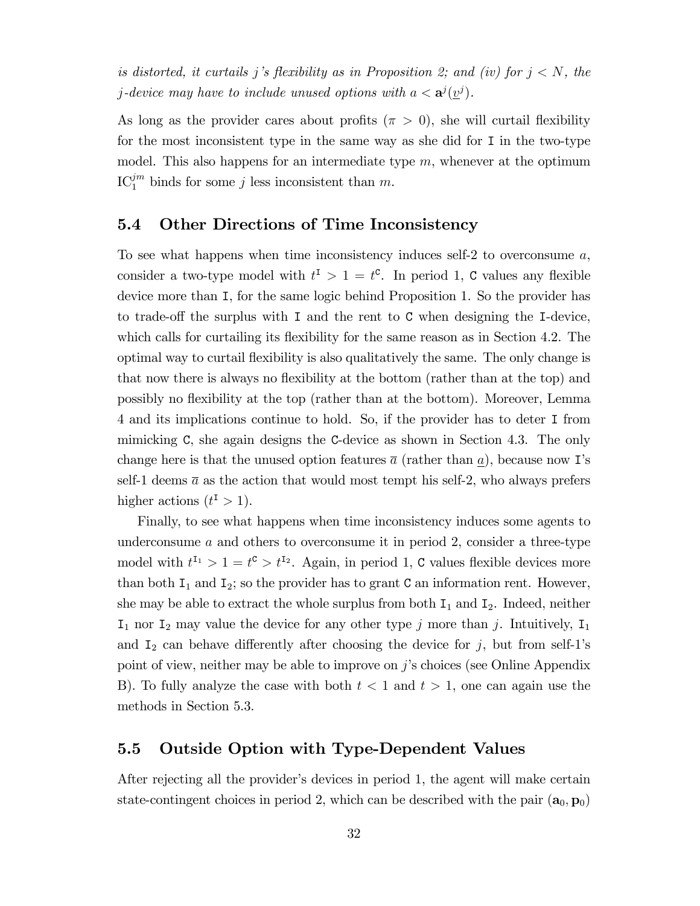is distorted, it curtails j's flexibility as in Proposition 2; and (iv) for  $j < N$ , the *j*-device may have to include unused options with  $a < \mathbf{a}^j(\underline{v}^j)$ .

As long as the provider cares about profits  $(\pi > 0)$ , she will curtail flexibility for the most inconsistent type in the same way as she did for I in the two-type model. This also happens for an intermediate type  $m$ , whenever at the optimum  $\mathrm{IC}_1^{jm}$  binds for some j less inconsistent than m.

#### 5.4 Other Directions of Time Inconsistency

To see what happens when time inconsistency induces self-2 to overconsume  $a$ , consider a two-type model with  $t^{\text{I}} > 1 = t^{\text{c}}$ . In period 1, C values any flexible device more than I, for the same logic behind Proposition 1. So the provider has to trade-off the surplus with I and the rent to C when designing the I-device, which calls for curtailing its flexibility for the same reason as in Section 4.2. The optimal way to curtail áexibility is also qualitatively the same. The only change is that now there is always no flexibility at the bottom (rather than at the top) and possibly no áexibility at the top (rather than at the bottom). Moreover, Lemma 4 and its implications continue to hold. So, if the provider has to deter I from mimicking C, she again designs the C-device as shown in Section 4.3. The only change here is that the unused option features  $\bar{a}$  (rather than a), because now I's self-1 deems  $\bar{a}$  as the action that would most tempt his self-2, who always prefers higher actions  $(t^{\mathsf{I}} > 1)$ .

Finally, to see what happens when time inconsistency induces some agents to underconsume  $a$  and others to overconsume it in period 2, consider a three-type model with  $t^{I_1} > 1 = t^c > t^{I_2}$ . Again, in period 1, C values flexible devices more than both  $I_1$  and  $I_2$ ; so the provider has to grant C an information rent. However, she may be able to extract the whole surplus from both  $I_1$  and  $I_2$ . Indeed, neither  $I_1$  nor  $I_2$  may value the device for any other type j more than j. Intuitively,  $I_1$ and  $I_2$  can behave differently after choosing the device for j, but from self-1's point of view, neither may be able to improve on  $j$ 's choices (see Online Appendix B). To fully analyze the case with both  $t < 1$  and  $t > 1$ , one can again use the methods in Section 5.3.

#### 5.5 Outside Option with Type-Dependent Values

After rejecting all the provider's devices in period 1, the agent will make certain state-contingent choices in period 2, which can be described with the pair  $(a_0, p_0)$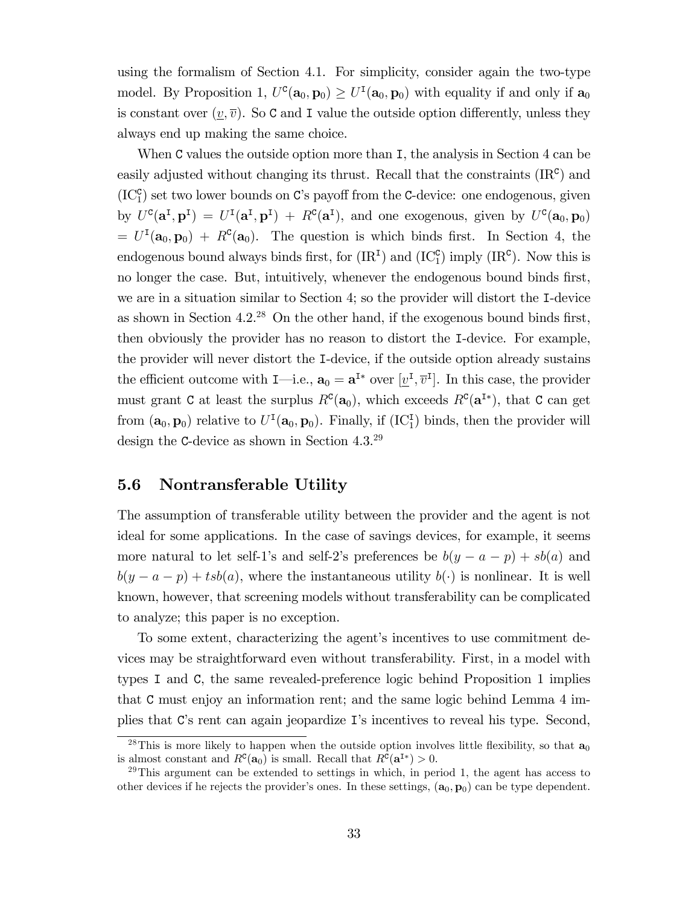using the formalism of Section 4.1. For simplicity, consider again the two-type model. By Proposition 1,  $U^c(\mathbf{a}_0, \mathbf{p}_0) \geq U^I(\mathbf{a}_0, \mathbf{p}_0)$  with equality if and only if  $\mathbf{a}_0$ is constant over  $(v, \overline{v})$ . So C and I value the outside option differently, unless they always end up making the same choice.

When C values the outside option more than I, the analysis in Section 4 can be easily adjusted without changing its thrust. Recall that the constraints  $(IR<sup>c</sup>)$  and  $(IC_1^c)$  set two lower bounds on C's payoff from the C-device: one endogenous, given by  $U^c(\mathbf{a}^{\text{I}}, \mathbf{p}^{\text{I}}) = U^{\text{I}}(\mathbf{a}^{\text{I}}, \mathbf{p}^{\text{I}}) + R^c(\mathbf{a}^{\text{I}})$ , and one exogenous, given by  $U^c(\mathbf{a}_0, \mathbf{p}_0)$  $= U^{\text{I}}(\mathbf{a}_0, \mathbf{p}_0) + R^{\text{C}}(\mathbf{a}_0)$ . The question is which binds first. In Section 4, the endogenous bound always binds first, for  $(IR<sup>I</sup>)$  and  $(IC<sub>1</sub><sup>c</sup>)$  imply  $(IR<sup>c</sup>)$ . Now this is no longer the case. But, intuitively, whenever the endogenous bound binds first, we are in a situation similar to Section 4; so the provider will distort the I-device as shown in Section  $4.2^{28}$  On the other hand, if the exogenous bound binds first, then obviously the provider has no reason to distort the I-device. For example, the provider will never distort the I-device, if the outside option already sustains the efficient outcome with  $I$ —i.e.,  $\mathbf{a}_0 = \mathbf{a}^{I*}$  over  $[\underline{v}^I, \overline{v}^I]$ . In this case, the provider must grant C at least the surplus  $R^c(\mathbf{a}_0)$ , which exceeds  $R^c(\mathbf{a}^{I*})$ , that C can get from  $(a_0, p_0)$  relative to  $U^I(a_0, p_0)$ . Finally, if  $(IC_1^I)$  binds, then the provider will design the C-device as shown in Section 4.3.<sup>29</sup>

### 5.6 Nontransferable Utility

The assumption of transferable utility between the provider and the agent is not ideal for some applications. In the case of savings devices, for example, it seems more natural to let self-1's and self-2's preferences be  $b(y - a - p) + sb(a)$  and  $b(y - a - p) + tsb(a)$ , where the instantaneous utility  $b(\cdot)$  is nonlinear. It is well known, however, that screening models without transferability can be complicated to analyze; this paper is no exception.

To some extent, characterizing the agent's incentives to use commitment devices may be straightforward even without transferability. First, in a model with types I and C, the same revealed-preference logic behind Proposition 1 implies that C must enjoy an information rent; and the same logic behind Lemma 4 implies that C's rent can again jeopardize I's incentives to reveal his type. Second,

<sup>&</sup>lt;sup>28</sup>This is more likely to happen when the outside option involves little flexibility, so that  $a_0$ is almost constant and  $R<sup>c</sup>(**a**<sub>0</sub>)$  is small. Recall that  $R<sup>c</sup>(**a**<sup>I*</sup>) > 0$ .

 $29$ This argument can be extended to settings in which, in period 1, the agent has access to other devices if he rejects the provider's ones. In these settings,  $(a_0, p_0)$  can be type dependent.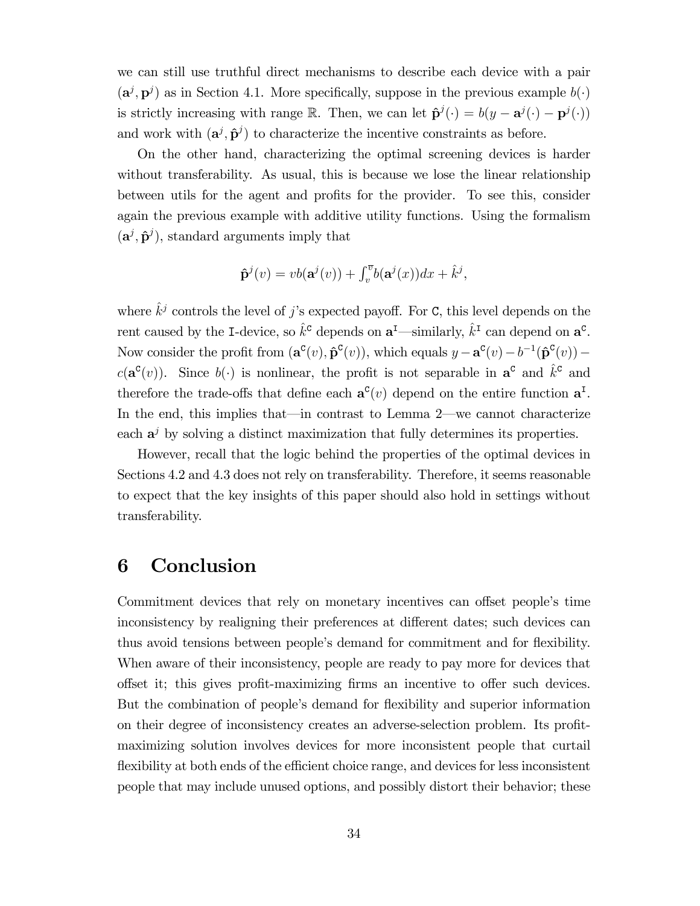we can still use truthful direct mechanisms to describe each device with a pair  $(\mathbf{a}^j, \mathbf{p}^j)$  as in Section 4.1. More specifically, suppose in the previous example  $b(\cdot)$ is strictly increasing with range R. Then, we can let  $\hat{\mathbf{p}}^{j}(\cdot) = b(y - \mathbf{a}^{j}(\cdot) - \mathbf{p}^{j}(\cdot))$ and work with  $(\mathbf{a}^j, \hat{\mathbf{p}}^j)$  to characterize the incentive constraints as before.

On the other hand, characterizing the optimal screening devices is harder without transferability. As usual, this is because we lose the linear relationship between utils for the agent and profits for the provider. To see this, consider again the previous example with additive utility functions. Using the formalism  $(a^j, \hat{p}^j)$ , standard arguments imply that

$$
\hat{\mathbf{p}}^j(v) = vb(\mathbf{a}^j(v)) + \int_v^{\overline{v}} b(\mathbf{a}^j(x))dx + \hat{k}^j,
$$

where  $\hat{k}^j$  controls the level of j's expected payoff. For C, this level depends on the rent caused by the I-device, so  $\hat{k}^c$  depends on  $\mathbf{a}^I$ —similarly,  $\hat{k}^I$  can depend on  $\mathbf{a}^c$ . Now consider the profit from  $(\mathbf{a}^{\mathbf{C}}(v), \mathbf{\hat{p}}^{\mathbf{C}}(v))$ , which equals  $y - \mathbf{a}^{\mathbf{C}}(v) - b^{-1}(\mathbf{\hat{p}}^{\mathbf{C}}(v))$  –  $c(\mathbf{a}^{\mathbf{C}}(v))$ . Since  $b(\cdot)$  is nonlinear, the profit is not separable in  $\mathbf{a}^{\mathbf{C}}$  and  $\hat{k}^{\mathbf{C}}$  and therefore the trade-offs that define each  $\mathbf{a}^{\mathsf{C}}(v)$  depend on the entire function  $\mathbf{a}^{\mathsf{I}}$ . In the end, this implies that—in contrast to Lemma  $2$ —we cannot characterize each  $a^j$  by solving a distinct maximization that fully determines its properties.

However, recall that the logic behind the properties of the optimal devices in Sections 4.2 and 4.3 does not rely on transferability. Therefore, it seems reasonable to expect that the key insights of this paper should also hold in settings without transferability.

## 6 Conclusion

Commitment devices that rely on monetary incentives can offset people's time inconsistency by realigning their preferences at different dates; such devices can thus avoid tensions between people's demand for commitment and for flexibility. When aware of their inconsistency, people are ready to pay more for devices that offset it; this gives profit-maximizing firms an incentive to offer such devices. But the combination of people's demand for flexibility and superior information on their degree of inconsistency creates an adverse-selection problem. Its profitmaximizing solution involves devices for more inconsistent people that curtail flexibility at both ends of the efficient choice range, and devices for less inconsistent people that may include unused options, and possibly distort their behavior; these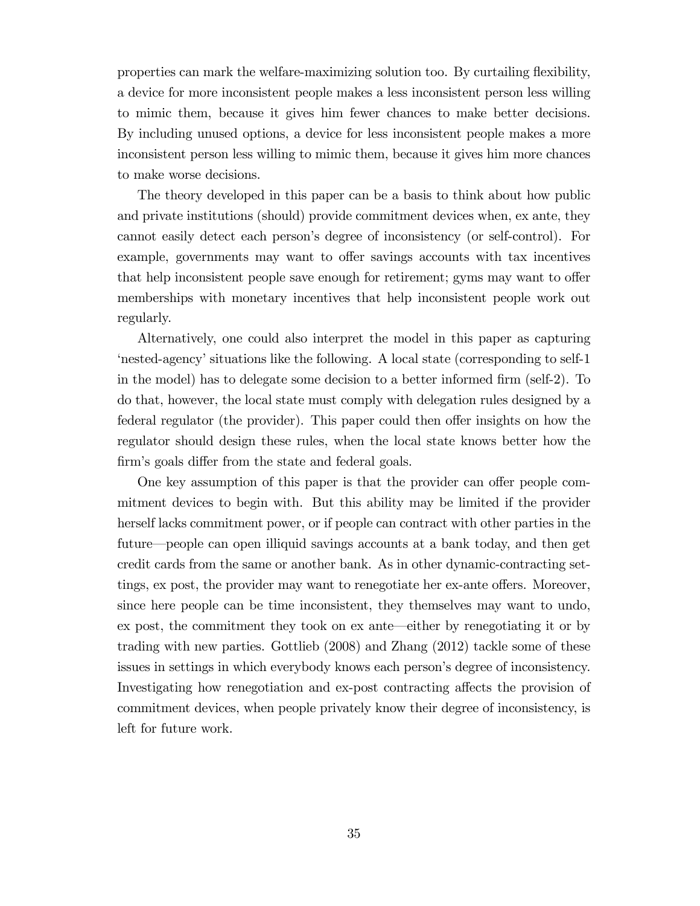properties can mark the welfare-maximizing solution too. By curtailing flexibility, a device for more inconsistent people makes a less inconsistent person less willing to mimic them, because it gives him fewer chances to make better decisions. By including unused options, a device for less inconsistent people makes a more inconsistent person less willing to mimic them, because it gives him more chances to make worse decisions.

The theory developed in this paper can be a basis to think about how public and private institutions (should) provide commitment devices when, ex ante, they cannot easily detect each personís degree of inconsistency (or self-control). For example, governments may want to offer savings accounts with tax incentives that help inconsistent people save enough for retirement; gyms may want to offer memberships with monetary incentives that help inconsistent people work out regularly.

Alternatively, one could also interpret the model in this paper as capturing ënested-agencyísituations like the following. A local state (corresponding to self-1 in the model) has to delegate some decision to a better informed firm (self-2). To do that, however, the local state must comply with delegation rules designed by a federal regulator (the provider). This paper could then offer insights on how the regulator should design these rules, when the local state knows better how the firm's goals differ from the state and federal goals.

One key assumption of this paper is that the provider can offer people commitment devices to begin with. But this ability may be limited if the provider herself lacks commitment power, or if people can contract with other parties in the future—people can open illiquid savings accounts at a bank today, and then get credit cards from the same or another bank. As in other dynamic-contracting settings, ex post, the provider may want to renegotiate her ex-ante offers. Moreover, since here people can be time inconsistent, they themselves may want to undo,  $ex$  post, the commitment they took on  $ex$  ante—either by renegotiating it or by trading with new parties. Gottlieb (2008) and Zhang (2012) tackle some of these issues in settings in which everybody knows each person's degree of inconsistency. Investigating how renegotiation and ex-post contracting affects the provision of commitment devices, when people privately know their degree of inconsistency, is left for future work.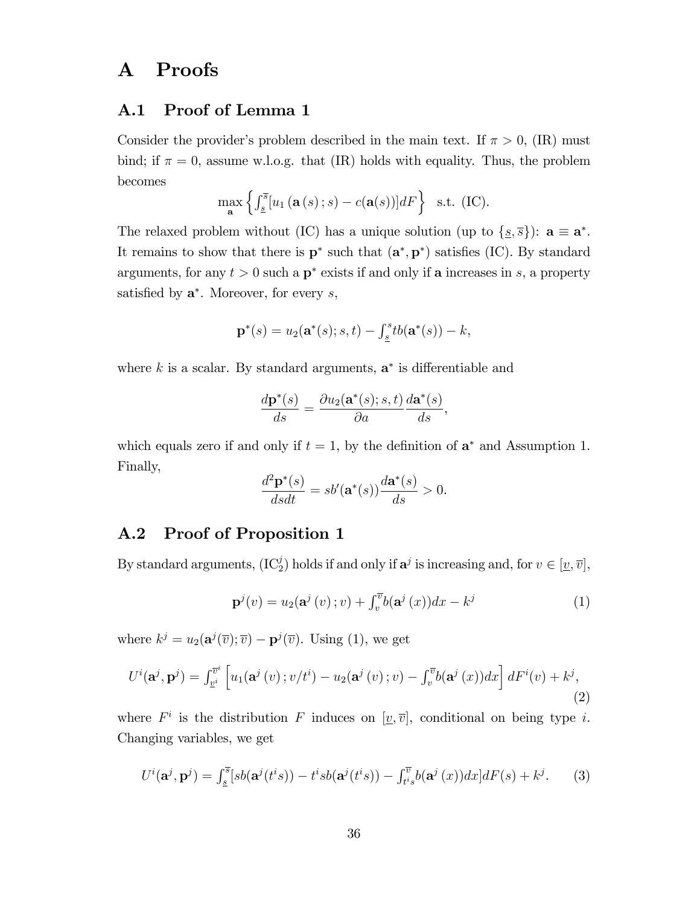## A Proofs

### A.1 Proof of Lemma 1

Consider the provider's problem described in the main text. If  $\pi > 0$ , (IR) must bind; if  $\pi = 0$ , assume w.l.o.g. that (IR) holds with equality. Thus, the problem becomes

$$
\max_{\mathbf{a}} \left\{ \int_{\underline{s}}^{\overline{s}} [u_1(\mathbf{a}(s);s) - c(\mathbf{a}(s))] dF \right\} \text{ s.t. (IC)}.
$$

The relaxed problem without (IC) has a unique solution (up to  $\{s, \overline{s}\}$ ):  $a \equiv a^*$ . It remains to show that there is  $\mathbf{p}^*$  such that  $(\mathbf{a}^*, \mathbf{p}^*)$  satisfies (IC). By standard arguments, for any  $t > 0$  such a  $p^*$  exists if and only if a increases in s, a property satisfied by  $a^*$ . Moreover, for every  $s$ ,

$$
\mathbf{p}^*(s) = u_2(\mathbf{a}^*(s); s, t) - \int_{\underline{s}}^s t b(\mathbf{a}^*(s)) - k,
$$

where  $k$  is a scalar. By standard arguments,  $\mathbf{a}^*$  is differentiable and

$$
\frac{d\mathbf{p}^*(s)}{ds} = \frac{\partial u_2(\mathbf{a}^*(s); s, t)}{\partial a} \frac{d\mathbf{a}^*(s)}{ds},
$$

which equals zero if and only if  $t = 1$ , by the definition of  $\mathbf{a}^*$  and Assumption 1. Finally,

$$
\frac{d^2\mathbf{p}^*(s)}{dsdt} = sb'(\mathbf{a}^*(s))\frac{d\mathbf{a}^*(s)}{ds} > 0.
$$

### A.2 Proof of Proposition 1

By standard arguments,  $(IC_2^j)$  holds if and only if  $a^j$  is increasing and, for  $v \in [\underline{v}, \overline{v}]$ ,

$$
\mathbf{p}^{j}(v) = u_{2}(\mathbf{a}^{j}(v); v) + \int_{v}^{\overline{v}} b(\mathbf{a}^{j}(x)) dx - k^{j}
$$
 (1)

where  $k^j = u_2(\mathbf{a}^j(\overline{v}); \overline{v}) - \mathbf{p}^j(\overline{v})$ . Using (1), we get

$$
U^{i}(\mathbf{a}^{j}, \mathbf{p}^{j}) = \int_{\underline{v}^{i}}^{\overline{v}^{i}} \left[ u_{1}(\mathbf{a}^{j}(v); v/t^{i}) - u_{2}(\mathbf{a}^{j}(v); v) - \int_{v}^{\overline{v}} b(\mathbf{a}^{j}(x)) dx \right] dF^{i}(v) + k^{j}, \tag{2}
$$

where  $F^i$  is the distribution F induces on  $[\underline{v}, \overline{v}]$ , conditional on being type i. Changing variables, we get

$$
U^{i}(\mathbf{a}^{j}, \mathbf{p}^{j}) = \int_{\underline{s}}^{\overline{s}} [sb(\mathbf{a}^{j}(t^{i}s)) - t^{i}sb(\mathbf{a}^{j}(t^{i}s)) - \int_{t^{i}s}^{v} b(\mathbf{a}^{j}(x))dx]dF(s) + k^{j}.
$$
 (3)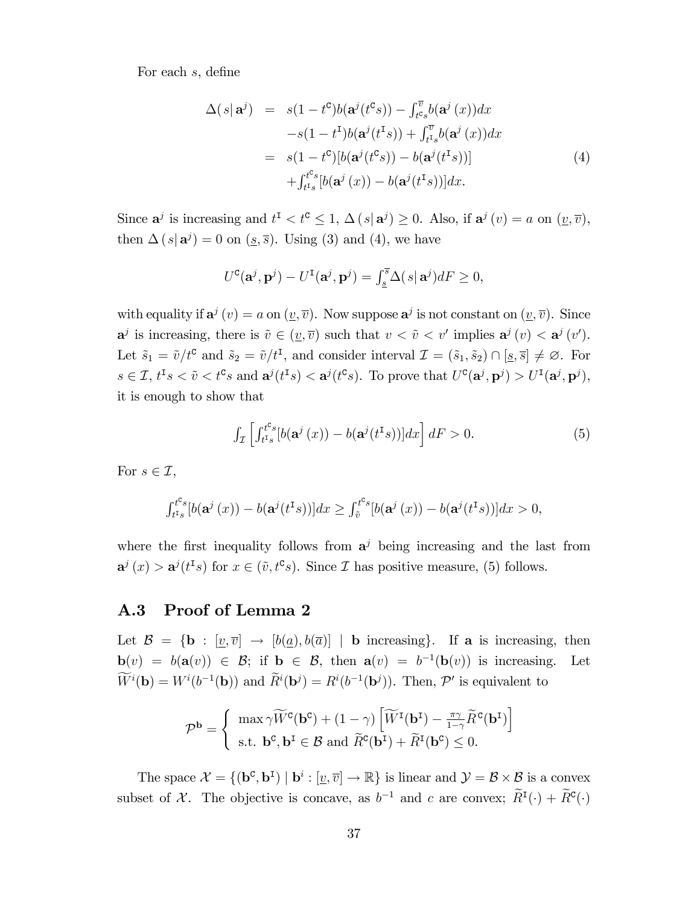For each s, define

$$
\Delta(s|\mathbf{a}^{j}) = s(1-t^{c})b(\mathbf{a}^{j}(t^{c}s)) - \int_{t^{c}s}^{v} b(\mathbf{a}^{j}(x))dx
$$
  
\n
$$
-s(1-t^{L})b(\mathbf{a}^{j}(t^{L}s)) + \int_{t^{L}s}^{v} b(\mathbf{a}^{j}(x))dx
$$
  
\n
$$
= s(1-t^{c})[b(\mathbf{a}^{j}(t^{c}s)) - b(\mathbf{a}^{j}(t^{L}s))]
$$
  
\n
$$
+ \int_{t^{L}s}^{t^{c}s}[b(\mathbf{a}^{j}(x)) - b(\mathbf{a}^{j}(t^{L}s))]dx.
$$
\n(4)

Since  $\mathbf{a}^j$  is increasing and  $t^{\text{I}} < t^{\text{c}} \leq 1$ ,  $\Delta(s|\mathbf{a}^j) \geq 0$ . Also, if  $\mathbf{a}^j(v) = a$  on  $(\underline{v}, \overline{v})$ , then  $\Delta(s|\mathbf{a}^j) = 0$  on  $(\underline{s}, \overline{s})$ . Using (3) and (4), we have

$$
U^{\mathbf{C}}(\mathbf{a}^j, \mathbf{p}^j) - U^{\mathbf{I}}(\mathbf{a}^j, \mathbf{p}^j) = \int_{\underline{s}}^{\overline{s}} \Delta(s|\mathbf{a}^j) dF \ge 0,
$$

with equality if  $\mathbf{a}^j(v) = a$  on  $(\underline{v}, \overline{v})$ . Now suppose  $\mathbf{a}^j$  is not constant on  $(\underline{v}, \overline{v})$ . Since  $\mathbf{a}^j$  is increasing, there is  $\tilde{v} \in (\underline{v}, \overline{v})$  such that  $v < \tilde{v} < v'$  implies  $\mathbf{a}^j(v) < \mathbf{a}^j(v')$ . Let  $\tilde{s}_1 = \tilde{v}/t^c$  and  $\tilde{s}_2 = \tilde{v}/t^I$ , and consider interval  $\mathcal{I} = (\tilde{s}_1, \tilde{s}_2) \cap [\underline{s}, \overline{s}] \neq \emptyset$ . For  $s \in \mathcal{I}, t^{\text{I}} s < \tilde{v} < t^{\text{C}} s$  and  $\mathbf{a}^{j}(t^{\text{I}} s) < \mathbf{a}^{j}(t^{\text{C}} s)$ . To prove that  $U^{\text{C}}(\mathbf{a}^{j}, \mathbf{p}^{j}) > U^{\text{I}}(\mathbf{a}^{j}, \mathbf{p}^{j})$ , it is enough to show that

$$
\int_{\mathcal{I}} \left[ \int_{t^{I_s}}^{t^{c_s}} [b(\mathbf{a}^j(x)) - b(\mathbf{a}^j(t^{I_s}))] dx \right] dF > 0.
$$
 (5)

For  $s \in \mathcal{I}$ ,

$$
\int_{t^{I_s}}^{t^{C_s}} [b(\mathbf{a}^j(x)) - b(\mathbf{a}^j(t^{I_s}))] dx \ge \int_{\tilde{v}}^{t^{C_s}} [b(\mathbf{a}^j(x)) - b(\mathbf{a}^j(t^{I_s}))] dx > 0,
$$

where the first inequality follows from  $a^j$  being increasing and the last from  $a^j(x) > a^j(t^{\texttt{T}}s)$  for  $x \in (\tilde{v}, t^{\texttt{C}}s)$ . Since  $\mathcal I$  has positive measure, (5) follows.

### A.3 Proof of Lemma 2

Let  $\mathcal{B} = \{\mathbf{b} : [\underline{v}, \overline{v}] \rightarrow [b(\underline{a}), b(\overline{a})] \mid \mathbf{b} \text{ increasing}\}.$  If a is increasing, then  $\mathbf{b}(v) = b(\mathbf{a}(v)) \in \mathcal{B}$ ; if  $\mathbf{b} \in \mathcal{B}$ , then  $\mathbf{a}(v) = b^{-1}(\mathbf{b}(v))$  is increasing. Let  $W^i(\mathbf{b}) = W^i(b^{-1}(\mathbf{b}))$  and  $\hat{R}^i(\mathbf{b}^j) = R^i(b^{-1}(\mathbf{b}^j))$ . Then,  $\mathcal{P}'$  is equivalent to

$$
\mathcal{P}^{\mathbf{b}} = \begin{cases} \max \gamma \widetilde{W}^{\mathbf{C}}(\mathbf{b}^{\mathbf{C}}) + (1 - \gamma) \left[ \widetilde{W}^{\mathbf{I}}(\mathbf{b}^{\mathbf{I}}) - \frac{\pi \gamma}{1 - \gamma} \widetilde{R}^{\mathbf{C}}(\mathbf{b}^{\mathbf{I}}) \right] \\ \text{s.t. } \mathbf{b}^{\mathbf{C}}, \mathbf{b}^{\mathbf{I}} \in \mathcal{B} \text{ and } \widetilde{R}^{\mathbf{C}}(\mathbf{b}^{\mathbf{I}}) + \widetilde{R}^{\mathbf{I}}(\mathbf{b}^{\mathbf{C}}) \le 0. \end{cases}
$$

The space  $\mathcal{X} = \{ (\mathbf{b}^c, \mathbf{b}^I) \mid \mathbf{b}^i : [\underline{v}, \overline{v}] \to \mathbb{R} \}$  is linear and  $\mathcal{Y} = \mathcal{B} \times \mathcal{B}$  is a convex subset of X. The objective is concave, as  $b^{-1}$  and c are convex;  $\overline{R}^I(\cdot) + \overline{R}^c(\cdot)$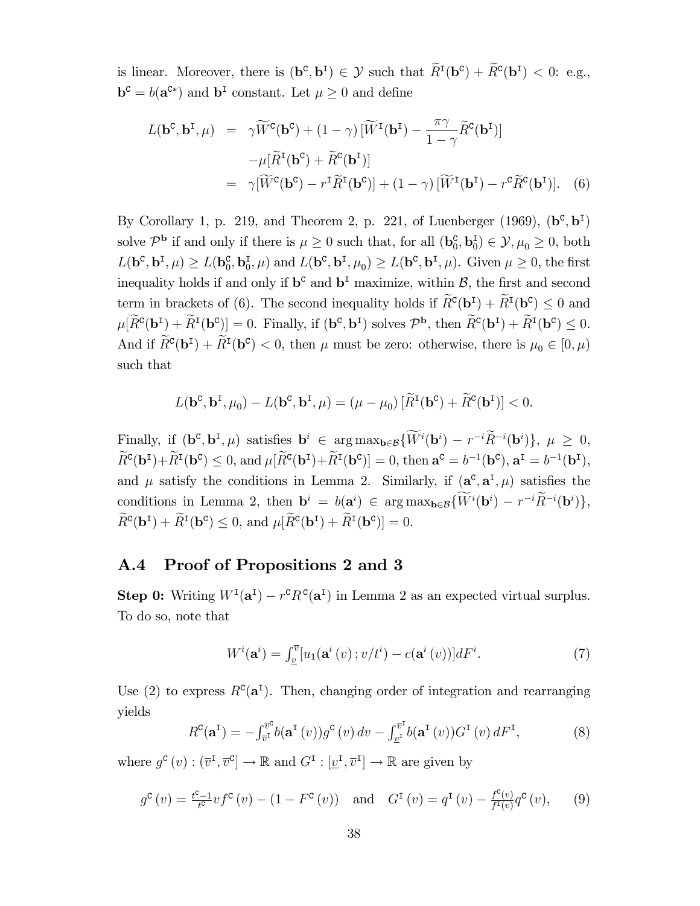is linear. Moreover, there is  $(\mathbf{b}^{\mathsf{c}}, \mathbf{b}^{\mathsf{I}}) \in \mathcal{Y}$  such that  $R^{\mathsf{I}}(\mathbf{b}^{\mathsf{c}}) + R^{\mathsf{c}}(\mathbf{b}^{\mathsf{I}}) < 0$ : e.g.,  $\mathbf{b}^{\mathsf{c}} = b(\mathbf{a}^{\mathsf{c}*})$  and  $\mathbf{b}^{\mathsf{I}}$  constant. Let  $\mu \geq 0$  and define

$$
L(\mathbf{b}^{\mathbf{c}}, \mathbf{b}^{\mathbf{I}}, \mu) = \gamma \widetilde{W}^{\mathbf{c}}(\mathbf{b}^{\mathbf{c}}) + (1 - \gamma) [\widetilde{W}^{\mathbf{I}}(\mathbf{b}^{\mathbf{I}}) - \frac{\pi \gamma}{1 - \gamma} \widetilde{R}^{\mathbf{c}}(\mathbf{b}^{\mathbf{I}})]
$$
  
\n
$$
- \mu [\widetilde{R}^{\mathbf{I}}(\mathbf{b}^{\mathbf{c}}) + \widetilde{R}^{\mathbf{c}}(\mathbf{b}^{\mathbf{I}})]
$$
  
\n
$$
= \gamma [\widetilde{W}^{\mathbf{c}}(\mathbf{b}^{\mathbf{c}}) - r^{\mathbf{I}} \widetilde{R}^{\mathbf{I}}(\mathbf{b}^{\mathbf{c}})] + (1 - \gamma) [\widetilde{W}^{\mathbf{I}}(\mathbf{b}^{\mathbf{I}}) - r^{\mathbf{c}} \widetilde{R}^{\mathbf{c}}(\mathbf{b}^{\mathbf{I}})]. \quad (6)
$$

By Corollary 1, p. 219, and Theorem 2, p. 221, of Luenberger (1969),  $(\mathbf{b}^c, \mathbf{b}^I)$ solve  $\mathcal{P}^{\mathbf{b}}$  if and only if there is  $\mu \geq 0$  such that, for all  $(\mathbf{b}_0^{\mathbf{c}}, \mathbf{b}_0^{\mathbf{I}}) \in \mathcal{Y}, \mu_0 \geq 0$ , both  $L(\mathbf{b}^{\mathbf{c}}, \mathbf{b}^{\mathbf{I}}, \mu) \ge L(\mathbf{b}_{0}^{\mathbf{c}}, \mathbf{b}_{0}^{\mathbf{I}}, \mu)$  and  $L(\mathbf{b}^{\mathbf{c}}, \mathbf{b}^{\mathbf{I}}, \mu_{0}) \ge L(\mathbf{b}^{\mathbf{c}}, \mathbf{b}^{\mathbf{I}}, \mu)$ . Given  $\mu \ge 0$ , the first inequality holds if and only if  $\mathbf{b}^{\mathsf{c}}$  and  $\mathbf{b}^{\mathsf{I}}$  maximize, within  $\mathcal{B}$ , the first and second term in brackets of (6). The second inequality holds if  $R^c(\mathbf{b}^I) + R^I(\mathbf{b}^c) \leq 0$  and  $\mu[\overline{R}^{\mathbf{C}}(\mathbf{b}^{\mathbf{I}}) + \overline{R}^{\mathbf{I}}(\mathbf{b}^{\mathbf{C}})] = 0.$  Finally, if  $(\mathbf{b}^{\mathbf{C}}, \mathbf{b}^{\mathbf{I}})$  solves  $\mathcal{P}^{\mathbf{b}}$ , then  $\overline{R}^{\mathbf{C}}(\mathbf{b}^{\mathbf{I}}) + \overline{R}^{\mathbf{I}}(\mathbf{b}^{\mathbf{C}}) \leq 0.$ And if  $R^{\mathbf{C}}(\mathbf{b}^{\mathbf{I}}) + R^{\mathbf{I}}(\mathbf{b}^{\mathbf{C}}) < 0$ , then  $\mu$  must be zero: otherwise, there is  $\mu_0 \in [0, \mu)$ such that

$$
L(\mathbf{b}^{\mathsf{C}}, \mathbf{b}^{\mathsf{T}}, \mu_0) - L(\mathbf{b}^{\mathsf{C}}, \mathbf{b}^{\mathsf{T}}, \mu) = (\mu - \mu_0) [\widetilde{R}^{\mathsf{T}}(\mathbf{b}^{\mathsf{C}}) + \widetilde{R}^{\mathsf{C}}(\mathbf{b}^{\mathsf{T}})] < 0.
$$

Finally, if  $(\mathbf{b}^c, \mathbf{b}^I, \mu)$  satisfies  $\mathbf{b}^i \in \arg \max_{\mathbf{b} \in \mathcal{B}} \{ \overline{W}^i(\mathbf{b}^i) - r^{-i} \overline{R}^{-i}(\mathbf{b}^i) \}, \mu \geq 0,$  $R^{\mathbf{C}}(\mathbf{b}^{\mathbf{I}})+R^{\mathbf{I}}(\mathbf{b}^{\mathbf{C}}) \leq 0$ , and  $\mu[R^{\mathbf{C}}(\mathbf{b}^{\mathbf{I}})+R^{\mathbf{I}}(\mathbf{b}^{\mathbf{C}})] = 0$ , then  $\mathbf{a}^{\mathbf{C}} = b^{-1}(\mathbf{b}^{\mathbf{C}})$ ,  $\mathbf{a}^{\mathbf{I}} = b^{-1}(\mathbf{b}^{\mathbf{I}})$ , and  $\mu$  satisfy the conditions in Lemma 2. Similarly, if  $(a^c, a^I, \mu)$  satisfies the conditions in Lemma 2, then  $\mathbf{b}^i = b(\mathbf{a}^i) \in \arg \max_{\mathbf{b} \in \mathcal{B}} \{W^i(\mathbf{b}^i) - r^{-i}\overline{R}^{-i}(\mathbf{b}^i)\},$  $R^{\mathbf{C}}(\mathbf{b}^{\mathbf{I}}) + R^{\mathbf{I}}(\mathbf{b}^{\mathbf{C}}) \leq 0$ , and  $\mu[R^{\mathbf{C}}(\mathbf{b}^{\mathbf{I}}) + R^{\mathbf{I}}(\mathbf{b}^{\mathbf{C}})] = 0$ .

### A.4 Proof of Propositions 2 and 3

**Step 0:** Writing  $W^I(\mathbf{a}^I) - r^c R^c(\mathbf{a}^I)$  in Lemma 2 as an expected virtual surplus. To do so, note that

$$
W^{i}(\mathbf{a}^{i}) = \int_{\underline{v}}^{\overline{v}} [u_{1}(\mathbf{a}^{i}(v); v/t^{i}) - c(\mathbf{a}^{i}(v))]dF^{i}.
$$
 (7)

Use (2) to express  $R^{c}(\mathbf{a}^{I})$ . Then, changing order of integration and rearranging yields

$$
R^{\mathbf{C}}(\mathbf{a}^{\mathbf{I}}) = -\int_{\overline{v}^{\mathbf{I}}}^{\overline{v}^{\mathbf{C}}} b(\mathbf{a}^{\mathbf{I}}(v)) g^{\mathbf{C}}(v) dv - \int_{\underline{v}^{\mathbf{I}}}^{\overline{v}^{\mathbf{I}}} b(\mathbf{a}^{\mathbf{I}}(v)) G^{\mathbf{I}}(v) dF^{\mathbf{I}}, \tag{8}
$$

where  $g^{\mathcal{C}}(v) : (\overline{v}^{\mathcal{I}}, \overline{v}^{\mathcal{C}}] \to \mathbb{R}$  and  $G^{\mathcal{I}} : [\underline{v}^{\mathcal{I}}, \overline{v}^{\mathcal{I}}] \to \mathbb{R}$  are given by

$$
g^{\mathbf{C}}(v) = \frac{t^{\mathbf{C}} - 1}{t^{\mathbf{C}}} v f^{\mathbf{C}}(v) - (1 - F^{\mathbf{C}}(v)) \quad \text{and} \quad G^{\mathbf{I}}(v) = q^{\mathbf{I}}(v) - \frac{f^{\mathbf{C}}(v)}{f^{\mathbf{I}}(v)} q^{\mathbf{C}}(v), \tag{9}
$$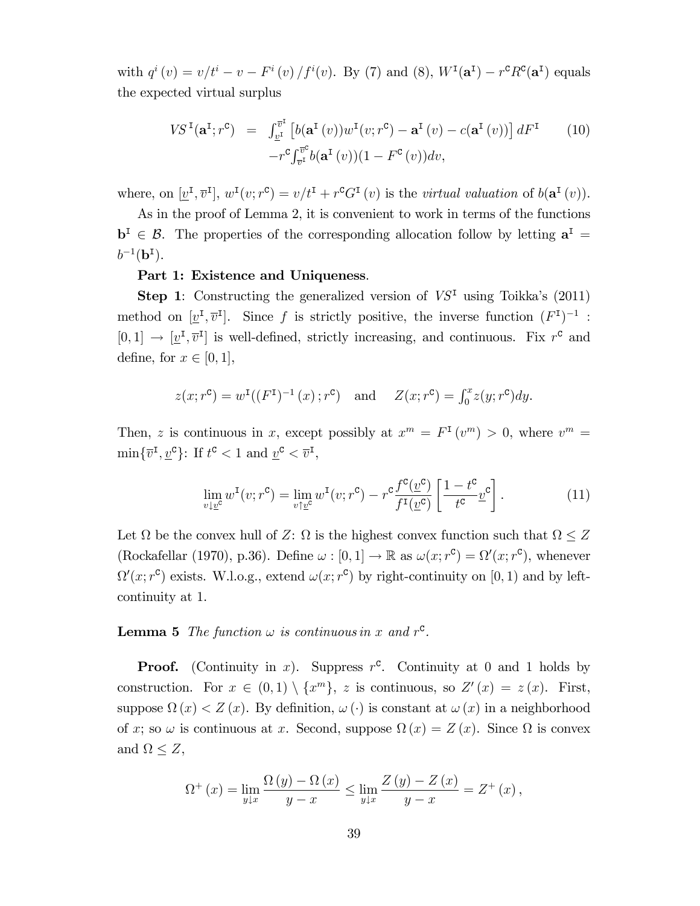with  $q^{i}(v) = v/t^{i} - v - F^{i}(v)/f^{i}(v)$ . By (7) and (8),  $W^{I}(\mathbf{a}^{I}) - r^{c}R^{c}(\mathbf{a}^{I})$  equals the expected virtual surplus

$$
VS^{I}(\mathbf{a}^{I};r^{c}) = \int_{\underline{v}^{I}}^{\overline{v}^{I}} \left[ b(\mathbf{a}^{I}(v))w^{I}(v;r^{c}) - \mathbf{a}^{I}(v) - c(\mathbf{a}^{I}(v)) \right] dF^{I} \qquad (10)
$$

$$
-r^{c} \int_{\overline{v}^{I}}^{\overline{v}^{c}} b(\mathbf{a}^{I}(v))(1 - F^{c}(v)) dv,
$$

where, on  $[\underline{v}^{\text{I}}, \overline{v}^{\text{I}}], w^{\text{I}}(v; r^{\text{C}}) = v/t^{\text{I}} + r^{\text{C}}G^{\text{I}}(v)$  is the *virtual valuation* of  $b(\mathbf{a}^{\text{I}}(v))$ .

As in the proof of Lemma 2, it is convenient to work in terms of the functions  $\mathbf{b}^{\mathsf{I}} \in \mathcal{B}$ . The properties of the corresponding allocation follow by letting  $\mathbf{a}^{\mathsf{I}} =$  $b^{-1}({\bf b}^{\texttt{I}}).$ 

#### Part 1: Existence and Uniqueness.

**Step 1:** Constructing the generalized version of  $VS<sup>T</sup>$  using Toikka's (2011) method on  $[\underline{v}^{\text{I}}, \overline{v}^{\text{I}}]$ . Since f is strictly positive, the inverse function  $(F^{\text{I}})^{-1}$ :  $[0, 1] \rightarrow [\underline{v}^{\mathsf{T}}, \overline{v}^{\mathsf{T}}]$  is well-defined, strictly increasing, and continuous. Fix  $r^{\mathsf{c}}$  and define, for  $x \in [0, 1]$ ,

$$
z(x; r^c) = w^I((F^I)^{-1}(x); r^c)
$$
 and  $Z(x; r^c) = \int_0^x z(y; r^c) dy$ .

Then, z is continuous in x, except possibly at  $x^m = F^{\text{I}}(v^m) > 0$ , where  $v^m =$  $\min\{\overline{v}^{\mathsf{I}}, \underline{v}^{\mathsf{C}}\}$ : If  $t^{\mathsf{C}} < 1$  and  $\underline{v}^{\mathsf{C}} < \overline{v}^{\mathsf{I}},$ 

$$
\lim_{v \downarrow \underline{v}^c} w^{\mathsf{T}}(v; r^c) = \lim_{v \uparrow \underline{v}^c} w^{\mathsf{T}}(v; r^c) - r^c \frac{f^c(\underline{v}^c)}{f^{\mathsf{T}}(\underline{v}^c)} \left[ \frac{1 - t^c}{t^c} \underline{v}^c \right]. \tag{11}
$$

Let  $\Omega$  be the convex hull of Z:  $\Omega$  is the highest convex function such that  $\Omega \leq Z$ (Rockafellar (1970), p.36). Define  $\omega : [0, 1] \to \mathbb{R}$  as  $\omega(x; r^c) = \Omega'(x; r^c)$ , whenever  $\Omega'(x; r^c)$  exists. W.l.o.g., extend  $\omega(x; r^c)$  by right-continuity on [0, 1) and by leftcontinuity at 1.

**Lemma 5** The function  $\omega$  is continuous in x and  $r^c$ .

**Proof.** (Continuity in x). Suppress  $r^c$ . Continuity at 0 and 1 holds by construction. For  $x \in (0,1) \setminus \{x^m\}, z$  is continuous, so  $Z'(x) = z(x)$ . First, suppose  $\Omega(x) < Z(x)$ . By definition,  $\omega(\cdot)$  is constant at  $\omega(x)$  in a neighborhood of x; so  $\omega$  is continuous at x. Second, suppose  $\Omega(x) = Z(x)$ . Since  $\Omega$  is convex and  $\Omega \leq Z$ ,

$$
\Omega^{+}(x) = \lim_{y \downarrow x} \frac{\Omega(y) - \Omega(x)}{y - x} \le \lim_{y \downarrow x} \frac{Z(y) - Z(x)}{y - x} = Z^{+}(x),
$$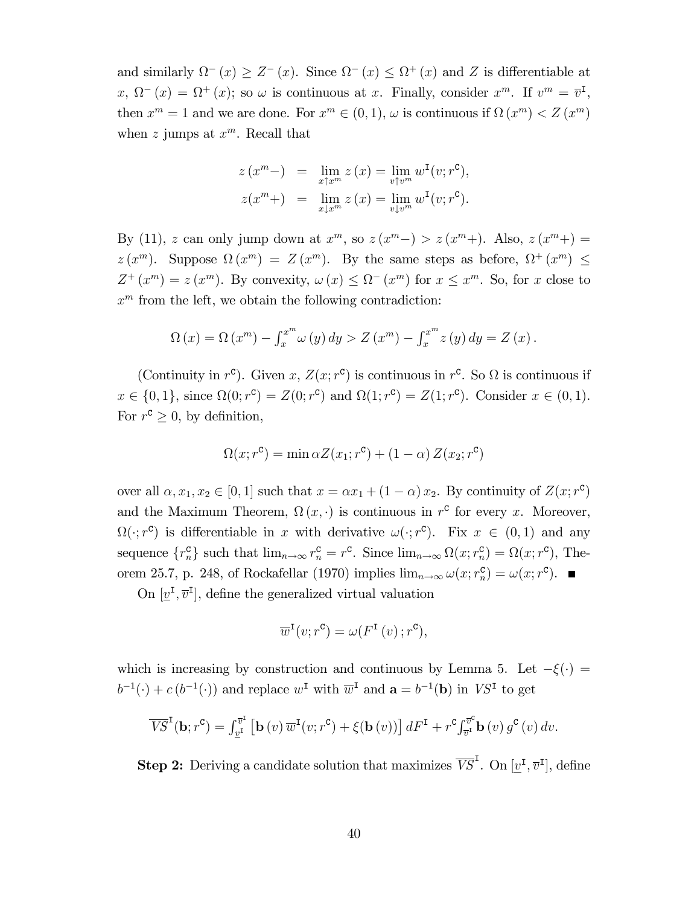and similarly  $\Omega^{-}(x) \geq Z^{-}(x)$ . Since  $\Omega^{-}(x) \leq \Omega^{+}(x)$  and Z is differentiable at  $x, \Omega^-(x) = \Omega^+(x);$  so  $\omega$  is continuous at x. Finally, consider  $x^m$ . If  $v^m = \overline{v}^I$ , then  $x^m = 1$  and we are done. For  $x^m \in (0, 1)$ ,  $\omega$  is continuous if  $\Omega(x^m) < Z(x^m)$ when z jumps at  $x^m$ . Recall that

$$
z(x^m-) = \lim_{x \uparrow x^m} z(x) = \lim_{v \uparrow v^m} w^{\text{I}}(v; r^{\text{C}}),
$$
  

$$
z(x^m+) = \lim_{x \downarrow x^m} z(x) = \lim_{v \downarrow v^m} w^{\text{I}}(v; r^{\text{C}}).
$$

By (11), z can only jump down at  $x^m$ , so  $z(x^m-) > z(x^m+)$ . Also,  $z(x^m+)$  =  $z(x^m)$ . Suppose  $\Omega(x^m) = Z(x^m)$ . By the same steps as before,  $\Omega^+(x^m) \leq$  $Z^+(x^m) = z(x^m)$ . By convexity,  $\omega(x) \leq \Omega^-(x^m)$  for  $x \leq x^m$ . So, for x close to  $x<sup>m</sup>$  from the left, we obtain the following contradiction:

$$
\Omega(x) = \Omega(x^{m}) - \int_{x}^{x^{m}} \omega(y) dy > Z(x^{m}) - \int_{x}^{x^{m}} z(y) dy = Z(x).
$$

(Continuity in  $r^c$ ). Given x,  $Z(x; r^c)$  is continuous in  $r^c$ . So  $\Omega$  is continuous if  $x \in \{0, 1\}$ , since  $\Omega(0; r^c) = Z(0; r^c)$  and  $\Omega(1; r^c) = Z(1; r^c)$ . Consider  $x \in (0, 1)$ . For  $r^c \geq 0$ , by definition,

$$
\Omega(x; r^{\text{c}}) = \min \alpha Z(x_1; r^{\text{c}}) + (1 - \alpha) Z(x_2; r^{\text{c}})
$$

over all  $\alpha, x_1, x_2 \in [0, 1]$  such that  $x = \alpha x_1 + (1 - \alpha) x_2$ . By continuity of  $Z(x; r^c)$ and the Maximum Theorem,  $\Omega(x, \cdot)$  is continuous in  $r^c$  for every x. Moreover,  $\Omega(\cdot; r^{\mathsf{c}})$  is differentiable in x with derivative  $\omega(\cdot; r^{\mathsf{c}})$ . Fix  $x \in (0,1)$  and any sequence  $\{r_n^{\mathbf{C}}\}$  such that  $\lim_{n\to\infty} r_n^{\mathbf{C}} = r^{\mathbf{C}}$ . Since  $\lim_{n\to\infty} \Omega(x; r_n^{\mathbf{C}}) = \Omega(x; r^{\mathbf{C}})$ , Theorem 25.7, p. 248, of Rockafellar (1970) implies  $\lim_{n\to\infty} \omega(x; r_n^c) = \omega(x; r^c)$ .

On  $[\underline{v}^{\text{I}}, \overline{v}^{\text{I}}]$ , define the generalized virtual valuation

$$
\overline{w}^{\mathbf{I}}(v; r^{\mathbf{C}}) = \omega(F^{\mathbf{I}}(v) ; r^{\mathbf{C}}),
$$

which is increasing by construction and continuous by Lemma 5. Let  $-\xi(\cdot)$  =  $b^{-1}(\cdot) + c(b^{-1}(\cdot))$  and replace  $w^{\text{I}}$  with  $\overline{w}^{\text{I}}$  and  $\mathbf{a} = b^{-1}(\mathbf{b})$  in  $VS^{\text{I}}$  to get

$$
\overline{VS}^{\mathbf{I}}(\mathbf{b};r^{\mathbf{C}})=\int_{\underline{v}^{\mathbf{I}}}\left[\mathbf{b}\left(v\right)\overline{w}^{\mathbf{I}}(v;r^{\mathbf{C}})+\xi(\mathbf{b}\left(v\right))\right]dF^{\mathbf{I}}+r^{\mathbf{C}}\int_{\overline{v}^{\mathbf{I}}}^{\overline{v}^{\mathbf{C}}}\mathbf{b}\left(v\right)g^{\mathbf{C}}\left(v\right)dv.
$$

**Step 2:** Deriving a candidate solution that maximizes  $\overline{VS}^{\mathbf{I}}$ . On  $[\underline{v}^{\mathbf{I}}, \overline{v}^{\mathbf{I}}]$ , define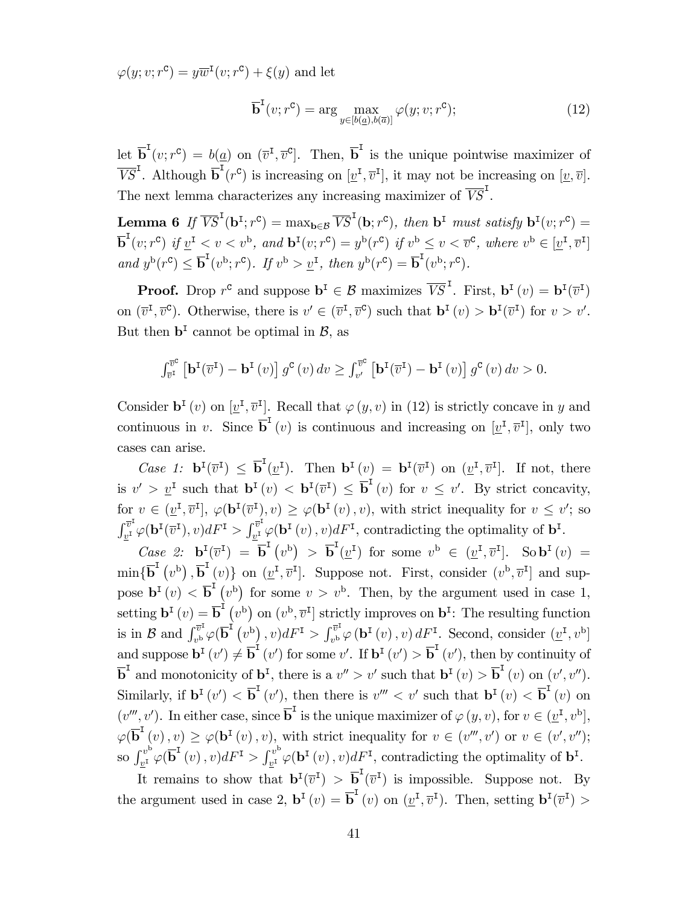$\varphi(y; v; r^{\mathsf{C}}) = y\overline{w}^{\mathsf{I}}(v; r^{\mathsf{C}}) + \xi(y)$  and let

$$
\overline{\mathbf{b}}^{\mathsf{T}}(v; r^{\mathsf{c}}) = \arg \max_{y \in [b(\underline{a}), b(\overline{a})]} \varphi(y; v; r^{\mathsf{c}}); \tag{12}
$$

let  $\overline{\mathbf{b}}^{\mathsf{I}}(v; r^{\mathsf{c}}) = b(\underline{a})$  on  $(\overline{v}^{\mathsf{I}}, \overline{v}^{\mathsf{c}})$ . Then,  $\overline{\mathbf{b}}^{\mathsf{I}}$  is the unique pointwise maximizer of  $\overline{VS}^I$ . Although  $\overline{b}^I(r^c)$  is increasing on  $[\underline{v}^I, \overline{v}^I]$ , it may not be increasing on  $[\underline{v}, \overline{v}]$ . The next lemma characterizes any increasing maximizer of  $\overline{VS}^I$ .

**Lemma 6** If  $\overline{VS}^I(\mathbf{b}^I; r^c) = \max_{\mathbf{b}\in\mathcal{B}} \overline{VS}^I(\mathbf{b}; r^c)$ , then  $\mathbf{b}^I$  must satisfy  $\mathbf{b}^I(v; r^c) =$  $\overline{\mathbf{b}}^{\mathsf{T}}(v; r^{\mathsf{C}})$  if  $\underline{v}^{\mathsf{T}} < v < v^{\mathsf{b}}$ , and  $\mathbf{b}^{\mathsf{T}}(v; r^{\mathsf{C}}) = y^{\mathsf{b}}(r^{\mathsf{C}})$  if  $v^{\mathsf{b}} \leq v < \overline{v}^{\mathsf{C}}$ , where  $v^{\mathsf{b}} \in [\underline{v}^{\mathsf{T}}, \overline{v}^{\mathsf{T}}]$ and  $y^{\mathrm{b}}(r^{\mathrm{c}}) \leq \overline{\mathbf{b}}^{\mathrm{I}}(v^{\mathrm{b}}; r^{\mathrm{c}})$ . If  $v^{\mathrm{b}} > \underline{v}^{\mathrm{I}}$ , then  $y^{\mathrm{b}}(r^{\mathrm{c}}) = \overline{\mathbf{b}}^{\mathrm{I}}(v^{\mathrm{b}}; r^{\mathrm{c}})$ .

**Proof.** Drop  $r^c$  and suppose  $\mathbf{b}^I \in \mathcal{B}$  maximizes  $\overline{VS}^I$ . First,  $\mathbf{b}^I(v) = \mathbf{b}^I(\overline{v}^I)$ on  $(\overline{v}^{\mathsf{I}}, \overline{v}^{\mathsf{C}})$ . Otherwise, there is  $v' \in (\overline{v}^{\mathsf{I}}, \overline{v}^{\mathsf{C}})$  such that  $\mathbf{b}^{\mathsf{I}}(v) > \mathbf{b}^{\mathsf{I}}(\overline{v}^{\mathsf{I}})$  for  $v > v'$ . But then  $\mathbf{b}^{\mathsf{T}}$  cannot be optimal in  $\mathcal{B}$ , as

$$
\int_{\overline{v}^{\mathcal{I}}}\left[\mathbf{b}^{\mathcal{I}}(\overline{v}^{\mathcal{I}})-\mathbf{b}^{\mathcal{I}}(v)\right]g^{\mathcal{C}}(v)\,dv \geq \int_{v'}^{\overline{v}^{\mathcal{C}}}\left[\mathbf{b}^{\mathcal{I}}(\overline{v}^{\mathcal{I}})-\mathbf{b}^{\mathcal{I}}(v)\right]g^{\mathcal{C}}(v)\,dv > 0.
$$

Consider  $\mathbf{b}^{\text{I}}(v)$  on  $[\underline{v}^{\text{I}}, \overline{v}^{\text{I}}]$ . Recall that  $\varphi(y, v)$  in (12) is strictly concave in y and continuous in v. Since  $\overline{\mathbf{b}}^{\mathsf{T}}(v)$  is continuous and increasing on  $[\underline{v}^{\mathsf{T}}, \overline{v}^{\mathsf{T}}]$ , only two cases can arise.

Case 1:  $\mathbf{b}^{I}(\overline{v}^{I}) \leq \overline{\mathbf{b}}^{I}(\underline{v}^{I}).$  Then  $\mathbf{b}^{I}(v) = \mathbf{b}^{I}(\overline{v}^{I})$  on  $(\underline{v}^{I}, \overline{v}^{I}).$  If not, there is  $v' > \underline{v}^{\mathsf{I}}$  such that  $\mathbf{b}^{\mathsf{I}}(v) < \mathbf{b}^{\mathsf{I}}(\overline{v}^{\mathsf{I}}) \leq \overline{\mathbf{b}}^{\mathsf{I}}(v)$  for  $v \leq v'$ . By strict concavity, for  $v \in (\underline{v}^{\mathsf{T}}, \overline{v}^{\mathsf{T}}], \varphi(\mathbf{b}^{\mathsf{T}}(\overline{v}^{\mathsf{T}}), v) \geq \varphi(\mathbf{b}^{\mathsf{T}}(v), v)$ , with strict inequality for  $v \leq v'$ ; so  $\int_{-\tau}^{\overline{v}^{\scriptscriptstyle \text{I}}}$  $v^{\overline{v}^{\mathrm{I}}}\varphi(\mathbf{b}^{\mathrm{I}}(\overline{v}^{\mathrm{I}}),v)dF^{\mathrm{I}}>\int_{\underline{v}^{\mathrm{I}}}^{\overline{v}^{\mathrm{I}}}$  $v^{\nu}$   $\varphi$  (**b**<sup>I</sup></sup>(*v*), *v*)*dF*<sup>I</sup>, contradicting the optimality of **b**<sup>I</sup>.

Case 2:  $\mathbf{b}^{\mathrm{I}}(\overline{v}^{\mathrm{I}}) = \overline{\mathbf{b}}^{\mathrm{I}}(v^{\mathrm{b}}) > \overline{\mathbf{b}}^{\mathrm{I}}(\underline{v}^{\mathrm{I}})$  for some  $v^{\mathrm{b}} \in (\underline{v}^{\mathrm{I}}, \overline{v}^{\mathrm{I}}]$ . So  $\mathbf{b}^{\mathrm{I}}(v) =$  $\min\{\overline{\mathbf{b}}^{\mathbf{I}}(v^{\mathbf{b}}), \overline{\mathbf{b}}^{\mathbf{I}}(v)\}\$  on  $(\underline{v}^{\mathbf{I}}, \overline{v}^{\mathbf{I}}]$ . Suppose not. First, consider  $(v^{\mathbf{b}}, \overline{v}^{\mathbf{I}}]$  and suppose  $\mathbf{b}^{I}(v) < \overline{\mathbf{b}}^{I}(v^{b})$  for some  $v > v^{b}$ . Then, by the argument used in case 1, setting  $\mathbf{b}^{\mathrm{T}}(v) = \overline{\mathbf{b}}^{\mathrm{T}}(v^{\mathrm{b}})$  on  $(v^{\mathrm{b}}, \overline{v}^{\mathrm{T}}]$  strictly improves on  $\mathbf{b}^{\mathrm{T}}$ : The resulting function is in  $\mathcal{B}$  and  $\int_{v^{b}}^{\overline{v}^{1}}$  $v^{\overline{v}^{\text{I}}}\varphi(\overline{\mathbf{b}}^{\text{I}}\left(v^{\text{b}}\right),v)dF^{\text{I}}>\int_{v^{\text{b}}}^{\overline{v}^{\text{I}}}$  $\int_{v^{b}}^{v^{a}} \varphi\left(\mathbf{b}^{I}(v), v\right) dF^{I}$ . Second, consider  $(\underline{v}^{I}, v^{b})$ and suppose  $\mathbf{b}^{\mathrm{T}}(v') \neq \overline{\mathbf{b}}^{\mathrm{T}}(v')$  for some v'. If  $\mathbf{b}^{\mathrm{T}}(v') > \overline{\mathbf{b}}^{\mathrm{T}}(v')$ , then by continuity of  $\overline{\mathbf{b}}^{\mathbf{I}}$  and monotonicity of  $\mathbf{b}^{\mathbf{I}}$ , there is a  $v'' > v'$  such that  $\mathbf{b}^{\mathbf{I}}(v) > \overline{\mathbf{b}}^{\mathbf{I}}(v)$  on  $(v', v'')$ . Similarly, if  $\mathbf{b}^{\mathrm{T}}(v') < \overline{\mathbf{b}}^{\mathrm{T}}(v')$ , then there is  $v''' < v'$  such that  $\mathbf{b}^{\mathrm{T}}(v) < \overline{\mathbf{b}}^{\mathrm{T}}(v)$  on  $(v''', v')$ . In either case, since  $\overline{b}^I$  is the unique maximizer of  $\varphi(y, v)$ , for  $v \in (\underline{v}^I, v^b]$ ,  $\varphi(\overline{\mathbf{b}}^{I}(v), v) \geq \varphi(\mathbf{b}^{I}(v), v)$ , with strict inequality for  $v \in (v''', v')$  or  $v \in (v', v'')$ ; so  $\int_{v}^{v^{\mathrm{b}}}$  $\int_{\underline{v}^{\text{I}}}^{\cdot v^{\text{b}}} \varphi(\overline{\text{b}}^{\text{I}}\left(v\right), v) dF^{\text{I}} > \int_{\underline{v}^{\text{I}}}^{\overline{v}^{\text{b}}}$  $v^v \varphi(\mathbf{b}^{\mathbf{I}}(v), v) dF^{\mathbf{I}},$  contradicting the optimality of  $\mathbf{b}^{\mathbf{I}}$ .

It remains to show that  $\mathbf{b}^{\text{I}}(\overline{v}^{\text{I}}) > \overline{\mathbf{b}}^{\text{I}}(\overline{v}^{\text{I}})$  is impossible. Suppose not. By the argument used in case 2,  $\mathbf{b}^{\mathsf{T}}(v) = \overline{\mathbf{b}}^{\mathsf{T}}(v)$  on  $(\underline{v}^{\mathsf{T}}, \overline{v}^{\mathsf{T}})$ . Then, setting  $\mathbf{b}^{\mathsf{T}}(\overline{v}^{\mathsf{T}})$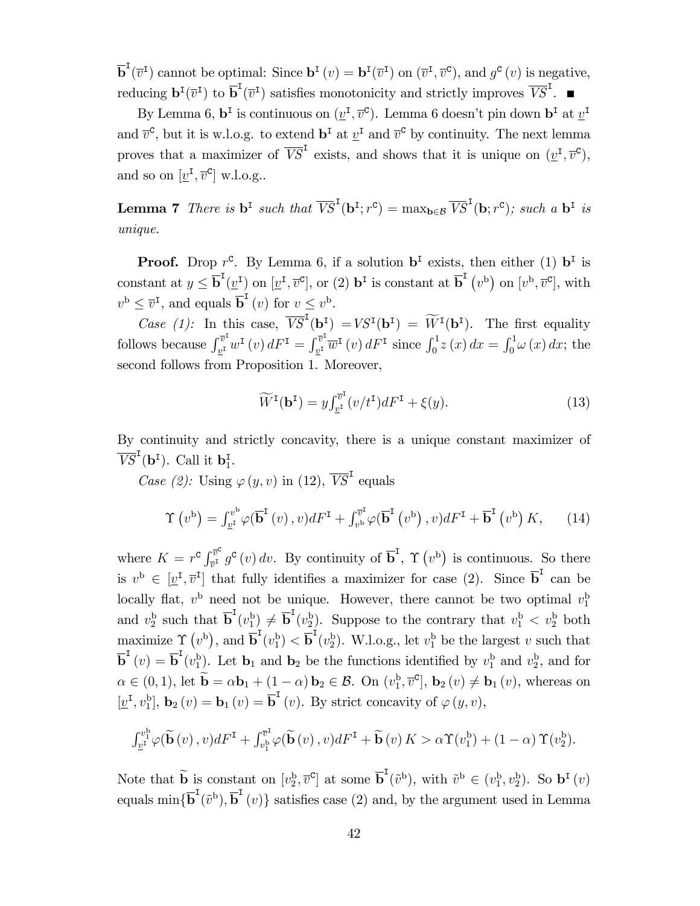$\overline{\mathbf{b}}^{\mathsf{I}}(\overline{v}^{\mathsf{I}})$  cannot be optimal: Since  $\mathbf{b}^{\mathsf{I}}(v) = \mathbf{b}^{\mathsf{I}}(\overline{v}^{\mathsf{I}})$  on  $(\overline{v}^{\mathsf{I}}, \overline{v}^{\mathsf{C}})$ , and  $g^{\mathsf{C}}(v)$  is negative, reducing  $\mathbf{b}^{I}(\overline{v}^{I})$  to  $\overline{\mathbf{b}}^{I}(\overline{v}^{I})$  satisfies monotonicity and strictly improves  $\overline{VS}^{I}$ .

By Lemma 6,  $\mathbf{b}^{\text{I}}$  is continuous on  $(\underline{v}^{\text{I}}, \overline{v}^{\text{c}})$ . Lemma 6 doesn't pin down  $\mathbf{b}^{\text{I}}$  at  $\underline{v}^{\text{I}}$ and  $\bar{v}^{\mathsf{C}}$ , but it is w.l.o.g. to extend  $\mathbf{b}^{\mathsf{I}}$  at  $\underline{v}^{\mathsf{I}}$  and  $\bar{v}^{\mathsf{C}}$  by continuity. The next lemma proves that a maximizer of  $\overline{VS}^{\text{I}}$  exists, and shows that it is unique on  $(\underline{v}^{\text{I}}, \overline{v}^{\text{C}})$ , and so on  $[\underline{v}^{\text{I}}, \overline{v}^{\text{c}}]$  w.l.o.g..

**Lemma 7** There is  $\mathbf{b}^{\text{I}}$  such that  $\overline{VS}^{\text{I}}(\mathbf{b}^{\text{I}};r^{\text{c}}) = \max_{\mathbf{b} \in \mathcal{B}} \overline{VS}^{\text{I}}(\mathbf{b};r^{\text{c}})$ ; such a  $\mathbf{b}^{\text{I}}$  is unique.

**Proof.** Drop  $r^c$ . By Lemma 6, if a solution  $\mathbf{b}^I$  exists, then either (1)  $\mathbf{b}^I$  is constant at  $y \leq \overline{\mathbf{b}}^{\mathsf{T}}(\underline{v}^{\mathsf{T}})$  on  $[\underline{v}^{\mathsf{T}}, \overline{v}^{\mathsf{C}}]$ , or (2)  $\mathbf{b}^{\mathsf{T}}$  is constant at  $\overline{\mathbf{b}}^{\mathsf{T}}(v^{\mathsf{b}})$  on  $[v^{\mathsf{b}}, \overline{v}^{\mathsf{C}}]$ , with  $v^{\mathbf{b}} \leq \overline{v}^{\mathbf{I}},$  and equals  $\overline{\mathbf{b}}^{\mathbf{I}}(v)$  for  $v \leq v^{\mathbf{b}}$ .

Case (1): In this case,  $\overline{VS}^I(\mathbf{b}^I) = VS^I(\mathbf{b}^I) = \widetilde{W}^I(\mathbf{b}^I)$ . The first equality follows because  $\int_{v^I} \overline{v}$  $v^{\overline{v}^{\mathrm{I}}}_w w^{\mathrm{I}}\left(v\right)dF^{\mathrm{I}}=\int_{\underline{v}^{\mathrm{I}}}^{\overline{v}^{\mathrm{I}}}$  $v_{\frac{v}{2}}^{v\overline{v}^{\text{I}}}$   $\overline{w}^{\text{I}}$  (*v*)  $dF^{\text{I}}$  since  $\int_0^1 z(x) dx = \int_0^1 \omega(x) dx$ ; the second follows from Proposition 1. Moreover,

$$
\widetilde{W}^{\mathbf{I}}(\mathbf{b}^{\mathbf{I}}) = y \int_{\underline{v}^{\mathbf{I}}}^{\overline{v}^{\mathbf{I}}} (v/t^{\mathbf{I}}) dF^{\mathbf{I}} + \xi(y). \tag{13}
$$

By continuity and strictly concavity, there is a unique constant maximizer of  $\overline{VS}^I(\mathbf{b}^I)$ . Call it  $\mathbf{b}_1^I$ .

Case (2): Using  $\varphi(y, v)$  in (12),  $\overline{VS}^{\text{I}}$  equals

$$
\Upsilon(v^{\mathrm{b}}) = \int_{\underline{v}^{\mathrm{I}}}^{\underline{v}^{\mathrm{b}}} \varphi(\overline{\mathbf{b}}^{\mathrm{I}}(v), v) dF^{\mathrm{I}} + \int_{v^{\mathrm{b}}}^{\overline{v}^{\mathrm{I}}} \varphi(\overline{\mathbf{b}}^{\mathrm{I}}(v^{\mathrm{b}}), v) dF^{\mathrm{I}} + \overline{\mathbf{b}}^{\mathrm{I}}(v^{\mathrm{b}}) K, \qquad (14)
$$

where  $K = r^{\mathbf{C}} \int_{\overline{n}^{\mathbf{I}}}^{\overline{v}^{\mathbf{C}}}$  $\overline{v}^c$   $g^c(v) dv$ . By continuity of  $\overline{b}^I$ ,  $\Upsilon(v^b)$  is continuous. So there is  $v^{\mathrm{b}} \in [\underline{v}^{\mathrm{I}}, \overline{v}^{\mathrm{I}}]$  that fully identifies a maximizer for case (2). Since  $\overline{\mathbf{b}}^{\mathrm{I}}$  can be locally flat,  $v^{\rm b}$  need not be unique. However, there cannot be two optimal  $v_1^{\rm b}$ and  $v_2^{\mathrm{b}}$  such that  $\overline{\mathbf{b}}^{\mathrm{T}}(v_1^{\mathrm{b}}) \neq \overline{\mathbf{b}}^{\mathrm{T}}(v_2^{\mathrm{b}})$ . Suppose to the contrary that  $v_1^{\mathrm{b}} < v_2^{\mathrm{b}}$  both maximize  $\Upsilon(v^b)$ , and  $\overline{b}^I(v_1^b) < \overline{b}^I(v_2^b)$ . W.l.o.g., let  $v_1^b$  be the largest v such that  $\overline{\mathbf{b}}^{\mathbf{I}}(v) = \overline{\mathbf{b}}^{\mathbf{I}}(v_1^{\mathbf{b}})$ . Let  $\mathbf{b}_1$  and  $\mathbf{b}_2$  be the functions identified by  $v_1^{\mathbf{b}}$  and  $v_2^{\mathbf{b}}$ , and for  $\alpha \in (0,1)$ , let  $\mathbf{b} = \alpha \mathbf{b}_1 + (1 - \alpha) \mathbf{b}_2 \in \mathcal{B}$ . On  $(v_1^{\mathbf{b}}, \overline{v}^{\mathbf{c}}]$ ,  $\mathbf{b}_2(v) \neq \mathbf{b}_1(v)$ , whereas on  $[\underline{v}^{\text{I}}, v_1^{\text{b}}], \mathbf{b}_2(v) = \mathbf{b}_1(v) = \overline{\mathbf{b}}^{\text{I}}(v)$ . By strict concavity of  $\varphi(y, v)$ ,

$$
\int_{\underline{v}^1}^{\underline{v}^b_1} \varphi(\widetilde{\mathbf{b}}(v), v) dF^1 + \int_{\underline{v}^b_1}^{\overline{v}^1} \varphi(\widetilde{\mathbf{b}}(v), v) dF^1 + \widetilde{\mathbf{b}}(v) K > \alpha \Upsilon(v_1^b) + (1 - \alpha) \Upsilon(v_2^b).
$$

Note that  $\widetilde{\mathbf{b}}$  is constant on  $[v_2^{\mathrm{b}}, \overline{v}^{\mathrm{c}}]$  at some  $\overline{\mathbf{b}}^{\mathrm{I}}(\widetilde{v}^{\mathrm{b}})$ , with  $\widetilde{v}^{\mathrm{b}} \in (v_1^{\mathrm{b}}, v_2^{\mathrm{b}})$ . So  $\mathbf{b}^{\mathrm{I}}(v)$ equals  $\min\{\overline{\mathbf{b}}^{\mathsf{T}}(\tilde{v}^{\mathsf{b}}), \overline{\mathbf{b}}^{\mathsf{T}}(v)\}$  satisfies case (2) and, by the argument used in Lemma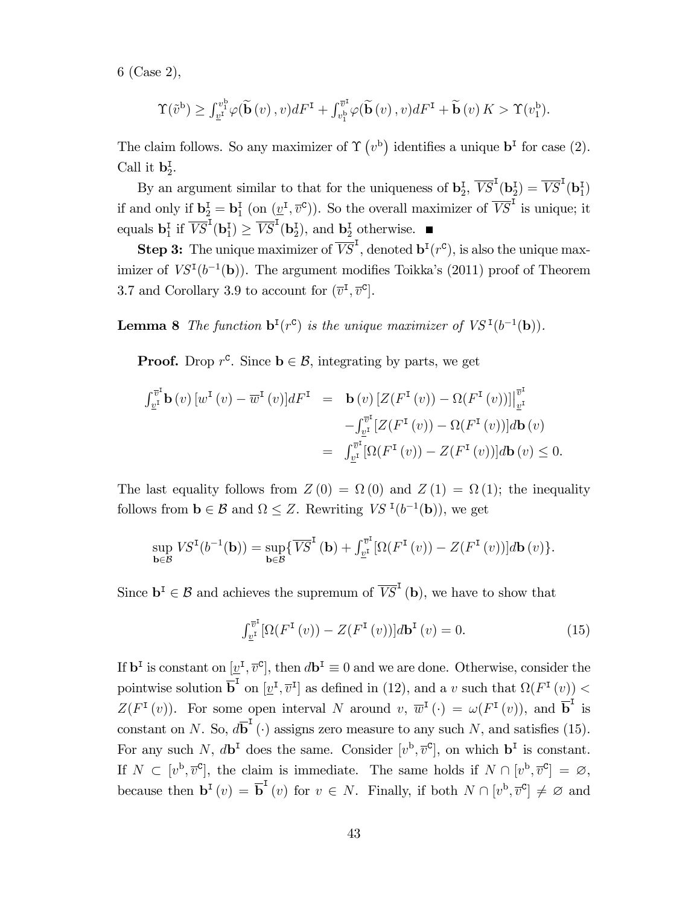6 (Case 2),

$$
\Upsilon(\tilde{v}^{\mathbf{b}}) \geq \int_{\underline{v}^{\mathbf{I}}}^{\underline{v}^{\mathbf{b}}_1} \varphi(\widetilde{\mathbf{b}}(v), v) dF^{\mathbf{I}} + \int_{\underline{v}^{\mathbf{b}}_1}^{\overline{v}^{\mathbf{I}}} \varphi(\widetilde{\mathbf{b}}(v), v) dF^{\mathbf{I}} + \widetilde{\mathbf{b}}(v) K > \Upsilon(v_1^{\mathbf{b}}).
$$

The claim follows. So any maximizer of  $\Upsilon(v^b)$  identifies a unique  $\mathbf{b}^{\text{I}}$  for case (2). Call it  $\mathbf{b}_2^{\mathsf{I}}$ .

By an argument similar to that for the uniqueness of  $\mathbf{b}_2^{\text{I}}, \overline{VS}^{\text{I}}(\mathbf{b}_2^{\text{I}}) = \overline{VS}^{\text{I}}(\mathbf{b}_1^{\text{I}})$ if and only if  $\mathbf{b}_2^{\mathcal{I}} = \mathbf{b}_1^{\mathcal{I}}$  (on  $(\underline{v}^{\mathcal{I}}, \overline{v}^{\mathcal{C}})$ ). So the overall maximizer of  $\overline{VS}^{\mathcal{I}}$  is unique; it equals  $\mathbf{b}_1^{\mathrm{T}}$  if  $\overline{VS}^{\mathrm{T}}(\mathbf{b}_1^{\mathrm{T}}) \geq \overline{VS}^{\mathrm{T}}(\mathbf{b}_2^{\mathrm{T}})$ , and  $\mathbf{b}_2^{\mathrm{T}}$  otherwise.

**Step 3:** The unique maximizer of  $\overline{VS}^{\mathsf{T}}$ , denoted  $\mathbf{b}^{\mathsf{T}}(r^{\mathsf{c}})$ , is also the unique maximizer of  $VS<sup>T</sup>(b<sup>-1</sup>(b))$ . The argument modifies Toikka's (2011) proof of Theorem 3.7 and Corollary 3.9 to account for  $(\overline{v}^{\mathsf{I}}, \overline{v}^{\mathsf{c}})$ .

**Lemma 8** The function  $\mathbf{b}^{\text{I}}(r^{\text{c}})$  is the unique maximizer of  $VS^{\text{I}}(b^{-1}(\mathbf{b}))$ .

**Proof.** Drop  $r^c$ . Since  $\mathbf{b} \in \mathcal{B}$ , integrating by parts, we get

$$
\int_{\underline{v}^{\mathrm{I}}}^{\overline{v}^{\mathrm{I}}} \mathbf{b}(v) \left[w^{\mathrm{I}}(v) - \overline{w}^{\mathrm{I}}(v)\right] dF^{\mathrm{I}} = \mathbf{b}(v) \left[Z(F^{\mathrm{I}}(v)) - \Omega(F^{\mathrm{I}}(v))\right]_{\underline{v}^{\mathrm{I}}}^{\overline{v}^{\mathrm{I}}} \n- \int_{\underline{v}^{\mathrm{I}}}^{\overline{v}^{\mathrm{I}}} \left[Z(F^{\mathrm{I}}(v)) - \Omega(F^{\mathrm{I}}(v))\right] d\mathbf{b}(v) \n= \int_{\underline{v}^{\mathrm{I}}}^{\overline{v}^{\mathrm{I}}} \left[\Omega(F^{\mathrm{I}}(v)) - Z(F^{\mathrm{I}}(v))\right] d\mathbf{b}(v) \le 0.
$$

The last equality follows from  $Z(0) = \Omega(0)$  and  $Z(1) = \Omega(1)$ ; the inequality follows from  $\mathbf{b} \in \mathcal{B}$  and  $\Omega \leq Z$ . Rewriting  $VS$ <sup> $\mathbf{I}(b^{-1}(\mathbf{b}))$ , we get</sup>

$$
\sup_{\mathbf{b}\in\mathcal{B}}VS^{I}(b^{-1}(\mathbf{b}))=\sup_{\mathbf{b}\in\mathcal{B}}\{\overline{VS}^{I}(\mathbf{b})+\int_{\underline{v}^{I}}^{\overline{v}^{I}}[\Omega(F^{I}(v))-Z(F^{I}(v))]d\mathbf{b}(v)\}.
$$

Since  $\mathbf{b}^{\mathrm{T}} \in \mathcal{B}$  and achieves the supremum of  $\overline{VS}^{\mathrm{T}}$  (**b**), we have to show that

$$
\int_{\underline{v}^{I}}^{\overline{v}^{I}} \left[ \Omega(F^{\mathbf{I}}\left(v\right)) - Z(F^{\mathbf{I}}\left(v\right)) \right] d\mathbf{b}^{\mathbf{I}}\left(v\right) = 0. \tag{15}
$$

If  $\mathbf{b}^{\mathrm{I}}$  is constant on  $[\underline{v}^{\mathrm{I}}, \overline{v}^{\mathrm{c}}]$ , then  $d\mathbf{b}^{\mathrm{I}} \equiv 0$  and we are done. Otherwise, consider the pointwise solution  $\overline{\mathbf{b}}^{\mathsf{T}}$  on  $[\underline{v}^{\mathsf{T}}, \overline{v}^{\mathsf{T}}]$  as defined in (12), and a v such that  $\Omega(F^{\mathsf{T}}(v))$  <  $Z(F^{\text{I}}(v))$ . For some open interval N around  $v, \overline{w}^{\text{I}}(\cdot) = \omega(F^{\text{I}}(v))$ , and  $\overline{\mathbf{b}}^{\text{I}}$  is constant on N. So,  $d\overline{b}^I$  ( $\cdot$ ) assigns zero measure to any such N, and satisfies (15). For any such N,  $d\mathbf{b}^{\text{I}}$  does the same. Consider  $[v^{\text{b}}, \overline{v}^{\text{c}}]$ , on which  $\mathbf{b}^{\text{I}}$  is constant. If  $N \subset [v^{\mathrm{b}}, \overline{v}^{\mathrm{c}}]$ , the claim is immediate. The same holds if  $N \cap [v^{\mathrm{b}}, \overline{v}^{\mathrm{c}}] = \varnothing$ , because then  $\mathbf{b}^{I}(v) = \overline{\mathbf{b}}^{I}(v)$  for  $v \in N$ . Finally, if both  $N \cap [v^{b}, \overline{v}^{c}] \neq \emptyset$  and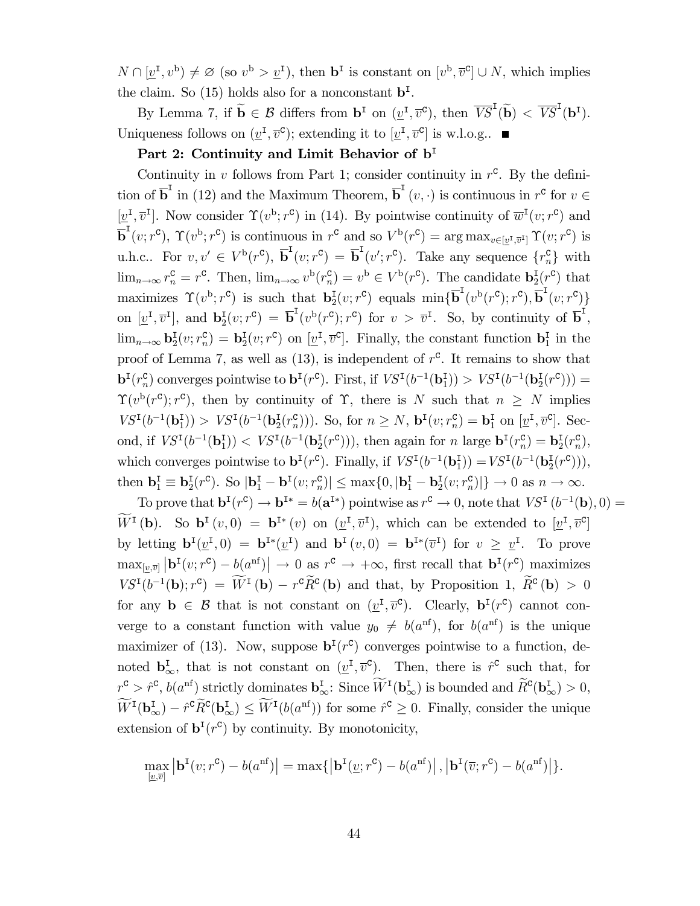$N \cap [\underline{v}^{\mathrm{I}}, v^{\mathrm{b}}) \neq \varnothing$  (so  $v^{\mathrm{b}} > \underline{v}^{\mathrm{I}}$ ), then  $\mathbf{b}^{\mathrm{I}}$  is constant on  $[v^{\mathrm{b}}, \overline{v}^{\mathrm{c}}] \cup N$ , which implies the claim. So (15) holds also for a nonconstant  $\mathbf{b}^{\mathsf{I}}$ .

By Lemma 7, if  $\widetilde{\mathbf{b}} \in \mathcal{B}$  differs from  $\mathbf{b}^{\mathsf{I}}$  on  $(\underline{v}^{\mathsf{I}}, \overline{v}^{\mathsf{C}})$ , then  $\overline{VS}^{\mathsf{I}}(\widetilde{\mathbf{b}}) < \overline{VS}^{\mathsf{I}}(\mathbf{b}^{\mathsf{I}})$ . Uniqueness follows on  $(\underline{v}^{\mathrm{I}}, \overline{v}^{\mathrm{c}})$ ; extending it to  $[\underline{v}^{\mathrm{I}}, \overline{v}^{\mathrm{c}}]$  is w.l.o.g..

#### Part 2: Continuity and Limit Behavior of  $b<sup>I</sup>$

Continuity in v follows from Part 1; consider continuity in  $r^c$ . By the definition of  $\overline{b}^I$  in (12) and the Maximum Theorem,  $\overline{b}^I(v, \cdot)$  is continuous in  $r^c$  for  $v \in$  $[\underline{v}^{\text{I}}, \overline{v}^{\text{I}}]$ . Now consider  $\Upsilon(v^{\text{b}}; r^{\text{c}})$  in (14). By pointwise continuity of  $\overline{w}^{\text{I}}(v; r^{\text{c}})$  and  $\overline{\mathbf{b}}^{\mathsf{T}}(v; r^{\mathsf{c}}), \, \Upsilon(v^{\mathsf{b}}; r^{\mathsf{c}})$  is continuous in  $r^{\mathsf{c}}$  and so  $V^{\mathsf{b}}(r^{\mathsf{c}}) = \arg \max_{v \in [\underline{v}^{\mathsf{T}}, \overline{v}^{\mathsf{T}}]} \Upsilon(v; r^{\mathsf{c}})$  is u.h.c.. For  $v, v' \in V^{\mathsf{b}}(r^{\mathsf{c}}), \overline{\mathbf{b}}^{\mathsf{I}}(v; r^{\mathsf{c}}) = \overline{\mathbf{b}}^{\mathsf{I}}(v'; r^{\mathsf{c}})$ . Take any sequence  $\{r_n^{\mathsf{c}}\}$  with  $\lim_{n\to\infty} r_n^{\mathsf{C}} = r^{\mathsf{C}}$ . Then,  $\lim_{n\to\infty} v^{\mathsf{b}}(r_n^{\mathsf{C}}) = v^{\mathsf{b}} \in V^{\mathsf{b}}(r^{\mathsf{C}})$ . The candidate  $\mathbf{b}_2^{\mathsf{I}}(r^{\mathsf{C}})$  that maximizes  $\Upsilon(v^{\mathsf{b}}; r^{\mathsf{c}})$  is such that  $\mathbf{b}_2^{\mathsf{I}}(v; r^{\mathsf{c}})$  equals  $\min\{\overline{\mathbf{b}}^{\mathsf{I}}(v^{\mathsf{b}}(r^{\mathsf{c}}); r^{\mathsf{c}}), \overline{\mathbf{b}}^{\mathsf{I}}(v; r^{\mathsf{c}})\}$ on  $[\underline{v}^{\mathsf{T}}, \overline{v}^{\mathsf{T}}]$ , and  $\mathbf{b}_2^{\mathsf{T}}(v; r^{\mathsf{c}}) = \overline{\mathbf{b}}^{\mathsf{T}}(v^{\mathsf{b}}(r^{\mathsf{c}}); r^{\mathsf{c}})$  for  $v > \overline{v}^{\mathsf{T}}$ . So, by continuity of  $\overline{\mathbf{b}}^{\mathsf{T}}$ ,  $\lim_{n\to\infty}$   $\mathbf{b}_2^{\mathrm{T}}(v; r^{\mathsf{C}}) = \mathbf{b}_2^{\mathrm{T}}(v; r^{\mathsf{C}})$  on  $[\underline{v}^{\mathrm{T}}, \overline{v}^{\mathsf{C}}]$ . Finally, the constant function  $\mathbf{b}_1^{\mathrm{T}}$  in the proof of Lemma 7, as well as  $(13)$ , is independent of  $r^c$ . It remains to show that  $\mathbf{b}^{I}(r_{n}^{\mathbf{C}})$  converges pointwise to  $\mathbf{b}^{I}(r^{\mathbf{C}})$ . First, if  $VS^{I}(b^{-1}(\mathbf{b}_{1}^{I})) > VS^{I}(b^{-1}(\mathbf{b}_{2}^{I}(r^{\mathbf{C}}))) =$  $\Upsilon(v^{\mathsf{b}}(r^{\mathsf{c}}); r^{\mathsf{c}})$ , then by continuity of  $\Upsilon$ , there is N such that  $n \geq N$  implies  $VS^I(b^{-1}(\mathbf{b}_1^I)) > VS^I(b^{-1}(\mathbf{b}_2^I(r_n^c)))$ . So, for  $n \geq N$ ,  $\mathbf{b}^I(v; r_n^c) = \mathbf{b}_1^I$  on  $[\underline{v}^I, \overline{v}^c]$ . Second, if  $VS^I(b^{-1}(\mathbf{b}_1^I)) < VS^I(b^{-1}(\mathbf{b}_2^I(r^c))),$  then again for n large  $\mathbf{b}^I(r_n^c) = \mathbf{b}_2^I(r_n^c),$ which converges pointwise to  $\mathbf{b}^{I}(r^{\mathsf{c}})$ . Finally, if  $VS^{I}(b^{-1}(\mathbf{b}_{1}^{I})) = VS^{I}(b^{-1}(\mathbf{b}_{2}^{I}(r^{\mathsf{c}}))),$ then  $\mathbf{b}_1^{\mathrm{T}} \equiv \mathbf{b}_2^{\mathrm{T}}(r^{\mathrm{c}})$ . So  $|\mathbf{b}_1^{\mathrm{T}} - \mathbf{b}^{\mathrm{T}}(v; r_n^{\mathrm{c}})| \le \max\{0, |\mathbf{b}_1^{\mathrm{T}} - \mathbf{b}_2^{\mathrm{T}}(v; r_n^{\mathrm{c}})|\} \to 0$  as  $n \to \infty$ .

To prove that  $\mathbf{b}^{\mathsf{T}}(r^{\mathsf{c}}) \to \mathbf{b}^{\mathsf{T}*} = b(\mathbf{a}^{\mathsf{T}*})$  pointwise as  $r^{\mathsf{c}} \to 0$ , note that  $VS^{\mathsf{T}}(b^{-1}(\mathbf{b}),0) =$  $W^I(\mathbf{b})$ . So  $\mathbf{b}^I(v,0) = \mathbf{b}^{I*}(v)$  on  $(\underline{v}^I, \overline{v}^I)$ , which can be extended to  $[\underline{v}^I, \overline{v}^C]$ by letting  $\mathbf{b}^{I}(\underline{v}^{I},0) = \mathbf{b}^{I*}(\underline{v}^{I})$  and  $\mathbf{b}^{I}(v,0) = \mathbf{b}^{I*}(\overline{v}^{I})$  for  $v \geq \underline{v}^{I}$ . To prove  $\max_{[\underline{v},\overline{v}]} |\mathbf{b}^{I}(v;r^{\mathsf{C}}) - b(a^{\text{nf}})| \to 0$  as  $r^{\mathsf{C}} \to +\infty$ , first recall that  $\mathbf{b}^{I}(r^{\mathsf{C}})$  maximizes  $VS^{I}(b^{-1}(\mathbf{b});r^{c}) = W^{I}(\mathbf{b}) - r^{c}\overline{R}^{c}(\mathbf{b})$  and that, by Proposition 1,  $\overline{R}^{c}(\mathbf{b}) > 0$ for any  $\mathbf{b} \in \mathcal{B}$  that is not constant on  $(\underline{v}^{\mathsf{T}}, \overline{v}^{\mathsf{C}})$ . Clearly,  $\mathbf{b}^{\mathsf{T}}(r^{\mathsf{C}})$  cannot converge to a constant function with value  $y_0 \neq b(a^{\text{nf}})$ , for  $b(a^{\text{nf}})$  is the unique maximizer of (13). Now, suppose  $\mathbf{b}^{\mathsf{I}}(r^{\mathsf{c}})$  converges pointwise to a function, denoted  $\mathbf{b}_{\infty}^{\mathbf{I}}$ , that is not constant on  $(\underline{v}^{\mathbf{I}}, \overline{v}^{\mathbf{C}})$ . Then, there is  $\hat{r}^{\mathbf{C}}$  such that, for  $r^{\mathbf{C}} > \hat{r}^{\mathbf{C}}, b(a^{\text{nf}})$  strictly dominates  $\mathbf{b}_{\infty}^{\mathbf{I}}$ : Since  $W^{\mathbf{I}}(\mathbf{b}_{\infty}^{\mathbf{I}})$  is bounded and  $R^{\mathbf{C}}(\mathbf{b}_{\infty}^{\mathbf{I}}) > 0$ ,  $W^{I}(\mathbf{b}_{\infty}^{I}) - \hat{r}^{c} \hat{R}^{c}(\mathbf{b}_{\infty}^{I}) \leq W^{I}(b(a^{\text{nf}}))$  for some  $\hat{r}^{c} \geq 0$ . Finally, consider the unique extension of  $\mathbf{b}^{\mathsf{T}}(r^{\mathsf{c}})$  by continuity. By monotonicity,

$$
\max_{[\underline{v},\overline{v}]} |\mathbf{b}^{I}(v;r^{\mathbf{C}}) - b(a^{nf})| = \max\{|\mathbf{b}^{I}(\underline{v};r^{\mathbf{C}}) - b(a^{nf})|, |\mathbf{b}^{I}(\overline{v};r^{\mathbf{C}}) - b(a^{nf})|\}.
$$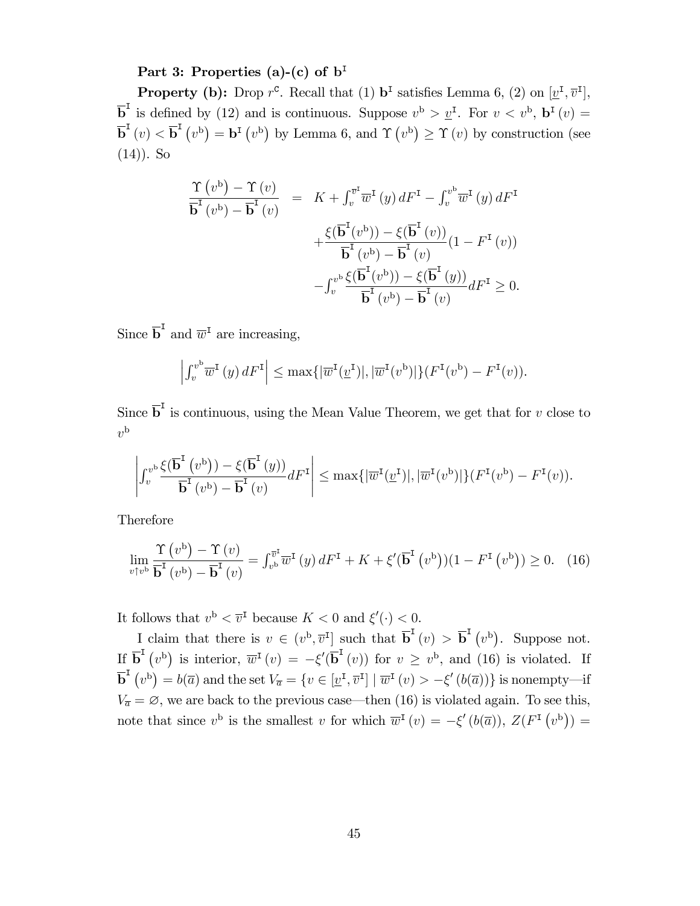#### Part 3: Properties (a)-(c) of  $b<sup>I</sup>$

**Property (b):** Drop  $r^c$ . Recall that (1)  $\mathbf{b}^{\text{I}}$  satisfies Lemma 6, (2) on  $[\underline{v}^{\text{I}}, \overline{v}^{\text{I}}]$ ,  $\overline{\mathbf{b}}^{\mathsf{I}}$  is defined by (12) and is continuous. Suppose  $v^{\mathsf{b}} > \underline{v}^{\mathsf{I}}$ . For  $v < v^{\mathsf{b}}$ ,  $\mathbf{b}^{\mathsf{I}}(v) =$  $\overline{\mathbf{b}}^{\mathsf{T}}(v) < \overline{\mathbf{b}}^{\mathsf{T}}(v^{\mathsf{b}}) = \mathbf{b}^{\mathsf{T}}(v^{\mathsf{b}})$  by Lemma 6, and  $\Upsilon(v^{\mathsf{b}}) \geq \Upsilon(v)$  by construction (see  $(14)$ ). So

$$
\frac{\Upsilon(v^{b}) - \Upsilon(v)}{\overline{\mathbf{b}}^{T}(v^{b}) - \overline{\mathbf{b}}^{T}(v)} = K + \int_{v}^{\overline{v}^{T}} \overline{w}^{T}(y) dF^{T} - \int_{v}^{v^{b}} \overline{w}^{T}(y) dF^{T}
$$

$$
+ \frac{\xi(\overline{\mathbf{b}}^{T}(v^{b})) - \xi(\overline{\mathbf{b}}^{T}(v))}{\overline{\mathbf{b}}^{T}(v^{b}) - \overline{\mathbf{b}}^{T}(v)} (1 - F^{T}(v))
$$

$$
- \int_{v}^{v^{b}} \frac{\xi(\overline{\mathbf{b}}^{T}(v^{b})) - \xi(\overline{\mathbf{b}}^{T}(y))}{\overline{\mathbf{b}}^{T}(v^{b}) - \overline{\mathbf{b}}^{T}(v)} dF^{T} \geq 0.
$$

Since  $\overline{\mathbf{b}}^{\mathsf{I}}$  and  $\overline{w}^{\mathsf{I}}$  are increasing,

$$
\left| \int_v^{v^b} \overline{w}^{\mathbf{I}}(y) dF^{\mathbf{I}} \right| \le \max\{ |\overline{w}^{\mathbf{I}}(\underline{v}^{\mathbf{I}})|, |\overline{w}^{\mathbf{I}}(v^b)| \} (F^{\mathbf{I}}(v^b) - F^{\mathbf{I}}(v)).
$$

Since  $\overline{b}^I$  is continuous, using the Mean Value Theorem, we get that for v close to  $v^{\rm b}$ 

$$
\left| \int_v^{v^b} \frac{\xi(\overline{\mathbf{b}}^{\mathbf{I}}(v^b)) - \xi(\overline{\mathbf{b}}^{\mathbf{I}}(y))}{\overline{\mathbf{b}}^{\mathbf{I}}(v^b) - \overline{\mathbf{b}}^{\mathbf{I}}(v)} dF^{\mathbf{I}} \right| \le \max\{|\overline{w}^{\mathbf{I}}(\underline{v}^{\mathbf{I}})|, |\overline{w}^{\mathbf{I}}(v^b)|\} (F^{\mathbf{I}}(v^b) - F^{\mathbf{I}}(v)).
$$

Therefore

$$
\lim_{v \uparrow v^b} \frac{\Upsilon(v^b) - \Upsilon(v)}{\overline{\mathbf{b}}^{\mathsf{T}}(v^b) - \overline{\mathbf{b}}^{\mathsf{T}}(v)} = \int_{v^b}^{\overline{v}^{\mathsf{T}}} \overline{w}^{\mathsf{T}}(y) dF^{\mathsf{T}} + K + \xi'(\overline{\mathbf{b}}^{\mathsf{T}}(v^b))(1 - F^{\mathsf{T}}(v^b)) \ge 0. \tag{16}
$$

It follows that  $v^{\mathsf{b}} < \overline{v}^{\mathsf{I}}$  because  $K < 0$  and  $\xi'(\cdot) < 0$ .

I claim that there is  $v \in (v^{\mathrm{b}}, \overline{v}^{\mathrm{I}}]$  such that  $\overline{\mathbf{b}}^{\mathrm{I}}(v) > \overline{\mathbf{b}}^{\mathrm{I}}(v^{\mathrm{b}})$ . Suppose not. If  $\overline{\mathbf{b}}^{\mathsf{T}}(v^{\mathsf{b}})$  is interior,  $\overline{w}^{\mathsf{T}}(v) = -\xi'(\overline{\mathbf{b}}^{\mathsf{T}}(v))$  for  $v \geq v^{\mathsf{b}}$ , and (16) is violated. If  $\overline{\mathbf{b}}^{\mathsf{T}}(v^{\mathsf{b}}) = b(\overline{a})$  and the set  $V_{\overline{a}} = \{v \in [\underline{v}^{\mathsf{T}}, \overline{v}^{\mathsf{T}}] \mid \overline{w}^{\mathsf{T}}(v) > -\xi'(b(\overline{a}))\}$  is nonempty—if  $V_{\overline{a}} = \emptyset$ , we are back to the previous case—then (16) is violated again. To see this, note that since  $v^{\mathsf{b}}$  is the smallest v for which  $\overline{w}^{\mathsf{I}}(v) = -\xi'(b(\overline{a})), Z(F^{\mathsf{I}}(v^{\mathsf{b}})) =$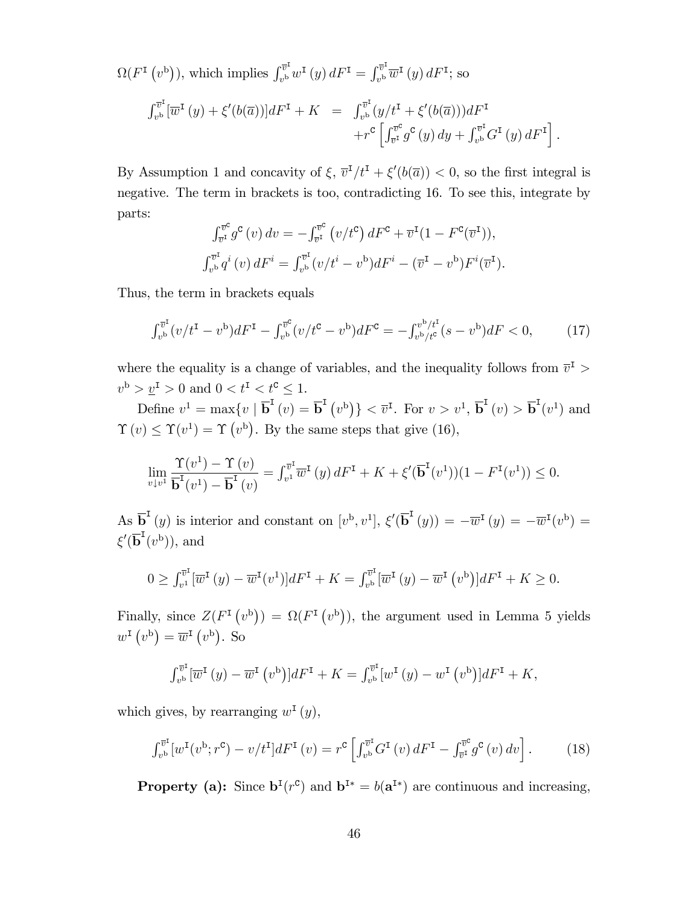$\Omega(F^{\text{I}}(v^{\text{b}})),$  which implies  $\int_{v^{\text{b}}}^{\overline{v}^{\text{I}}}$  $v^{\overline{v}^{\mathrm{I}}}_v w^{\mathrm{I}}\left(y\right)dF^{\mathrm{I}}=\int_{v^{\mathrm{b}}}^{\overline{v}^{\mathrm{I}}}$  $\int_{v^{\mathrm{b}}}^{\cdot v^{\mathrm{r}}} \overline{w}^{\mathrm{I}}(y) dF^{\mathrm{I}}$ ; so

$$
\int_{v^{b}}^{\bar{v}^{I}} [\overline{w}^{I}(y) + \xi'(b(\overline{a}))] dF^{I} + K = \int_{v^{b}}^{\bar{v}^{I}} (y/t^{I} + \xi'(b(\overline{a}))) dF^{I} + r^{c} \left[ \int_{\bar{v}^{I}}^{\bar{v}^{c}} g^{c}(y) dy + \int_{v^{b}}^{\bar{v}^{I}} G^{I}(y) dF^{I} \right].
$$

By Assumption 1 and concavity of  $\xi$ ,  $\overline{v}^I/t^I + \xi'(b(\overline{a})) < 0$ , so the first integral is negative. The term in brackets is too, contradicting 16. To see this, integrate by parts:

$$
\int_{\overline{v}^{\mathcal{I}}}^{\overline{v}^{\mathcal{C}}}\int_{\overline{v}^{\mathcal{I}}}^{\overline{v}^{\mathcal{C}}}(v) dv = -\int_{\overline{v}^{\mathcal{I}}}^{\overline{v}^{\mathcal{C}}}\left(v/t^{\mathcal{C}}\right)dF^{\mathcal{C}} + \overline{v}^{\mathcal{I}}(1 - F^{\mathcal{C}}(\overline{v}^{\mathcal{I}})),
$$
  

$$
\int_{v^{\mathcal{L}}}^{\overline{v}^{\mathcal{I}}}q^{i}(v) dF^{i} = \int_{v^{\mathcal{L}}}^{\overline{v}^{\mathcal{I}}} (v/t^{i} - v^{\mathcal{L}}) dF^{i} - (\overline{v}^{\mathcal{I}} - v^{\mathcal{L}})F^{i}(\overline{v}^{\mathcal{I}}).
$$

Thus, the term in brackets equals

$$
\int_{v^{b}}^{\overline{v}^{I}} (v/t^{I} - v^{b}) dF^{I} - \int_{v^{b}}^{\overline{v}^{c}} (v/t^{c} - v^{b}) dF^{c} = -\int_{v^{b}/t^{c}}^{v^{b}/t^{I}} (s - v^{b}) dF < 0, \qquad (17)
$$

where the equality is a change of variables, and the inequality follows from  $\bar{v}^{\text{I}}$  >  $v^{\rm b} > \underline{v}^{\rm I} > 0$  and  $0 < t^{\rm I} < t^{\rm C} \leq 1$ .

Define  $v^1 = \max\{v \mid \overline{\mathbf{b}}^{\mathsf{I}}(v) = \overline{\mathbf{b}}^{\mathsf{I}}(v^{\mathsf{b}})\}\langle \overline{v}^{\mathsf{I}}. \text{ For } v > v^1, \overline{\mathbf{b}}^{\mathsf{I}}(v) > \overline{\mathbf{b}}^{\mathsf{I}}(v^1) \text{ and }$  $\Upsilon(v) \leq \Upsilon(v^1) = \Upsilon(v^b)$ . By the same steps that give (16),

$$
\lim_{v \downarrow v^{1}} \frac{\Upsilon(v^{1}) - \Upsilon(v)}{\overline{\mathbf{b}}^{1}(v^{1}) - \overline{\mathbf{b}}^{1}(v)} = \int_{v^{1}}^{\overline{v}^{1}} \overline{w}^{1}(y) dF^{1} + K + \xi'(\overline{\mathbf{b}}^{1}(v^{1}))(1 - F^{1}(v^{1})) \leq 0.
$$

As  $\overline{b}^I(y)$  is interior and constant on  $[v^b, v^1]$ ,  $\xi'(\overline{b}^I(y)) = -\overline{w}^I(y) = -\overline{w}^I(v^b) =$  $\xi'(\overline{\mathbf{b}}^{\mathbf{I}}(v^{\mathrm{b}})),$  and

$$
0 \ge \int_{v^1}^{\overline{v}^1} \left[\overline{w}^{\mathsf{T}}\left(y\right) - \overline{w}^{\mathsf{T}}\left(v^1\right)\right] dF^{\mathsf{T}} + K = \int_{v^b}^{\overline{v}^1} \left[\overline{w}^{\mathsf{T}}\left(y\right) - \overline{w}^{\mathsf{T}}\left(v^b\right)\right] dF^{\mathsf{T}} + K \ge 0.
$$

Finally, since  $Z(F^{\text{I}}(v^{\text{b}})) = \Omega(F^{\text{I}}(v^{\text{b}}))$ , the argument used in Lemma 5 yields  $w^{\text{I}}(v^{\text{b}}) = \overline{w}^{\text{I}}(v^{\text{b}})$ . So

$$
\int_{v^b}^{\overline{v}^{\mathbf{I}}} [\overline{w}^{\mathbf{I}}(y) - \overline{w}^{\mathbf{I}}(v^b)]dF^{\mathbf{I}} + K = \int_{v^b}^{\overline{v}^{\mathbf{I}}} [w^{\mathbf{I}}(y) - w^{\mathbf{I}}(v^b)]dF^{\mathbf{I}} + K,
$$

which gives, by rearranging  $w^{\text{I}}(y)$ ,

$$
\int_{v^b}^{\overline{v}^{\mathrm{I}}}[w^{\mathrm{I}}(v^{\mathrm{b}};r^{\mathrm{c}})-v/t^{\mathrm{I}}]dF^{\mathrm{I}}(v)=r^{\mathrm{c}}\left[\int_{v^b}^{\overline{v}^{\mathrm{I}}}G^{\mathrm{I}}(v)\,dF^{\mathrm{I}}-\int_{\overline{v}^{\mathrm{I}}}^{\overline{v}^{\mathrm{c}}}\,g^{\mathrm{c}}(v)\,dv\right].\tag{18}
$$

**Property** (a): Since  $\mathbf{b}^{\text{I}}(r^{\text{c}})$  and  $\mathbf{b}^{\text{I}*} = b(\mathbf{a}^{\text{I}*})$  are continuous and increasing,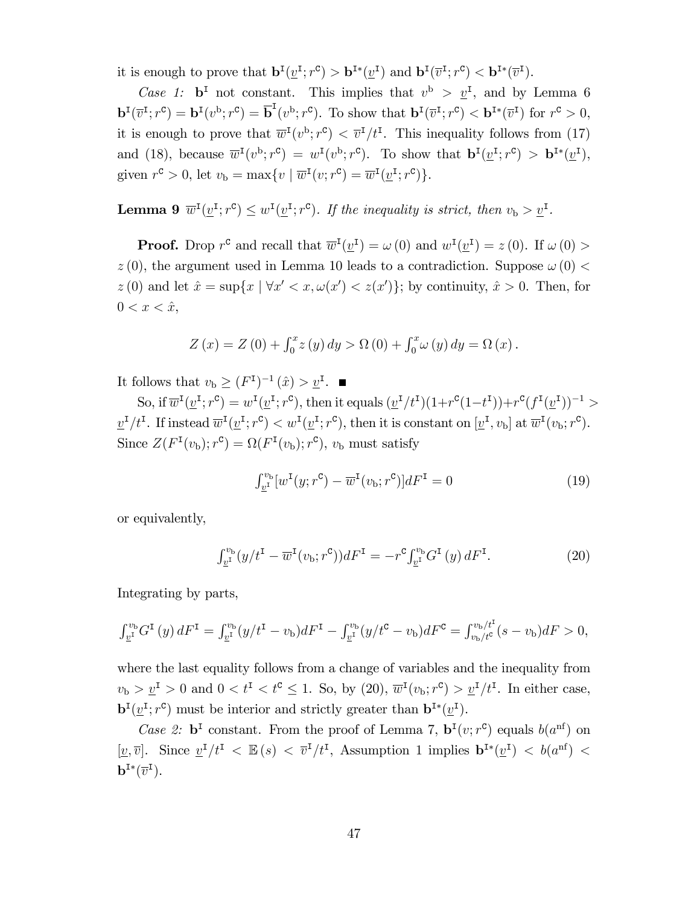it is enough to prove that  $\mathbf{b}^{I}(\underline{v}^{I};r^{\mathcal{C}}) > \mathbf{b}^{I*}(\underline{v}^{I})$  and  $\mathbf{b}^{I}(\overline{v}^{I};r^{\mathcal{C}}) < \mathbf{b}^{I*}(\overline{v}^{I}).$ 

Case 1:  $\mathbf{b}^{\text{I}}$  not constant. This implies that  $v^{\text{b}} > v^{\text{I}}$ , and by Lemma 6  $\mathbf{b}^{I}(\overline{v}^{I};r^{\mathsf{C}})=\mathbf{b}^{I}(v^{\mathsf{b}};r^{\mathsf{C}})=\overline{\mathbf{b}}^{I}(v^{\mathsf{b}};r^{\mathsf{C}}).$  To show that  $\mathbf{b}^{I}(\overline{v}^{I};r^{\mathsf{C}})<\mathbf{b}^{I*}(\overline{v}^{I})$  for  $r^{\mathsf{C}}>0$ , it is enough to prove that  $\overline{w}^{\text{I}}(v^{\text{b}};r^{\text{c}}) < \overline{v}^{\text{I}}/t^{\text{I}}$ . This inequality follows from (17) and (18), because  $\overline{w}^{\text{I}}(v^{\text{b}};r^{\text{c}}) = w^{\text{I}}(v^{\text{b}};r^{\text{c}})$ . To show that  $\mathbf{b}^{\text{I}}(\underline{v}^{\text{I}};r^{\text{c}}) > \mathbf{b}^{\text{I}*}(\underline{v}^{\text{I}})$ , given  $r^c > 0$ , let  $v_b = \max\{v \mid \overline{w}^I(v; r^c) = \overline{w}^I(\underline{v}^I; r^c)\}.$ 

**Lemma 9**  $\overline{w}^{\text{I}}(\underline{v}^{\text{I}};r^{\text{C}}) \leq w^{\text{I}}(\underline{v}^{\text{I}};r^{\text{C}})$ . If the inequality is strict, then  $v_{\text{b}} > \underline{v}^{\text{I}}$ .

**Proof.** Drop  $r^c$  and recall that  $\overline{w}^I(\underline{v}^I) = \omega(0)$  and  $w^I(\underline{v}^I) = z(0)$ . If  $\omega(0) >$  $z(0)$ , the argument used in Lemma 10 leads to a contradiction. Suppose  $\omega(0)$  <  $z(0)$  and let  $\hat{x} = \sup\{x \mid \forall x' < x, \omega(x') < z(x')\}$ ; by continuity,  $\hat{x} > 0$ . Then, for  $0 < x < \hat{x},$ 

$$
Z(x) = Z(0) + \int_0^x z(y) dy > \Omega(0) + \int_0^x \omega(y) dy = \Omega(x).
$$

It follows that  $v_{\text{b}} \geq (F^{\text{I}})^{-1}(\hat{x}) > \underline{v}^{\text{I}}$ .

So, if  $\overline{w}^{\text{I}}(\underline{v}^{\text{I}};r^{\text{C}}) = w^{\text{I}}(\underline{v}^{\text{I}};r^{\text{C}})$ , then it equals  $(\underline{v}^{\text{I}}/t^{\text{I}})(1+r^{\text{C}}(1-t^{\text{I}})) + r^{\text{C}}(f^{\text{I}}(\underline{v}^{\text{I}}))^{-1}$  $\underline{v}^{I}/t^{I}$ . If instead  $\overline{w}^{I}(\underline{v}^{I};r^{c}) < w^{I}(\underline{v}^{I};r^{c})$ , then it is constant on  $[\underline{v}^{I}, v_{b}]$  at  $\overline{w}^{I}(v_{b};r^{c})$ . Since  $Z(F^{\text{I}}(v_{\text{b}}); r^{\text{c}}) = \Omega(F^{\text{I}}(v_{\text{b}}); r^{\text{c}}), v_{\text{b}}$  must satisfy

$$
\int_{\underline{v}^{\mathrm{I}}}^{\underline{v}_{\mathrm{b}}} [w^{\mathrm{I}}(y; r^{\mathrm{c}}) - \overline{w}^{\mathrm{I}}(v_{\mathrm{b}}; r^{\mathrm{c}})] dF^{\mathrm{I}} = 0 \tag{19}
$$

or equivalently,

$$
\int_{\underline{v}^{\mathrm{I}}}(y/t^{\mathrm{I}} - \overline{w}^{\mathrm{I}}(v_{\mathrm{b}}; r^{\mathrm{C}}))dF^{\mathrm{I}} = -r^{\mathrm{C}}\int_{\underline{v}^{\mathrm{I}}}^{v_{\mathrm{b}}}G^{\mathrm{I}}(y) dF^{\mathrm{I}}.
$$
 (20)

Integrating by parts,

$$
\int_{\underline{v}^{\mathrm{I}}}^{\nu_{\mathrm{b}}} G^{\mathrm{I}}(y) dF^{\mathrm{I}} = \int_{\underline{v}^{\mathrm{I}}}^{\nu_{\mathrm{b}}}(y/t^{\mathrm{I}} - v_{\mathrm{b}}) dF^{\mathrm{I}} - \int_{\underline{v}^{\mathrm{I}}}^{\nu_{\mathrm{b}}}(y/t^{\mathrm{C}} - v_{\mathrm{b}}) dF^{\mathrm{C}} = \int_{v_{\mathrm{b}}/t^{\mathrm{C}}}^{\nu_{\mathrm{b}}/t^{\mathrm{I}}} (s - v_{\mathrm{b}}) dF > 0,
$$

where the last equality follows from a change of variables and the inequality from  $v_{\rm b} > \underline{v}^{\rm I} > 0$  and  $0 < t^{\rm I} < t^{\rm C} \le 1$ . So, by (20),  $\overline{w}^{\rm I}(v_{\rm b};r^{\rm C}) > \underline{v}^{\rm I}/t^{\rm I}$ . In either case,  $\mathbf{b}^{I}(\underline{v}^{I};r^{\mathcal{C}})$  must be interior and strictly greater than  $\mathbf{b}^{I*}(\underline{v}^{I}).$ 

Case 2:  $\mathbf{b}^{\text{I}}$  constant. From the proof of Lemma 7,  $\mathbf{b}^{\text{I}}(v; r^{\text{c}})$  equals  $b(a^{\text{nf}})$  on [ $\underline{v}, \overline{v}$ ]. Since  $\underline{v}^{\text{I}}/t^{\text{I}} < \mathbb{E}(s) < \overline{v}^{\text{I}}/t^{\text{I}}$ , Assumption 1 implies  $\mathbf{b}^{\text{I}*}(\underline{v}^{\text{I}}) < b(a^{\text{nf}}) <$  $\mathbf{b}^{\mathtt{I}*}(\overline{v}^{\mathtt{I}}).$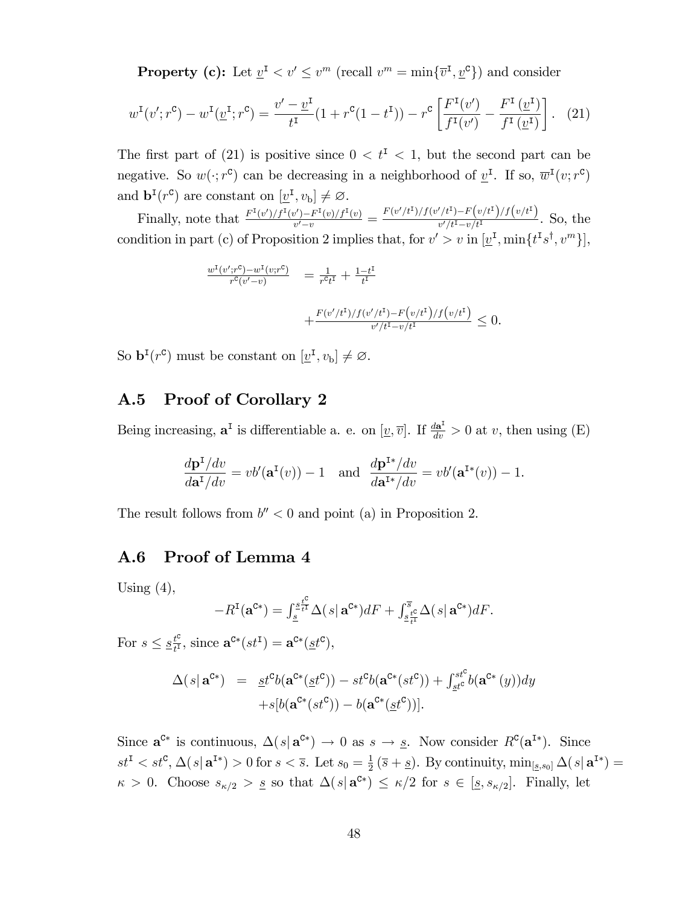**Property (c):** Let  $\underline{v}^{\mathsf{T}} < v' \le v^m$  (recall  $v^m = \min\{\overline{v}^{\mathsf{T}}, \underline{v}^{\mathsf{C}}\}$ ) and consider

$$
w^{I}(v';r^{c}) - w^{I}(\underline{v}^{I};r^{c}) = \frac{v'-\underline{v}^{I}}{t^{I}}(1+r^{c}(1-t^{I})) - r^{c}\left[\frac{F^{I}(v')}{f^{I}(v')} - \frac{F^{I}(\underline{v}^{I})}{f^{I}(\underline{v}^{I})}\right].
$$
 (21)

The first part of (21) is positive since  $0 < t^{\mathsf{T}} < 1$ , but the second part can be negative. So  $w(\cdot; r^c)$  can be decreasing in a neighborhood of  $\underline{v}^{\text{I}}$ . If so,  $\overline{w}^{\text{I}}(v; r^c)$ and  $\mathbf{b}^{I}(r^{\mathsf{C}})$  are constant on  $[\underline{v}^{I}, v_{b}] \neq \varnothing$ .

Finally, note that  $\frac{F^{I}(v')/f^{I}(v')-F^{I}(v)/f^{I}(v)}{v'-v}$  $\frac{v') - F^{I}(v)/f^{I}(v)}{v'-v} = \frac{F(v'/t^{I})/f(v'/t^{I}) - F(v/t^{I})/f(v/t^{I})}{v'/t^{I} - v/t^{I}}$  $\frac{v'(t)-v(t)}{v'(t^1-v/t^1)}$ . So, the condition in part (c) of Proposition 2 implies that, for  $v' > v$  in  $[\underline{v}^{\text{I}}, \min\{t^{\text{I}}s^{\dagger}, v^m\}],$ 

$$
\frac{w^{I}(v';r^{C}) - w^{I}(v;r^{C})}{r^{C}(v'-v)} = \frac{1}{r^{C}t^{I}} + \frac{1-t^{I}}{t^{I}}
$$

$$
+ \frac{F(v'/t^{I})/f(v'/t^{I}) - F(v/t^{I})/f(v/t^{I})}{v'/t^{I} - v/t^{I}} \leq 0.
$$

So  $\mathbf{b}^{I}(r^{\mathsf{c}})$  must be constant on  $[\underline{v}^{I}, v_{\mathsf{b}}] \neq \varnothing$ .

### A.5 Proof of Corollary 2

Being increasing,  $\mathbf{a}^{\text{I}}$  is differentiable a. e. on  $[\underline{v}, \overline{v}]$ . If  $\frac{d\mathbf{a}^{\text{I}}}{dv} > 0$  at v, then using (E)

$$
\frac{d\mathbf{p}^{\mathbf{I}}/dv}{d\mathbf{a}^{\mathbf{I}}/dv} = vb'(\mathbf{a}^{\mathbf{I}}(v)) - 1 \text{ and } \frac{d\mathbf{p}^{\mathbf{I}*}/dv}{d\mathbf{a}^{\mathbf{I}*}/dv} = vb'(\mathbf{a}^{\mathbf{I}*}(v)) - 1.
$$

The result follows from  $b'' < 0$  and point (a) in Proposition 2.

### A.6 Proof of Lemma 4

Using  $(4)$ ,

$$
-R^{\mathrm{I}}(\mathbf{a}^{\mathrm{C}*})=\int_{\underline{s}}^{\underline{s}\frac{t^{\mathrm{C}}}{t^{\mathrm{I}}}}\Delta(s|\,\mathbf{a}^{\mathrm{C}*})dF+\int_{\underline{s}\frac{t^{\mathrm{C}}}{t^{\mathrm{I}}}}^{\overline{s}}\Delta(s|\,\mathbf{a}^{\mathrm{C}*})dF.
$$

For  $s \leq \underline{s}^{\underline{t}^{\mathrm{c}}}_{\underline{t}^{\mathrm{I}}}$  $\frac{t^c}{t^I}$ , since  $\mathbf{a}^{\mathbf{C}*}(st^{\mathbf{I}}) = \mathbf{a}^{\mathbf{C}*}(\underline{st}^{\mathbf{C}})$ ,

$$
\Delta(s|\mathbf{a}^{c*}) = \underline{st}^{c}b(\mathbf{a}^{c*}(\underline{st}^{c})) - st^{c}b(\mathbf{a}^{c*}(st^{c})) + \int_{\underline{st}^{c}}^{st^{c}}b(\mathbf{a}^{c*}(y))dy
$$

$$
+ s[b(\mathbf{a}^{c*}(st^{c})) - b(\mathbf{a}^{c*}(\underline{st}^{c}))].
$$

Since  $\mathbf{a}^{\mathcal{C}*}$  is continuous,  $\Delta(s|\mathbf{a}^{\mathcal{C}*}) \to 0$  as  $s \to \underline{s}$ . Now consider  $R^{\mathcal{C}}(\mathbf{a}^{\mathcal{I}*})$ . Since  $st^{\text{I}} < st^{\text{C}}, \Delta(s | \mathbf{a}^{\text{I}*}) > 0 \text{ for } s < \overline{s}.$  Let  $s_0 = \frac{1}{2}$  $\frac{1}{2}(\bar{s}+\underline{s})$ . By continuity,  $\min_{[\underline{s},s_0]}\Delta(s|\mathbf{a}^{I*})=$  $\kappa > 0$ . Choose  $s_{\kappa/2} > \underline{s}$  so that  $\Delta(s | \mathbf{a}^{\mathcal{C}*}) \leq \kappa/2$  for  $s \in [\underline{s}, s_{\kappa/2}]$ . Finally, let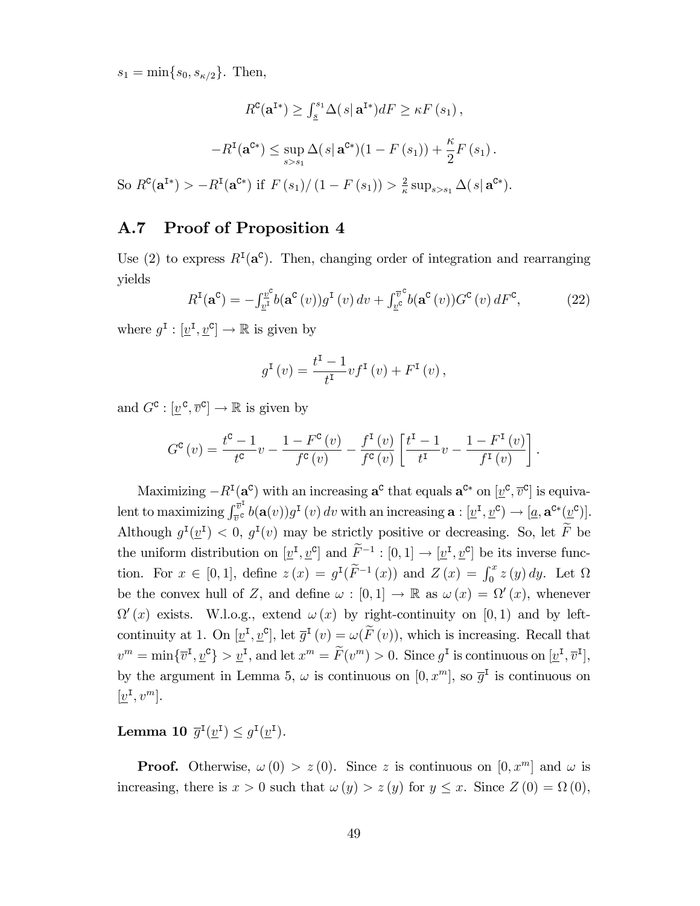$s_1 = \min\{s_0, s_{\kappa/2}\}.$  Then,

$$
R^{\mathbf{C}}(\mathbf{a}^{I*}) \geq \int_{\underline{s}}^{s_1} \Delta(s|\mathbf{a}^{I*}) dF \geq \kappa F(s_1),
$$

$$
-R^{\mathbf{I}}(\mathbf{a}^{C*}) \leq \sup_{s>s_1} \Delta(s|\mathbf{a}^{C*})(1 - F(s_1)) + \frac{\kappa}{2}F(s_1).
$$
So  $R^{\mathbf{C}}(\mathbf{a}^{I*}) > -R^{\mathbf{I}}(\mathbf{a}^{C*})$  if  $F(s_1)/(1 - F(s_1)) > \frac{2}{\kappa} \sup_{s>s_1} \Delta(s|\mathbf{a}^{C*}).$ 

#### A.7 Proof of Proposition 4

Use (2) to express  $R<sup>T</sup>(a<sup>c</sup>)$ . Then, changing order of integration and rearranging yields

$$
R^{\mathrm{I}}(\mathbf{a}^{\mathrm{c}}) = -\int_{\underline{v}^{\mathrm{I}}}^{\underline{v}^{\mathrm{c}}} b(\mathbf{a}^{\mathrm{c}}(v)) g^{\mathrm{I}}(v) dv + \int_{\underline{v}^{\mathrm{c}}}^{\overline{v}^{\mathrm{c}}} b(\mathbf{a}^{\mathrm{c}}(v)) G^{\mathrm{c}}(v) dF^{\mathrm{c}}, \tag{22}
$$

where  $g^{\text{I}} : [\underline{v}^{\text{I}}, \underline{v}^{\text{C}}] \to \mathbb{R}$  is given by

$$
g^{I}(v) = \frac{t^{I} - 1}{t^{I}} v f^{I}(v) + F^{I}(v),
$$

and  $G^{\mathbf{C}}: [\underline{v}^{\mathbf{C}}, \overline{v}^{\mathbf{C}}] \to \mathbb{R}$  is given by

$$
G^{c}(v) = \frac{t^{c} - 1}{t^{c}}v - \frac{1 - F^{c}(v)}{f^{c}(v)} - \frac{f^{I}(v)}{f^{c}(v)} \left[ \frac{t^{I} - 1}{t^{I}}v - \frac{1 - F^{I}(v)}{f^{I}(v)} \right].
$$

Maximizing  $-R^{I}(\mathbf{a}^{c})$  with an increasing  $\mathbf{a}^{c}$  that equals  $\mathbf{a}^{c*}$  on  $[\underline{v}^{c}, \overline{v}^{c}]$  is equivalent to maximizing  $\int_{\overline{r}}^{\overline{v}^I}$  $\int_{\overline{v}^c}^{v^*} b(\mathbf{a}(v)) g^{\mathbf{I}}(v) dv$  with an increasing  $\mathbf{a} : [\underline{v}^{\mathbf{I}}, \underline{v}^{\mathbf{C}}) \to [\underline{a}, \mathbf{a}^{\mathbf{C}*}(\underline{v}^{\mathbf{C}})].$ Although  $g^{\text{I}}(\underline{v}^{\text{I}}) < 0$ ,  $g^{\text{I}}(v)$  may be strictly positive or decreasing. So, let  $\overline{F}$  be the uniform distribution on  $[\underline{v}^{\text{I}}, \underline{v}^{\text{C}}]$  and  $\widetilde{F}^{-1} : [0, 1] \to [\underline{v}^{\text{I}}, \underline{v}^{\text{C}}]$  be its inverse function. For  $x \in [0,1]$ , define  $z(x) = g^{\text{I}}(\tilde{F}^{-1}(x))$  and  $Z(x) = \int_0^x z(y) dy$ . Let  $\Omega$ be the convex hull of Z, and define  $\omega : [0,1] \to \mathbb{R}$  as  $\omega(x) = \Omega'(x)$ , whenever  $\Omega'(x)$  exists. W.l.o.g., extend  $\omega(x)$  by right-continuity on [0,1] and by leftcontinuity at 1. On  $[\underline{v}^I, \underline{v}^c]$ , let  $\overline{g}^I(v) = \omega(F(v))$ , which is increasing. Recall that  $v^m = \min\{\overline{v}^{\mathsf{I}}, \underline{v}^{\mathsf{C}}\} > \underline{v}^{\mathsf{I}}$ , and let  $x^m = \widetilde{F}(v^m) > 0$ . Since  $g^{\mathsf{I}}$  is continuous on  $[\underline{v}^{\mathsf{I}}, \overline{v}^{\mathsf{I}}]$ , by the argument in Lemma 5,  $\omega$  is continuous on  $[0, x^m]$ , so  $\overline{g}^{\text{I}}$  is continuous on  $[\underline{v}^{\text{I}}, v^m]$ .

Lemma 10  $\overline{g}^{\text{I}}(\underline{v}^{\text{I}}) \leq g^{\text{I}}(\underline{v}^{\text{I}})$ .

**Proof.** Otherwise,  $\omega(0) > z(0)$ . Since z is continuous on  $[0, x^m]$  and  $\omega$  is increasing, there is  $x > 0$  such that  $\omega(y) > z(y)$  for  $y \le x$ . Since  $Z(0) = \Omega(0)$ ,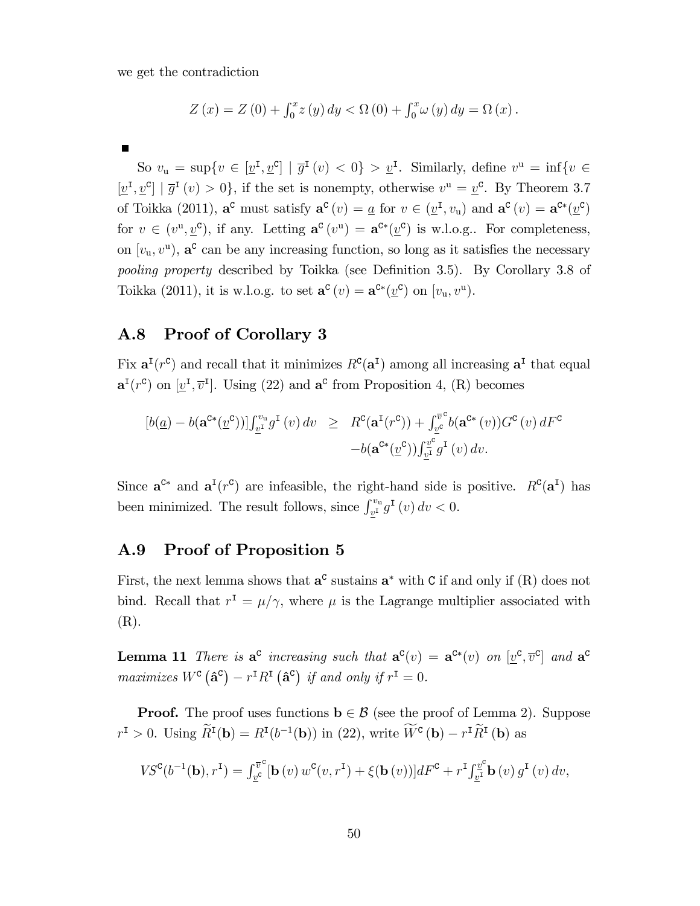we get the contradiction

$$
Z(x) = Z(0) + \int_0^x z(y) dy < \Omega(0) + \int_0^x \omega(y) dy = \Omega(x).
$$

So  $v_{\mathbf{u}} = \sup\{v \in [\underline{v}^{\mathbf{I}}, \underline{v}^{\mathbf{C}}] \mid \overline{g}^{\mathbf{I}}(v) < 0\} > \underline{v}^{\mathbf{I}}$ . Similarly, define  $v^{\mathbf{u}} = \inf\{v \in$  $[\underline{v}^{\mathsf{I}}, \underline{v}^{\mathsf{C}}] | \overline{g}^{\mathsf{I}}(v) > 0$ , if the set is nonempty, otherwise  $v^{\mathsf{u}} = \underline{v}^{\mathsf{C}}$ . By Theorem 3.7 of Toikka (2011),  $\mathbf{a}^{\mathbf{c}}$  must satisfy  $\mathbf{a}^{\mathbf{c}}(v) = \underline{a}$  for  $v \in (\underline{v}^{\mathbf{I}}, v_{\mathbf{u}})$  and  $\mathbf{a}^{\mathbf{c}}(v) = \mathbf{a}^{\mathbf{C}*}(\underline{v}^{\mathbf{C}})$ for  $v \in (v^{\mathsf{u}}, \underline{v}^{\mathsf{c}})$ , if any. Letting  $\mathbf{a}^{\mathsf{c}}(v^{\mathsf{u}}) = \mathbf{a}^{\mathsf{c}*}(\underline{v}^{\mathsf{c}})$  is w.l.o.g.. For completeness, on  $[v_u, v^u]$ ,  $\mathbf{a}^c$  can be any increasing function, so long as it satisfies the necessary pooling property described by Toikka (see Definition 3.5). By Corollary 3.8 of Toikka (2011), it is w.l.o.g. to set  $\mathbf{a}^{\mathbf{c}}(v) = \mathbf{a}^{\mathbf{c}*}(\underline{v}^{\mathbf{c}})$  on  $[v_{\mathbf{u}}, v^{\mathbf{u}}]$ .

### A.8 Proof of Corollary 3

Fix  $\mathbf{a}^{\text{I}}(r^{\text{C}})$  and recall that it minimizes  $R^{\text{C}}(\mathbf{a}^{\text{I}})$  among all increasing  $\mathbf{a}^{\text{I}}$  that equal  $\mathbf{a}^{\mathsf{I}}(r^{\mathsf{c}})$  on  $[\underline{v}^{\mathsf{I}}, \overline{v}^{\mathsf{I}}]$ . Using (22) and  $\mathbf{a}^{\mathsf{c}}$  from Proposition 4, (R) becomes

$$
[b(\underline{a}) - b(\mathbf{a}^{c*}(\underline{v}^c))] \int_{\underline{v}^{\mathrm{T}}}^{\underline{v}_\mathrm{u}} g^{\mathrm{T}}(v) dv \geq R^c(\mathbf{a}^{\mathrm{T}}(r^c)) + \int_{\underline{v}^c}^{\overline{v}^c} b(\mathbf{a}^{c*}(v)) G^c(v) dF^c
$$

$$
-b(\mathbf{a}^{c*}(\underline{v}^c)) \int_{\underline{v}^{\mathrm{T}}}^{\underline{v}^c} g^{\mathrm{T}}(v) dv.
$$

Since  $\mathbf{a}^{\mathsf{C}*}$  and  $\mathbf{a}^{\mathsf{I}}(r^{\mathsf{C}})$  are infeasible, the right-hand side is positive.  $R^{\mathsf{C}}(\mathbf{a}^{\mathsf{I}})$  has been minimized. The result follows, since  $\int_{\underline{v}^{\text{I}}}^{\hat{v}_u} g^{\text{I}}(v) dv < 0$ .

### A.9 Proof of Proposition 5

First, the next lemma shows that  $a^c$  sustains  $a^*$  with C if and only if (R) does not bind. Recall that  $r^I = \mu/\gamma$ , where  $\mu$  is the Lagrange multiplier associated with (R).

**Lemma 11** There is  $a^c$  increasing such that  $a^c(v) = a^{c*}(v)$  on  $[v^c, \overline{v}^c]$  and  $a^c$ maximizes  $W^{\text{c}}(\hat{\mathbf{a}}^{\text{c}}) - r^{\text{I}} R^{\text{I}}(\hat{\mathbf{a}}^{\text{c}})$  if and only if  $r^{\text{I}} = 0$ .

**Proof.** The proof uses functions  $\mathbf{b} \in \mathcal{B}$  (see the proof of Lemma 2). Suppose  $r^I > 0$ . Using  $R^I(\mathbf{b}) = R^I(b^{-1}(\mathbf{b}))$  in (22), write  $W^c(\mathbf{b}) - r^I R^I(\mathbf{b})$  as

$$
VS^{\mathbf{C}}(b^{-1}(\mathbf{b}),r^{\mathbf{I}}) = \int_{\underline{v}^{\mathbf{C}}}^{\overline{v}^{\mathbf{C}}}[\mathbf{b}(v) w^{\mathbf{C}}(v,r^{\mathbf{I}}) + \xi(\mathbf{b}(v))]dF^{\mathbf{C}} + r^{\mathbf{I}}\int_{\underline{v}^{\mathbf{I}}}^{\underline{v}^{\mathbf{C}}} \mathbf{b}(v) g^{\mathbf{I}}(v) dv,
$$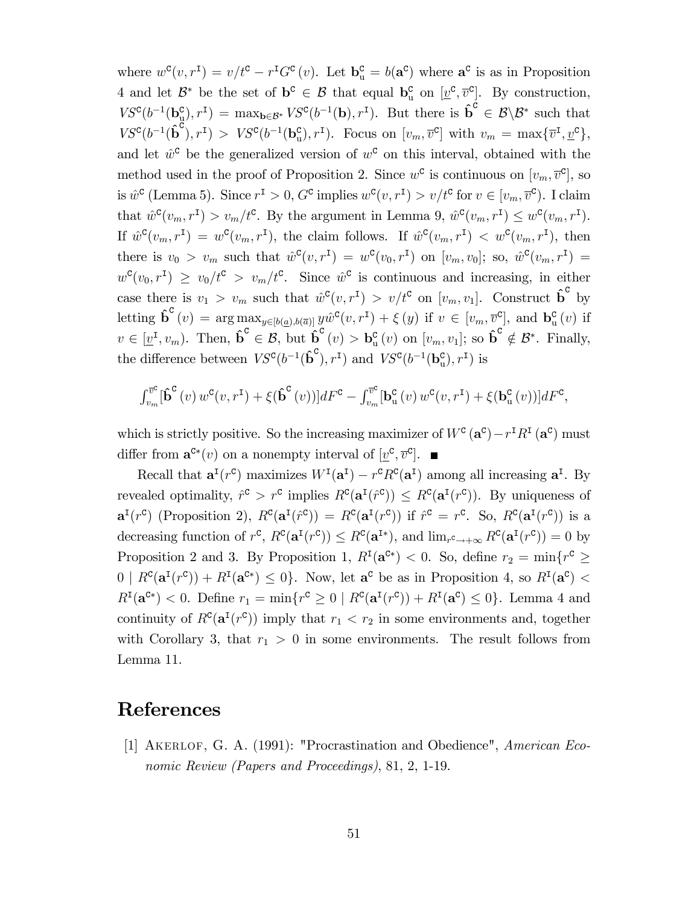where  $w^c(v, r^I) = v/t^c - r^I G^c(v)$ . Let  $\mathbf{b}_u^c = b(\mathbf{a}^c)$  where  $\mathbf{a}^c$  is as in Proposition 4 and let  $\mathcal{B}^*$  be the set of  $\mathbf{b}^{\mathsf{c}} \in \mathcal{B}$  that equal  $\mathbf{b}_{\mathsf{u}}^{\mathsf{c}}$  on  $[\underline{v}^{\mathsf{c}}, \overline{v}^{\mathsf{c}}]$ . By construction,  $VS^{c}(b^{-1}(\mathbf{b}_{\mu}^{c}),r^{I}) = \max_{\mathbf{b}\in\mathcal{B}^{*}} VS^{c}(b^{-1}(\mathbf{b}),r^{I}).$  But there is  $\hat{\mathbf{b}}^{c} \in \mathcal{B}\backslash\mathcal{B}^{*}$  such that  $VS^c(b^{-1}(\hat{\mathbf{b}}^c), r^{\mathsf{T}}) > VS^c(b^{-1}(\mathbf{b}_u^c), r^{\mathsf{T}})$ . Focus on  $[v_m, \overline{v}^c]$  with  $v_m = \max{\{\overline{v}^{\mathsf{T}}, \underline{v}^c\}}$ , and let  $\hat{w}^{\mathsf{c}}$  be the generalized version of  $w^{\mathsf{c}}$  on this interval, obtained with the method used in the proof of Proposition 2. Since  $w^c$  is continuous on  $[v_m, \overline{v}^c]$ , so is  $\hat{w}^{\text{c}}$  (Lemma 5). Since  $r^{\text{I}} > 0$ ,  $G^{\text{c}}$  implies  $w^{\text{c}}(v, r^{\text{I}}) > v/t^{\text{c}}$  for  $v \in [v_m, \overline{v}^{\text{c}})$ . I claim that  $\hat{w}^{\mathsf{C}}(v_m, r^{\mathsf{I}}) > v_m/t^{\mathsf{C}}$ . By the argument in Lemma 9,  $\hat{w}^{\mathsf{C}}(v_m, r^{\mathsf{I}}) \leq w^{\mathsf{C}}(v_m, r^{\mathsf{I}})$ . If  $\hat{w}^{\mathsf{C}}(v_m, r^{\mathsf{I}}) = w^{\mathsf{C}}(v_m, r^{\mathsf{I}})$ , the claim follows. If  $\hat{w}^{\mathsf{C}}(v_m, r^{\mathsf{I}}) < w^{\mathsf{C}}(v_m, r^{\mathsf{I}})$ , then there is  $v_0 > v_m$  such that  $\hat{w}^{\mathsf{C}}(v, r^{\mathsf{I}}) = w^{\mathsf{C}}(v_0, r^{\mathsf{I}})$  on  $[v_m, v_0]$ ; so,  $\hat{w}^{\mathsf{C}}(v_m, r^{\mathsf{I}}) =$  $w^{\mathsf{c}}(v_0, r^{\mathsf{I}}) \geq v_0/t^{\mathsf{c}} > v_m/t^{\mathsf{c}}$ . Since  $\hat{w}^{\mathsf{c}}$  is continuous and increasing, in either case there is  $v_1 > v_m$  such that  $\hat{w}^c(v, r^I) > v/t^c$  on  $[v_m, v_1]$ . Construct  $\hat{\mathbf{b}}^c$  by letting  $\hat{\mathbf{b}}^{\mathbf{c}}(v) = \arg \max_{g \in [b(\underline{a}), b(\overline{a})]} y \hat{w}^{\mathbf{c}}(v, r^{\mathbf{I}}) + \xi(y)$  if  $v \in [v_m, \overline{v}_\rho^{\mathbf{c}}]$ , and  $\mathbf{b}_\mathbf{u}^{\mathbf{c}}(v)$  if  $v \in [\underline{v}^{\mathsf{T}}, v_m)$ . Then,  $\hat{\mathbf{b}}^{\mathsf{C}} \in \mathcal{B}$ , but  $\hat{\mathbf{b}}^{\mathsf{C}}(v) > \mathbf{b}_{\mathsf{u}}^{\mathsf{C}}(v)$  on  $[v_m, v_1]$ ; so  $\hat{\mathbf{b}}^{\mathsf{C}} \notin \mathcal{B}^*$ . Finally, the difference between  $VS^{c}(b^{-1}(\hat{\boldsymbol{b}}^{c}), r^{I})$  and  $VS^{c}(b^{-1}(\boldsymbol{b}^{c}_{u}), r^{I})$  is

$$
\int_{v_m}^{\overline{v}^c} [\hat{\mathbf{b}}^c(v) w^c(v, r^I) + \xi (\hat{\mathbf{b}}^c(v))] dF^c - \int_{v_m}^{\overline{v}^c} [\mathbf{b}_u^c(v) w^c(v, r^I) + \xi (\mathbf{b}_u^c(v))] dF^c,
$$

which is strictly positive. So the increasing maximizer of  $W^c(\mathbf{a}^c) - r^{\mathrm{T}} R^{\mathrm{T}}(\mathbf{a}^c)$  must differ from  $\mathbf{a}^{\mathbf{C}*}(v)$  on a nonempty interval of  $[\underline{v}^{\mathbf{C}}, \overline{v}^{\mathbf{C}}]$ .

Recall that  $\mathbf{a}^{\text{I}}(r^{\text{c}})$  maximizes  $W^{\text{I}}(\mathbf{a}^{\text{I}}) - r^{\text{c}} R^{\text{c}}(\mathbf{a}^{\text{I}})$  among all increasing  $\mathbf{a}^{\text{I}}$ . By revealed optimality,  $\hat{r}^c > r^c$  implies  $R^c(\mathbf{a}^{\mathsf{T}}(\hat{r}^c)) \leq R^c(\mathbf{a}^{\mathsf{T}}(r^c))$ . By uniqueness of  $\mathbf{a}^{\{r\}}$  (Proposition 2),  $R^{\{c\}}(\mathbf{a}^{\{r\}}) = R^{\{c\}}(\mathbf{a}^{\{r\}})$  if  $\hat{r}^{\{c\}} = r^{\{c\}}$ . So,  $R^{\{c\}}(\mathbf{a}^{\{r\}})$  is a decreasing function of  $r^c$ ,  $R^c(\mathbf{a}^{\mathsf{T}}(r^c)) \leq R^c(\mathbf{a}^{\mathsf{T}*})$ , and  $\lim_{r^c \to +\infty} R^c(\mathbf{a}^{\mathsf{T}}(r^c)) = 0$  by Proposition 2 and 3. By Proposition 1,  $R^{I}(\mathbf{a}^{C*}) < 0$ . So, define  $r_2 = \min\{r^{C} \geq 0\}$  $0 \mid R^{\mathbf{C}}(\mathbf{a}^{\mathbf{I}}(r^{\mathbf{C}})) + R^{\mathbf{I}}(\mathbf{a}^{\mathbf{C}*}) \leq 0$ . Now, let  $\mathbf{a}^{\mathbf{C}}$  be as in Proposition 4, so  $R^{\mathbf{I}}(\mathbf{a}^{\mathbf{C}}) <$  $R<sup>I</sup>(\mathbf{a}^{\mathbf{c}}) < 0$ . Define  $r_1 = \min\{r^{\mathbf{c}} \ge 0 \mid R^{\mathbf{c}}(\mathbf{a}^{\mathbf{I}}(r^{\mathbf{c}})) + R^{\mathbf{I}}(\mathbf{a}^{\mathbf{c}}) \le 0\}$ . Lemma 4 and continuity of  $R^{c}(\mathbf{a}^{I}(r^{c}))$  imply that  $r_1 < r_2$  in some environments and, together with Corollary 3, that  $r_1 > 0$  in some environments. The result follows from Lemma 11.

### References

[1] Akerlof, G. A. (1991): "Procrastination and Obedience", American Economic Review (Papers and Proceedings), 81, 2, 1-19.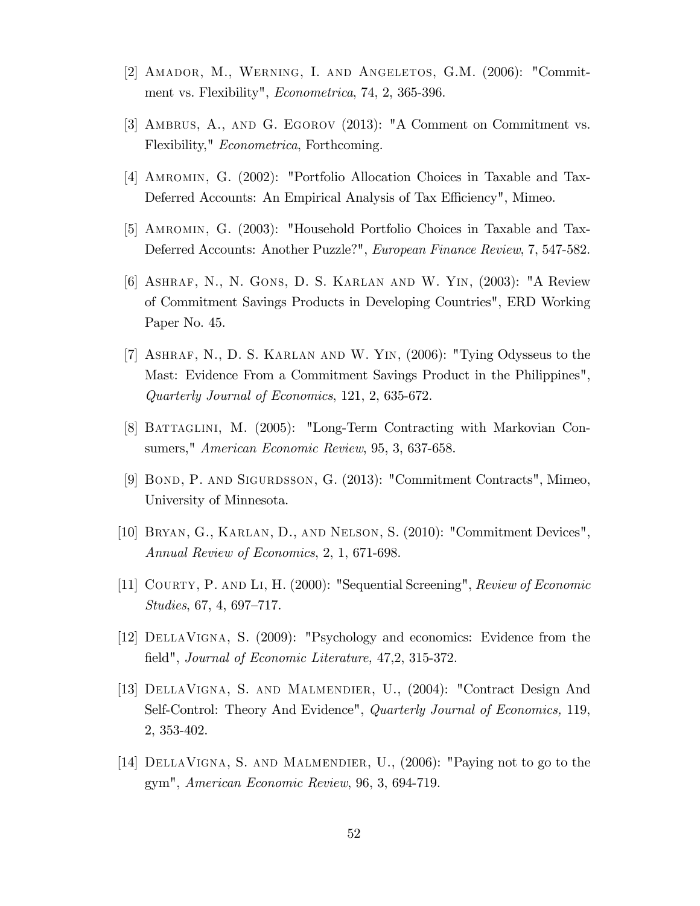- [2] Amador, M., Werning, I. and Angeletos, G.M. (2006): "Commitment vs. Flexibility", Econometrica, 74, 2, 365-396.
- [3] Ambrus, A., and G. Egorov (2013): "A Comment on Commitment vs. Flexibility," Econometrica, Forthcoming.
- [4] Amromin, G. (2002): "Portfolio Allocation Choices in Taxable and Tax-Deferred Accounts: An Empirical Analysis of Tax Efficiency", Mimeo.
- [5] Amromin, G. (2003): "Household Portfolio Choices in Taxable and Tax-Deferred Accounts: Another Puzzle?", European Finance Review, 7, 547-582.
- [6] Ashraf, N., N. Gons, D. S. Karlan and W. Yin, (2003): "A Review of Commitment Savings Products in Developing Countries", ERD Working Paper No. 45.
- [7] Ashraf, N., D. S. Karlan and W. Yin, (2006): "Tying Odysseus to the Mast: Evidence From a Commitment Savings Product in the Philippines", Quarterly Journal of Economics, 121, 2, 635-672.
- [8] BATTAGLINI, M. (2005): "Long-Term Contracting with Markovian Consumers," American Economic Review, 95, 3, 637-658.
- [9] Bond, P. and Sigurdsson, G. (2013): "Commitment Contracts", Mimeo, University of Minnesota.
- [10] Bryan, G., Karlan, D., and Nelson, S. (2010): "Commitment Devices", Annual Review of Economics, 2, 1, 671-698.
- [11] Courty, P. and Li, H. (2000): "Sequential Screening", Review of Economic  $Studies, 67, 4, 697–717.$
- [12] DellaVigna, S. (2009): "Psychology and economics: Evidence from the field", Journal of Economic Literature, 47,2, 315-372.
- [13] DellaVigna, S. and Malmendier, U., (2004): "Contract Design And Self-Control: Theory And Evidence", *Quarterly Journal of Economics*, 119, 2, 353-402.
- [14] DellaVigna, S. and Malmendier, U., (2006): "Paying not to go to the gym", American Economic Review, 96, 3, 694-719.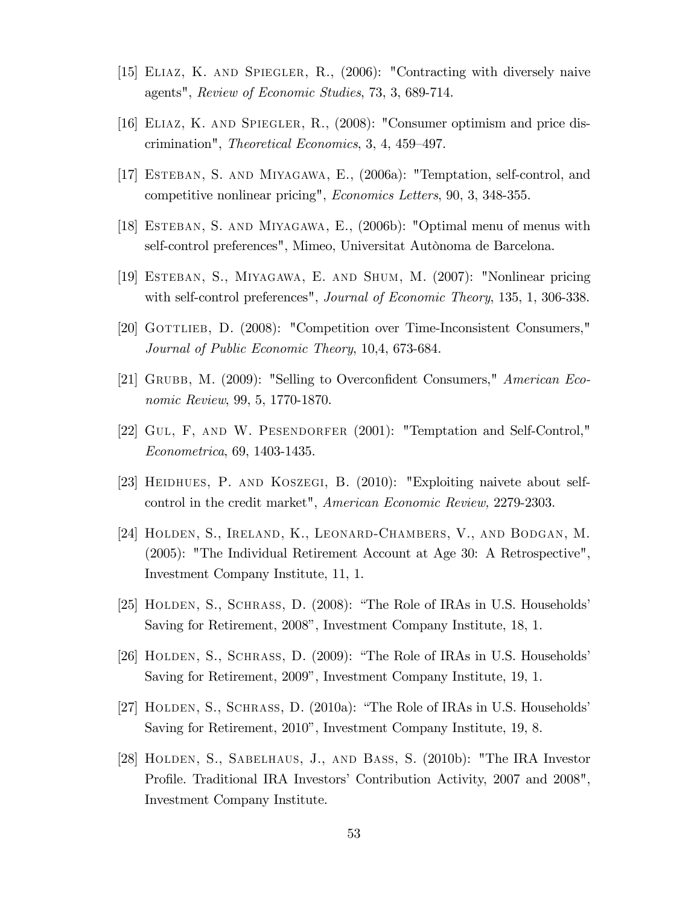- [15] Eliaz, K. and Spiegler, R., (2006): "Contracting with diversely naive agents", Review of Economic Studies, 73, 3, 689-714.
- [16] Eliaz, K. and Spiegler, R., (2008): "Consumer optimism and price discrimination", *Theoretical Economics*,  $3, 4, 459-497$ .
- [17] ESTEBAN, S. AND MIYAGAWA, E., (2006a): "Temptation, self-control, and competitive nonlinear pricing", Economics Letters, 90, 3, 348-355.
- [18] Esteban, S. and Miyagawa, E., (2006b): "Optimal menu of menus with self-control preferences", Mimeo, Universitat Autònoma de Barcelona.
- [19] Esteban, S., Miyagawa, E. and Shum, M. (2007): "Nonlinear pricing with self-control preferences", *Journal of Economic Theory*, 135, 1, 306-338.
- [20] Gottlieb, D. (2008): "Competition over Time-Inconsistent Consumers," Journal of Public Economic Theory, 10,4, 673-684.
- [21] GRUBB, M.  $(2009)$ : "Selling to Overconfident Consumers," American Economic Review, 99, 5, 1770-1870.
- [22] Gul, F, and W. Pesendorfer (2001): "Temptation and Self-Control," Econometrica, 69, 1403-1435.
- [23] HEIDHUES, P. AND KOSZEGI, B. (2010): "Exploiting naivete about selfcontrol in the credit market", American Economic Review, 2279-2303.
- [24] Holden, S., Ireland, K., Leonard-Chambers, V., and Bodgan, M. (2005): "The Individual Retirement Account at Age 30: A Retrospective", Investment Company Institute, 11, 1.
- [25] HOLDEN, S., SCHRASS, D. (2008): "The Role of IRAs in U.S. Households' Saving for Retirement, 2008", Investment Company Institute, 18, 1.
- [26] HOLDEN, S., SCHRASS, D.  $(2009)$ : "The Role of IRAs in U.S. Households' Saving for Retirement, 2009", Investment Company Institute, 19, 1.
- [27] HOLDEN, S., SCHRASS, D. (2010a): "The Role of IRAs in U.S. Households' Saving for Retirement, 2010<sup>n</sup>, Investment Company Institute, 19, 8.
- [28] Holden, S., Sabelhaus, J., and Bass, S. (2010b): "The IRA Investor Profile. Traditional IRA Investors' Contribution Activity, 2007 and 2008", Investment Company Institute.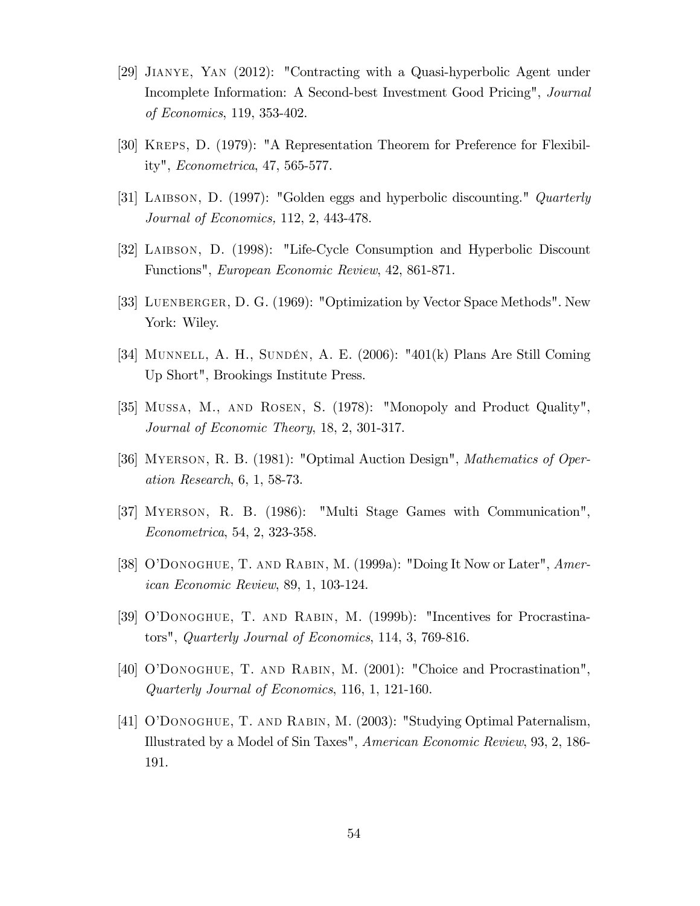- [29] Jianye, Yan (2012): "Contracting with a Quasi-hyperbolic Agent under Incomplete Information: A Second-best Investment Good Pricing", Journal of Economics, 119, 353-402.
- [30] Kreps, D. (1979): "A Representation Theorem for Preference for Flexibility", Econometrica, 47, 565-577.
- [31] LAIBSON, D. (1997): "Golden eggs and hyperbolic discounting." *Quarterly* Journal of Economics, 112, 2, 443-478.
- [32] Laibson, D. (1998): "Life-Cycle Consumption and Hyperbolic Discount Functions", European Economic Review, 42, 861-871.
- [33] LUENBERGER, D. G. (1969): "Optimization by Vector Space Methods". New York: Wiley.
- [34] MUNNELL, A. H., SUNDÉN, A. E. (2006): "401(k) Plans Are Still Coming Up Short", Brookings Institute Press.
- [35] Mussa, M., and Rosen, S. (1978): "Monopoly and Product Quality", Journal of Economic Theory, 18, 2, 301-317.
- [36] Myerson, R. B. (1981): "Optimal Auction Design", Mathematics of Operation Research, 6, 1, 58-73.
- [37] Myerson, R. B. (1986): "Multi Stage Games with Communication", Econometrica, 54, 2, 323-358.
- [38] O'DONOGHUE, T. AND RABIN, M. (1999a): "Doing It Now or Later", American Economic Review, 89, 1, 103-124.
- [39] O'DONOGHUE, T. AND RABIN, M. (1999b): "Incentives for Procrastinators", Quarterly Journal of Economics, 114, 3, 769-816.
- [40] OíDonoghue, T. and Rabin, M. (2001): "Choice and Procrastination", Quarterly Journal of Economics, 116, 1, 121-160.
- [41] OíDonoghue, T. and Rabin, M. (2003): "Studying Optimal Paternalism, Illustrated by a Model of Sin Taxes", American Economic Review, 93, 2, 186- 191.